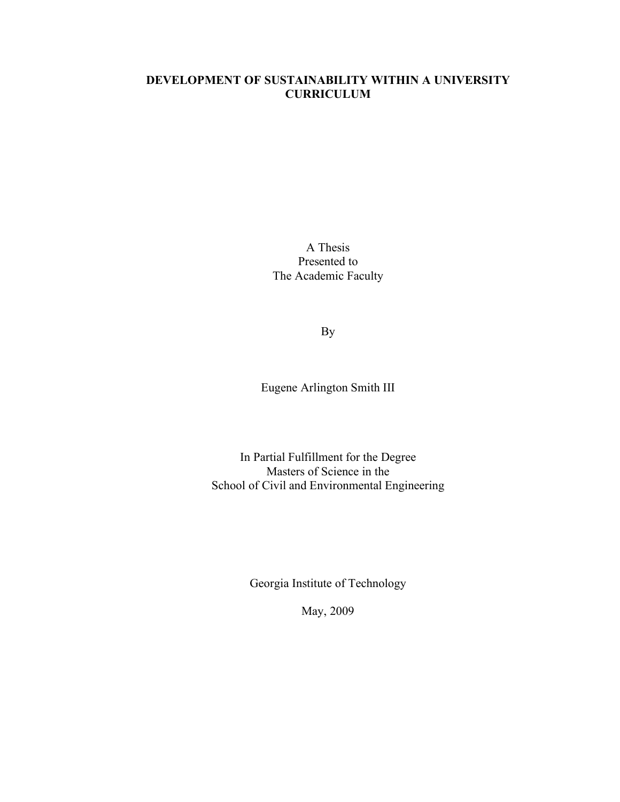# **DEVELOPMENT OF SUSTAINABILITY WITHIN A UNIVERSITY CURRICULUM**

A Thesis Presented to The Academic Faculty

By

Eugene Arlington Smith III

In Partial Fulfillment for the Degree Masters of Science in the School of Civil and Environmental Engineering

Georgia Institute of Technology

May, 2009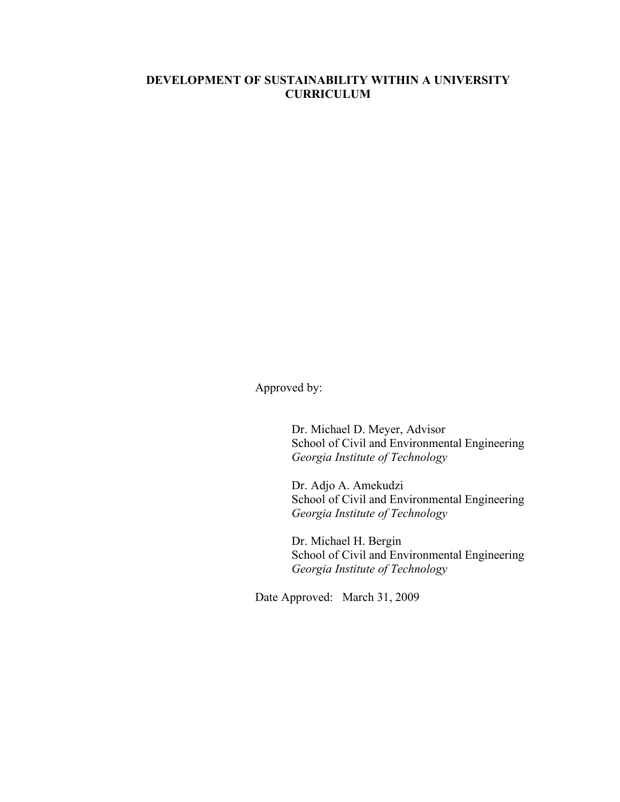# **DEVELOPMENT OF SUSTAINABILITY WITHIN A UNIVERSITY CURRICULUM**

Approved by:

Dr. Michael D. Meyer, Advisor School of Civil and Environmental Engineering *Georgia Institute of Technology*

Dr. Adjo A. Amekudzi School of Civil and Environmental Engineering *Georgia Institute of Technology*

Dr. Michael H. Bergin School of Civil and Environmental Engineering *Georgia Institute of Technology*

Date Approved: March 31, 2009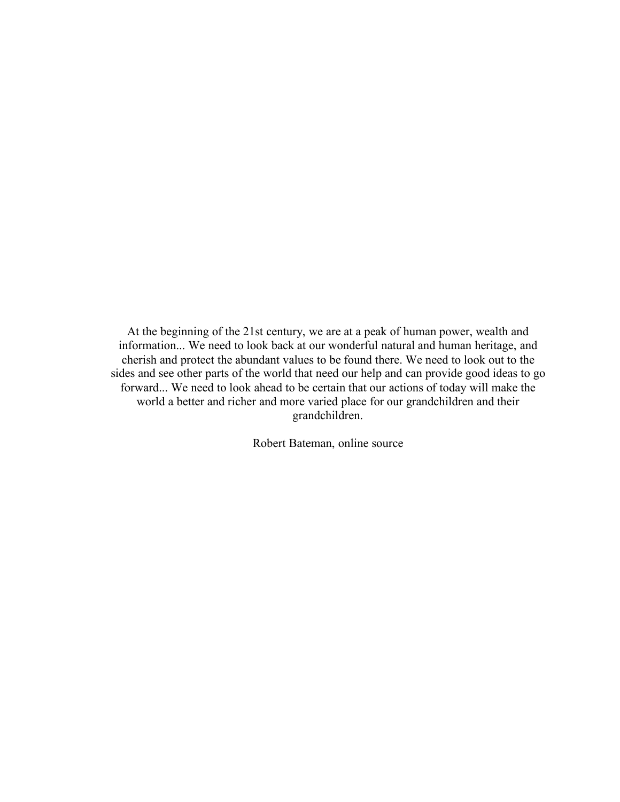At the beginning of the 21st century, we are at a peak of human power, wealth and information... We need to look back at our wonderful natural and human heritage, and cherish and protect the abundant values to be found there. We need to look out to the sides and see other parts of the world that need our help and can provide good ideas to go forward... We need to look ahead to be certain that our actions of today will make the world a better and richer and more varied place for our grandchildren and their grandchildren.

Robert Bateman, online source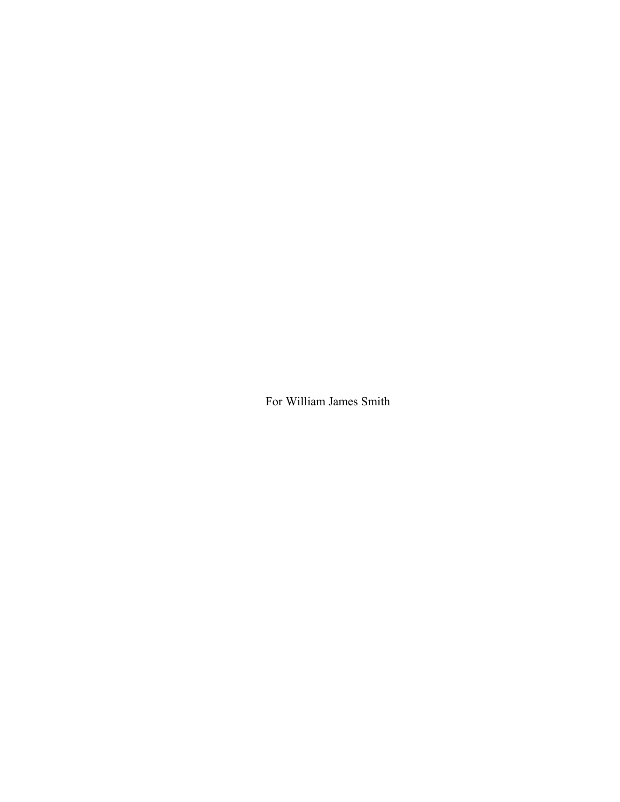For William James Smith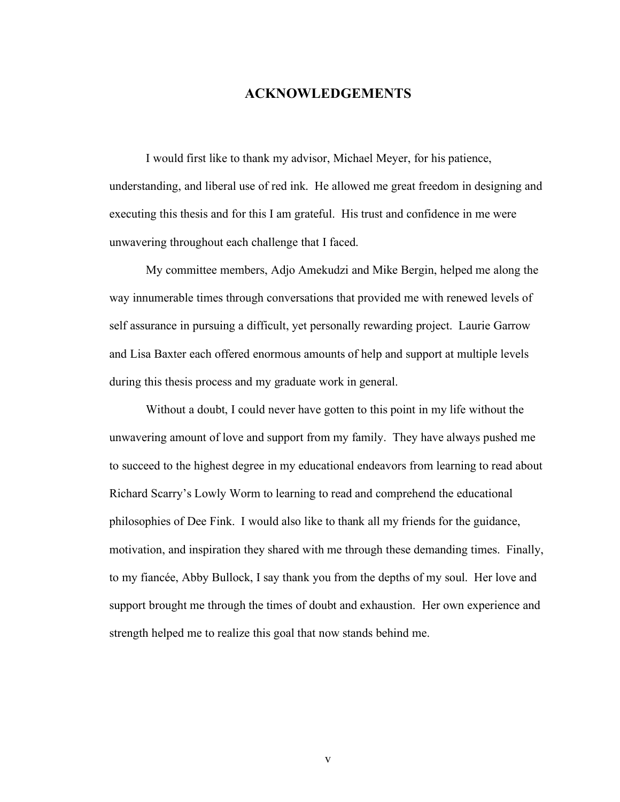# **ACKNOWLEDGEMENTS**

I would first like to thank my advisor, Michael Meyer, for his patience, understanding, and liberal use of red ink. He allowed me great freedom in designing and executing this thesis and for this I am grateful. His trust and confidence in me were unwavering throughout each challenge that I faced.

My committee members, Adjo Amekudzi and Mike Bergin, helped me along the way innumerable times through conversations that provided me with renewed levels of self assurance in pursuing a difficult, yet personally rewarding project. Laurie Garrow and Lisa Baxter each offered enormous amounts of help and support at multiple levels during this thesis process and my graduate work in general.

Without a doubt, I could never have gotten to this point in my life without the unwavering amount of love and support from my family. They have always pushed me to succeed to the highest degree in my educational endeavors from learning to read about Richard Scarry's Lowly Worm to learning to read and comprehend the educational philosophies of Dee Fink. I would also like to thank all my friends for the guidance, motivation, and inspiration they shared with me through these demanding times. Finally, to my fiancée, Abby Bullock, I say thank you from the depths of my soul. Her love and support brought me through the times of doubt and exhaustion. Her own experience and strength helped me to realize this goal that now stands behind me.

v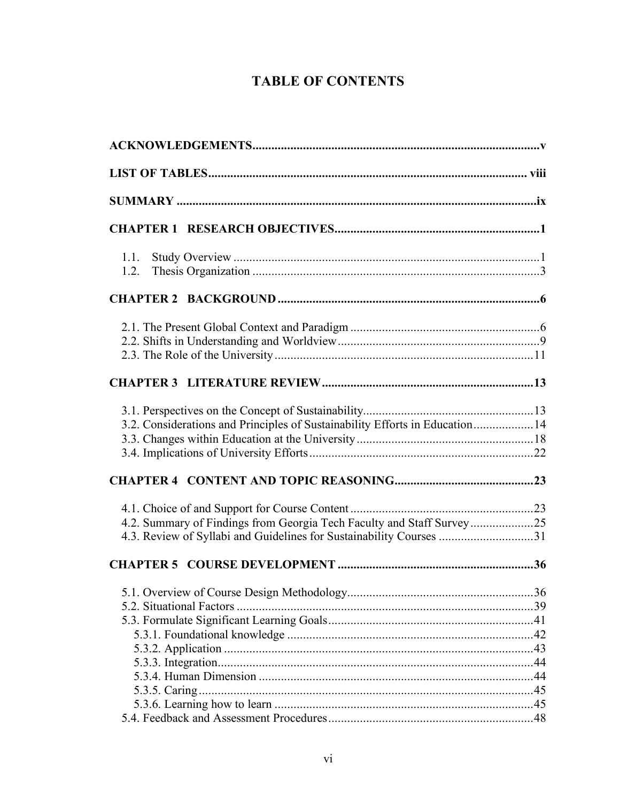# **TABLE OF CONTENTS**

| 1.1.                                                                         |  |
|------------------------------------------------------------------------------|--|
| 1.2.                                                                         |  |
|                                                                              |  |
|                                                                              |  |
|                                                                              |  |
|                                                                              |  |
|                                                                              |  |
|                                                                              |  |
| 3.2. Considerations and Principles of Sustainability Efforts in Education 14 |  |
|                                                                              |  |
|                                                                              |  |
|                                                                              |  |
|                                                                              |  |
| 4.2. Summary of Findings from Georgia Tech Faculty and Staff Survey25        |  |
| 4.3. Review of Syllabi and Guidelines for Sustainability Courses 31          |  |
|                                                                              |  |
|                                                                              |  |
|                                                                              |  |
|                                                                              |  |
|                                                                              |  |
|                                                                              |  |
|                                                                              |  |
|                                                                              |  |
|                                                                              |  |
|                                                                              |  |
|                                                                              |  |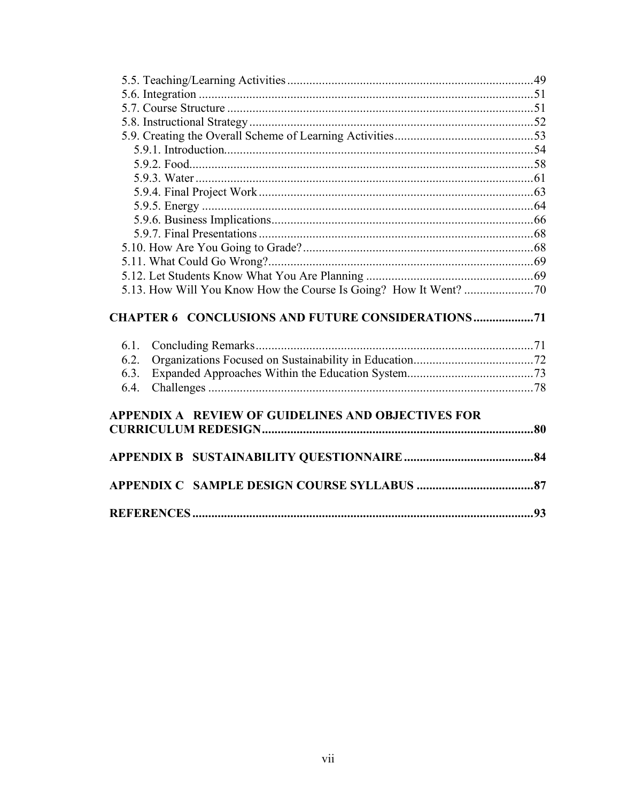|      | <b>CHAPTER 6 CONCLUSIONS AND FUTURE CONSIDERATIONS71</b> |  |
|------|----------------------------------------------------------|--|
| 6.1. |                                                          |  |
| 6.2. |                                                          |  |
| 6.3. |                                                          |  |
| 6.4. |                                                          |  |
|      |                                                          |  |
|      | APPENDIX A REVIEW OF GUIDELINES AND OBJECTIVES FOR       |  |
|      |                                                          |  |
|      |                                                          |  |
|      |                                                          |  |
|      |                                                          |  |
|      |                                                          |  |
|      |                                                          |  |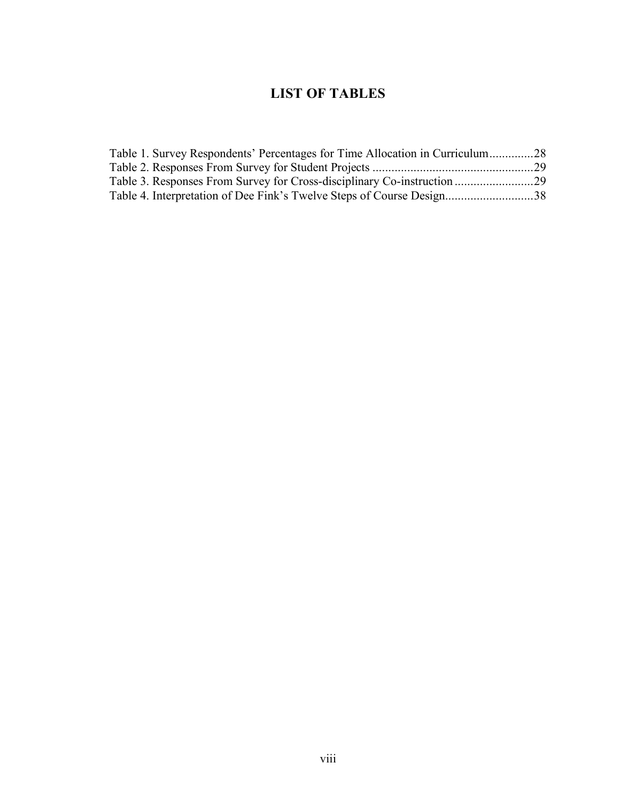# **LIST OF TABLES**

| Table 1. Survey Respondents' Percentages for Time Allocation in Curriculum28 |  |
|------------------------------------------------------------------------------|--|
|                                                                              |  |
|                                                                              |  |
| Table 4. Interpretation of Dee Fink's Twelve Steps of Course Design38        |  |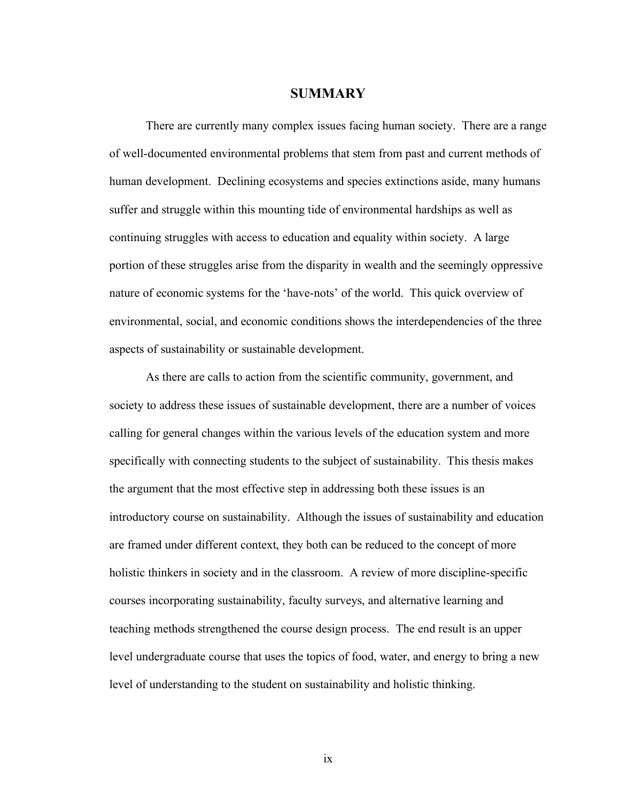### **SUMMARY**

There are currently many complex issues facing human society. There are a range of well-documented environmental problems that stem from past and current methods of human development. Declining ecosystems and species extinctions aside, many humans suffer and struggle within this mounting tide of environmental hardships as well as continuing struggles with access to education and equality within society. A large portion of these struggles arise from the disparity in wealth and the seemingly oppressive nature of economic systems for the 'have-nots' of the world. This quick overview of environmental, social, and economic conditions shows the interdependencies of the three aspects of sustainability or sustainable development.

As there are calls to action from the scientific community, government, and society to address these issues of sustainable development, there are a number of voices calling for general changes within the various levels of the education system and more specifically with connecting students to the subject of sustainability. This thesis makes the argument that the most effective step in addressing both these issues is an introductory course on sustainability. Although the issues of sustainability and education are framed under different context, they both can be reduced to the concept of more holistic thinkers in society and in the classroom. A review of more discipline-specific courses incorporating sustainability, faculty surveys, and alternative learning and teaching methods strengthened the course design process. The end result is an upper level undergraduate course that uses the topics of food, water, and energy to bring a new level of understanding to the student on sustainability and holistic thinking.

ix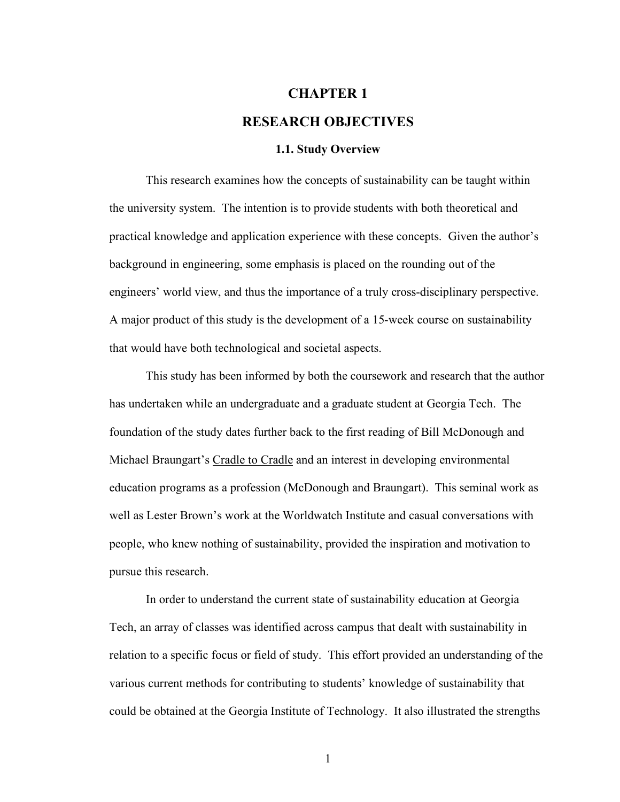# **CHAPTER 1 RESEARCH OBJECTIVES**

# **1.1. Study Overview**

This research examines how the concepts of sustainability can be taught within the university system. The intention is to provide students with both theoretical and practical knowledge and application experience with these concepts. Given the author's background in engineering, some emphasis is placed on the rounding out of the engineers' world view, and thus the importance of a truly cross-disciplinary perspective. A major product of this study is the development of a 15-week course on sustainability that would have both technological and societal aspects.

This study has been informed by both the coursework and research that the author has undertaken while an undergraduate and a graduate student at Georgia Tech. The foundation of the study dates further back to the first reading of Bill McDonough and Michael Braungart's Cradle to Cradle and an interest in developing environmental education programs as a profession (McDonough and Braungart). This seminal work as well as Lester Brown's work at the Worldwatch Institute and casual conversations with people, who knew nothing of sustainability, provided the inspiration and motivation to pursue this research.

In order to understand the current state of sustainability education at Georgia Tech, an array of classes was identified across campus that dealt with sustainability in relation to a specific focus or field of study. This effort provided an understanding of the various current methods for contributing to students' knowledge of sustainability that could be obtained at the Georgia Institute of Technology. It also illustrated the strengths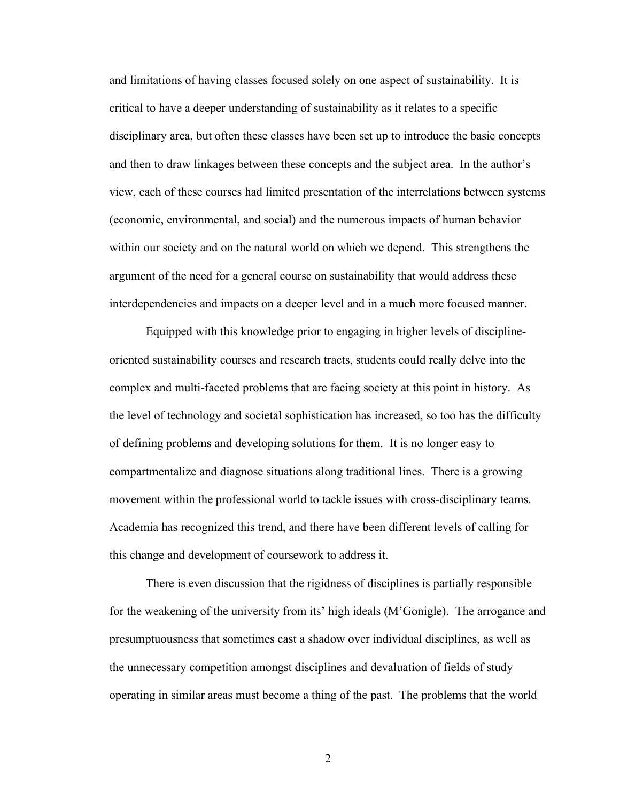and limitations of having classes focused solely on one aspect of sustainability. It is critical to have a deeper understanding of sustainability as it relates to a specific disciplinary area, but often these classes have been set up to introduce the basic concepts and then to draw linkages between these concepts and the subject area. In the author's view, each of these courses had limited presentation of the interrelations between systems (economic, environmental, and social) and the numerous impacts of human behavior within our society and on the natural world on which we depend. This strengthens the argument of the need for a general course on sustainability that would address these interdependencies and impacts on a deeper level and in a much more focused manner.

Equipped with this knowledge prior to engaging in higher levels of disciplineoriented sustainability courses and research tracts, students could really delve into the complex and multi-faceted problems that are facing society at this point in history. As the level of technology and societal sophistication has increased, so too has the difficulty of defining problems and developing solutions for them. It is no longer easy to compartmentalize and diagnose situations along traditional lines. There is a growing movement within the professional world to tackle issues with cross-disciplinary teams. Academia has recognized this trend, and there have been different levels of calling for this change and development of coursework to address it.

There is even discussion that the rigidness of disciplines is partially responsible for the weakening of the university from its' high ideals (M'Gonigle). The arrogance and presumptuousness that sometimes cast a shadow over individual disciplines, as well as the unnecessary competition amongst disciplines and devaluation of fields of study operating in similar areas must become a thing of the past. The problems that the world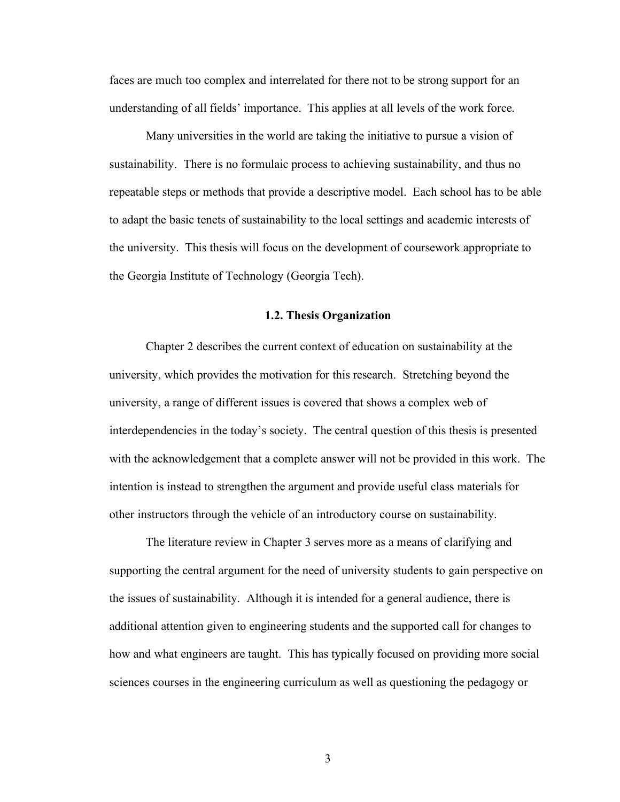faces are much too complex and interrelated for there not to be strong support for an understanding of all fields' importance. This applies at all levels of the work force.

Many universities in the world are taking the initiative to pursue a vision of sustainability. There is no formulaic process to achieving sustainability, and thus no repeatable steps or methods that provide a descriptive model. Each school has to be able to adapt the basic tenets of sustainability to the local settings and academic interests of the university. This thesis will focus on the development of coursework appropriate to the Georgia Institute of Technology (Georgia Tech).

#### **1.2. Thesis Organization**

Chapter 2 describes the current context of education on sustainability at the university, which provides the motivation for this research. Stretching beyond the university, a range of different issues is covered that shows a complex web of interdependencies in the today's society. The central question of this thesis is presented with the acknowledgement that a complete answer will not be provided in this work. The intention is instead to strengthen the argument and provide useful class materials for other instructors through the vehicle of an introductory course on sustainability.

The literature review in Chapter 3 serves more as a means of clarifying and supporting the central argument for the need of university students to gain perspective on the issues of sustainability. Although it is intended for a general audience, there is additional attention given to engineering students and the supported call for changes to how and what engineers are taught. This has typically focused on providing more social sciences courses in the engineering curriculum as well as questioning the pedagogy or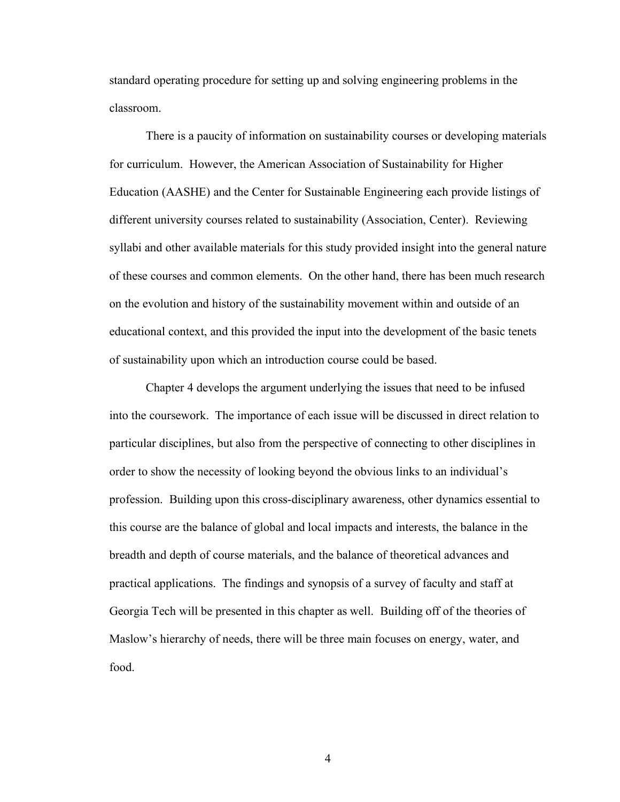standard operating procedure for setting up and solving engineering problems in the classroom.

There is a paucity of information on sustainability courses or developing materials for curriculum. However, the American Association of Sustainability for Higher Education (AASHE) and the Center for Sustainable Engineering each provide listings of different university courses related to sustainability (Association, Center). Reviewing syllabi and other available materials for this study provided insight into the general nature of these courses and common elements. On the other hand, there has been much research on the evolution and history of the sustainability movement within and outside of an educational context, and this provided the input into the development of the basic tenets of sustainability upon which an introduction course could be based.

Chapter 4 develops the argument underlying the issues that need to be infused into the coursework. The importance of each issue will be discussed in direct relation to particular disciplines, but also from the perspective of connecting to other disciplines in order to show the necessity of looking beyond the obvious links to an individual's profession. Building upon this cross-disciplinary awareness, other dynamics essential to this course are the balance of global and local impacts and interests, the balance in the breadth and depth of course materials, and the balance of theoretical advances and practical applications. The findings and synopsis of a survey of faculty and staff at Georgia Tech will be presented in this chapter as well. Building off of the theories of Maslow's hierarchy of needs, there will be three main focuses on energy, water, and food.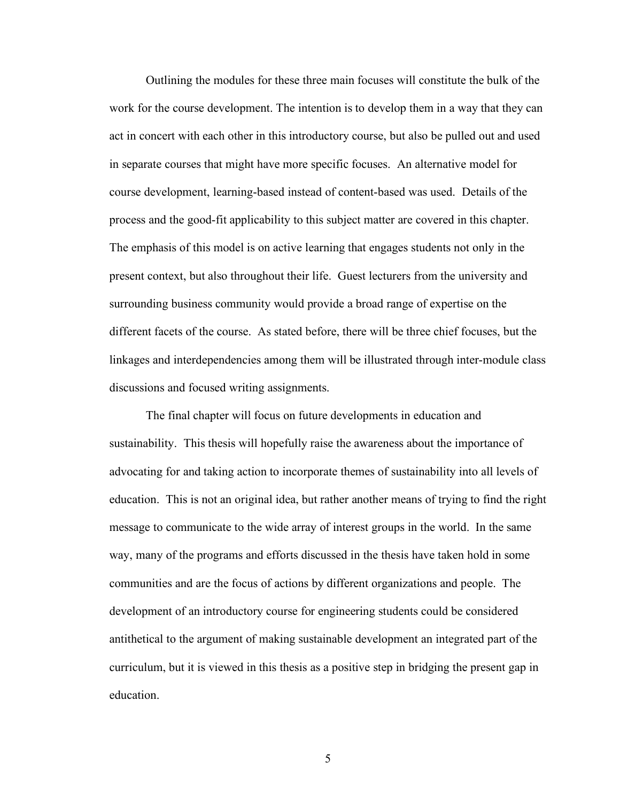Outlining the modules for these three main focuses will constitute the bulk of the work for the course development. The intention is to develop them in a way that they can act in concert with each other in this introductory course, but also be pulled out and used in separate courses that might have more specific focuses. An alternative model for course development, learning-based instead of content-based was used. Details of the process and the good-fit applicability to this subject matter are covered in this chapter. The emphasis of this model is on active learning that engages students not only in the present context, but also throughout their life. Guest lecturers from the university and surrounding business community would provide a broad range of expertise on the different facets of the course. As stated before, there will be three chief focuses, but the linkages and interdependencies among them will be illustrated through inter-module class discussions and focused writing assignments.

The final chapter will focus on future developments in education and sustainability. This thesis will hopefully raise the awareness about the importance of advocating for and taking action to incorporate themes of sustainability into all levels of education. This is not an original idea, but rather another means of trying to find the right message to communicate to the wide array of interest groups in the world. In the same way, many of the programs and efforts discussed in the thesis have taken hold in some communities and are the focus of actions by different organizations and people. The development of an introductory course for engineering students could be considered antithetical to the argument of making sustainable development an integrated part of the curriculum, but it is viewed in this thesis as a positive step in bridging the present gap in education.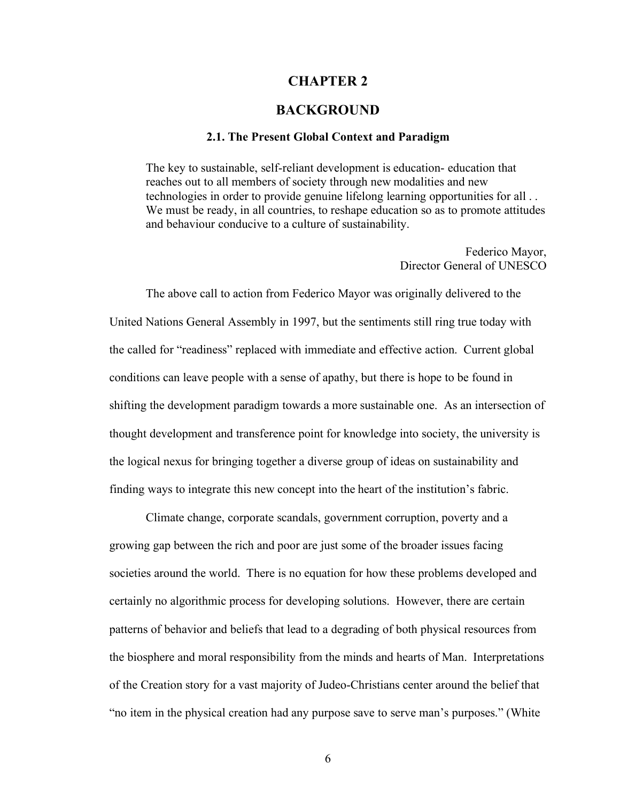## **CHAPTER 2**

# **BACKGROUND**

#### **2.1. The Present Global Context and Paradigm**

The key to sustainable, self-reliant development is education- education that reaches out to all members of society through new modalities and new technologies in order to provide genuine lifelong learning opportunities for all . . We must be ready, in all countries, to reshape education so as to promote attitudes and behaviour conducive to a culture of sustainability.

> Federico Mayor, Director General of UNESCO

The above call to action from Federico Mayor was originally delivered to the United Nations General Assembly in 1997, but the sentiments still ring true today with the called for "readiness" replaced with immediate and effective action. Current global conditions can leave people with a sense of apathy, but there is hope to be found in shifting the development paradigm towards a more sustainable one. As an intersection of thought development and transference point for knowledge into society, the university is the logical nexus for bringing together a diverse group of ideas on sustainability and finding ways to integrate this new concept into the heart of the institution's fabric.

Climate change, corporate scandals, government corruption, poverty and a growing gap between the rich and poor are just some of the broader issues facing societies around the world. There is no equation for how these problems developed and certainly no algorithmic process for developing solutions. However, there are certain patterns of behavior and beliefs that lead to a degrading of both physical resources from the biosphere and moral responsibility from the minds and hearts of Man. Interpretations of the Creation story for a vast majority of Judeo-Christians center around the belief that "no item in the physical creation had any purpose save to serve man's purposes." (White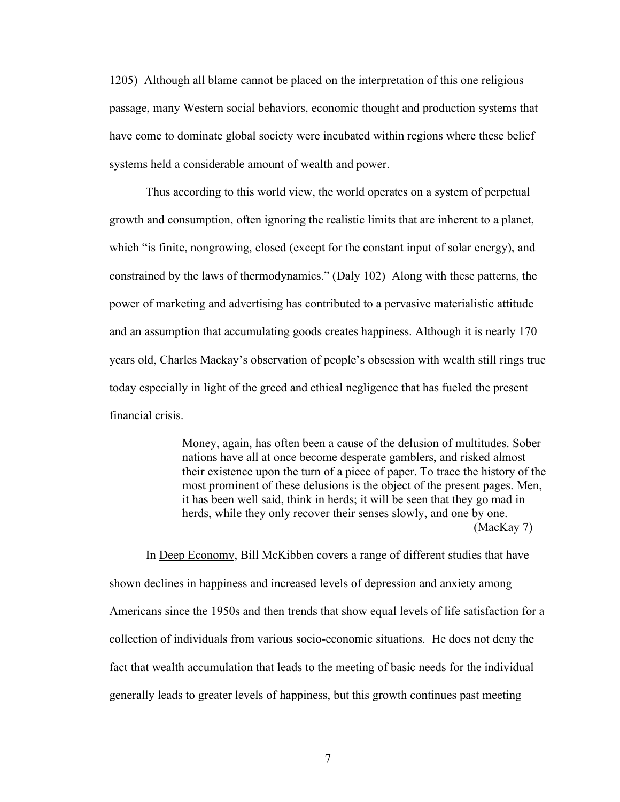1205) Although all blame cannot be placed on the interpretation of this one religious passage, many Western social behaviors, economic thought and production systems that have come to dominate global society were incubated within regions where these belief systems held a considerable amount of wealth and power.

Thus according to this world view, the world operates on a system of perpetual growth and consumption, often ignoring the realistic limits that are inherent to a planet, which "is finite, nongrowing, closed (except for the constant input of solar energy), and constrained by the laws of thermodynamics." (Daly 102) Along with these patterns, the power of marketing and advertising has contributed to a pervasive materialistic attitude and an assumption that accumulating goods creates happiness. Although it is nearly 170 years old, Charles Mackay's observation of people's obsession with wealth still rings true today especially in light of the greed and ethical negligence that has fueled the present financial crisis.

> Money, again, has often been a cause of the delusion of multitudes. Sober nations have all at once become desperate gamblers, and risked almost their existence upon the turn of a piece of paper. To trace the history of the most prominent of these delusions is the object of the present pages. Men, it has been well said, think in herds; it will be seen that they go mad in herds, while they only recover their senses slowly, and one by one. (MacKay 7)

In Deep Economy, Bill McKibben covers a range of different studies that have shown declines in happiness and increased levels of depression and anxiety among Americans since the 1950s and then trends that show equal levels of life satisfaction for a collection of individuals from various socio-economic situations. He does not deny the fact that wealth accumulation that leads to the meeting of basic needs for the individual generally leads to greater levels of happiness, but this growth continues past meeting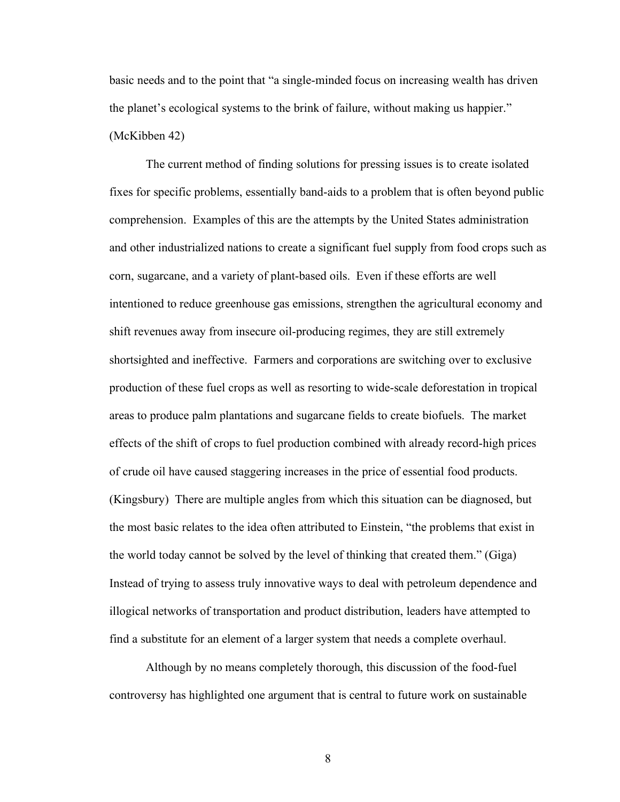basic needs and to the point that "a single-minded focus on increasing wealth has driven the planet's ecological systems to the brink of failure, without making us happier." (McKibben 42)

The current method of finding solutions for pressing issues is to create isolated fixes for specific problems, essentially band-aids to a problem that is often beyond public comprehension. Examples of this are the attempts by the United States administration and other industrialized nations to create a significant fuel supply from food crops such as corn, sugarcane, and a variety of plant-based oils. Even if these efforts are well intentioned to reduce greenhouse gas emissions, strengthen the agricultural economy and shift revenues away from insecure oil-producing regimes, they are still extremely shortsighted and ineffective. Farmers and corporations are switching over to exclusive production of these fuel crops as well as resorting to wide-scale deforestation in tropical areas to produce palm plantations and sugarcane fields to create biofuels. The market effects of the shift of crops to fuel production combined with already record-high prices of crude oil have caused staggering increases in the price of essential food products. (Kingsbury) There are multiple angles from which this situation can be diagnosed, but the most basic relates to the idea often attributed to Einstein, "the problems that exist in the world today cannot be solved by the level of thinking that created them." (Giga) Instead of trying to assess truly innovative ways to deal with petroleum dependence and illogical networks of transportation and product distribution, leaders have attempted to find a substitute for an element of a larger system that needs a complete overhaul.

Although by no means completely thorough, this discussion of the food-fuel controversy has highlighted one argument that is central to future work on sustainable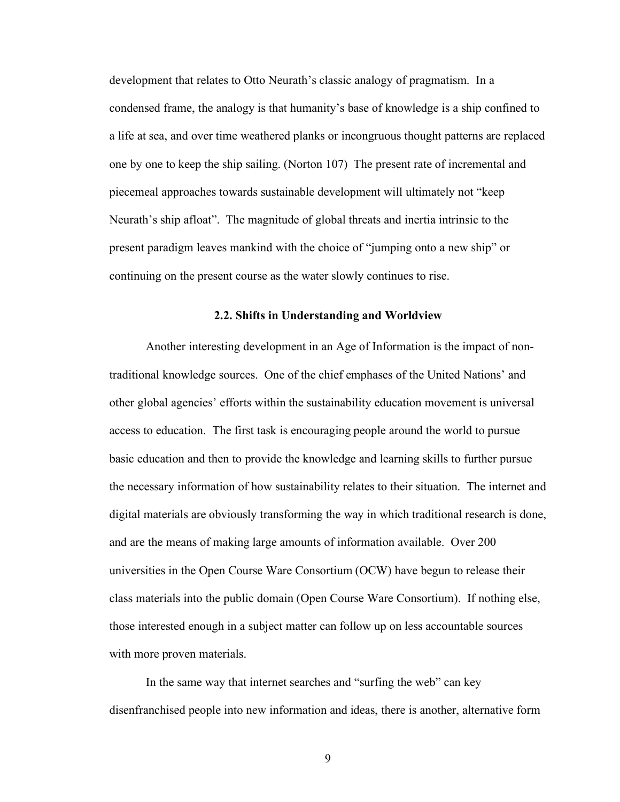development that relates to Otto Neurath's classic analogy of pragmatism. In a condensed frame, the analogy is that humanity's base of knowledge is a ship confined to a life at sea, and over time weathered planks or incongruous thought patterns are replaced one by one to keep the ship sailing. (Norton 107) The present rate of incremental and piecemeal approaches towards sustainable development will ultimately not "keep Neurath's ship afloat". The magnitude of global threats and inertia intrinsic to the present paradigm leaves mankind with the choice of "jumping onto a new ship" or continuing on the present course as the water slowly continues to rise.

#### **2.2. Shifts in Understanding and Worldview**

Another interesting development in an Age of Information is the impact of nontraditional knowledge sources. One of the chief emphases of the United Nations' and other global agencies' efforts within the sustainability education movement is universal access to education. The first task is encouraging people around the world to pursue basic education and then to provide the knowledge and learning skills to further pursue the necessary information of how sustainability relates to their situation. The internet and digital materials are obviously transforming the way in which traditional research is done, and are the means of making large amounts of information available. Over 200 universities in the Open Course Ware Consortium (OCW) have begun to release their class materials into the public domain (Open Course Ware Consortium). If nothing else, those interested enough in a subject matter can follow up on less accountable sources with more proven materials.

In the same way that internet searches and "surfing the web" can key disenfranchised people into new information and ideas, there is another, alternative form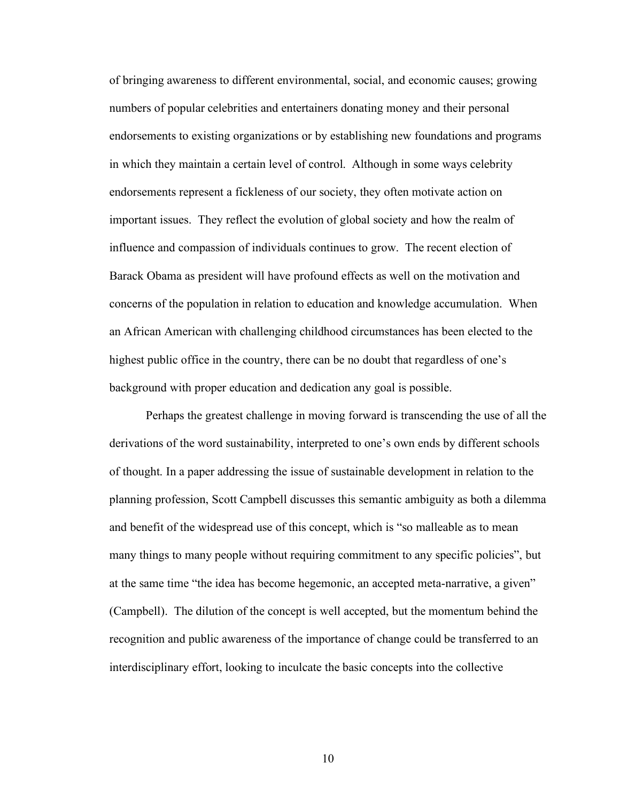of bringing awareness to different environmental, social, and economic causes; growing numbers of popular celebrities and entertainers donating money and their personal endorsements to existing organizations or by establishing new foundations and programs in which they maintain a certain level of control. Although in some ways celebrity endorsements represent a fickleness of our society, they often motivate action on important issues. They reflect the evolution of global society and how the realm of influence and compassion of individuals continues to grow. The recent election of Barack Obama as president will have profound effects as well on the motivation and concerns of the population in relation to education and knowledge accumulation. When an African American with challenging childhood circumstances has been elected to the highest public office in the country, there can be no doubt that regardless of one's background with proper education and dedication any goal is possible.

Perhaps the greatest challenge in moving forward is transcending the use of all the derivations of the word sustainability, interpreted to one's own ends by different schools of thought. In a paper addressing the issue of sustainable development in relation to the planning profession, Scott Campbell discusses this semantic ambiguity as both a dilemma and benefit of the widespread use of this concept, which is "so malleable as to mean many things to many people without requiring commitment to any specific policies", but at the same time "the idea has become hegemonic, an accepted meta-narrative, a given" (Campbell). The dilution of the concept is well accepted, but the momentum behind the recognition and public awareness of the importance of change could be transferred to an interdisciplinary effort, looking to inculcate the basic concepts into the collective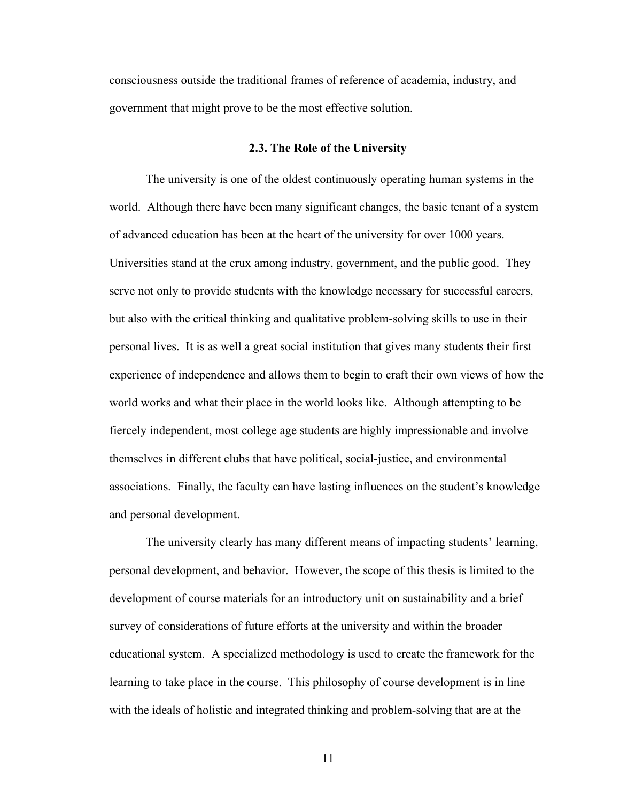consciousness outside the traditional frames of reference of academia, industry, and government that might prove to be the most effective solution.

#### **2.3. The Role of the University**

The university is one of the oldest continuously operating human systems in the world. Although there have been many significant changes, the basic tenant of a system of advanced education has been at the heart of the university for over 1000 years. Universities stand at the crux among industry, government, and the public good. They serve not only to provide students with the knowledge necessary for successful careers, but also with the critical thinking and qualitative problem-solving skills to use in their personal lives. It is as well a great social institution that gives many students their first experience of independence and allows them to begin to craft their own views of how the world works and what their place in the world looks like. Although attempting to be fiercely independent, most college age students are highly impressionable and involve themselves in different clubs that have political, social-justice, and environmental associations. Finally, the faculty can have lasting influences on the student's knowledge and personal development.

The university clearly has many different means of impacting students' learning, personal development, and behavior. However, the scope of this thesis is limited to the development of course materials for an introductory unit on sustainability and a brief survey of considerations of future efforts at the university and within the broader educational system. A specialized methodology is used to create the framework for the learning to take place in the course. This philosophy of course development is in line with the ideals of holistic and integrated thinking and problem-solving that are at the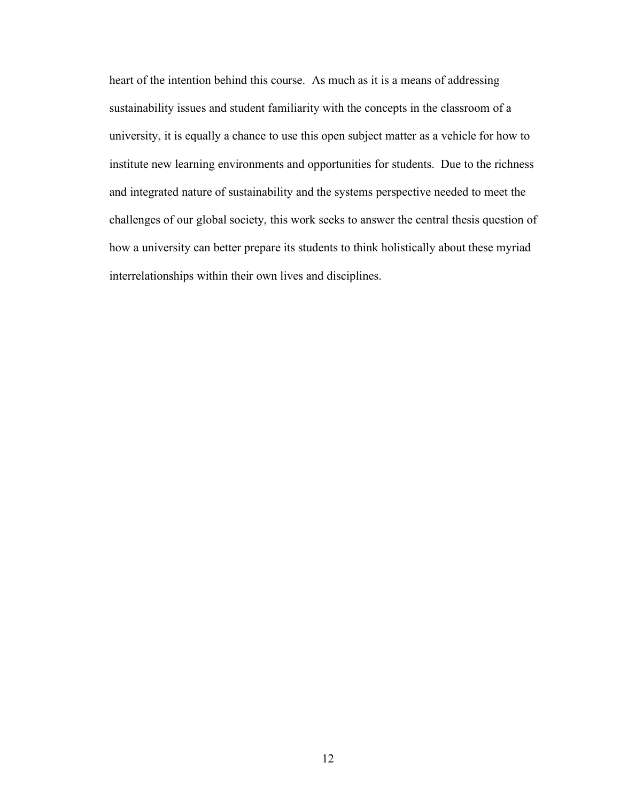heart of the intention behind this course. As much as it is a means of addressing sustainability issues and student familiarity with the concepts in the classroom of a university, it is equally a chance to use this open subject matter as a vehicle for how to institute new learning environments and opportunities for students. Due to the richness and integrated nature of sustainability and the systems perspective needed to meet the challenges of our global society, this work seeks to answer the central thesis question of how a university can better prepare its students to think holistically about these myriad interrelationships within their own lives and disciplines.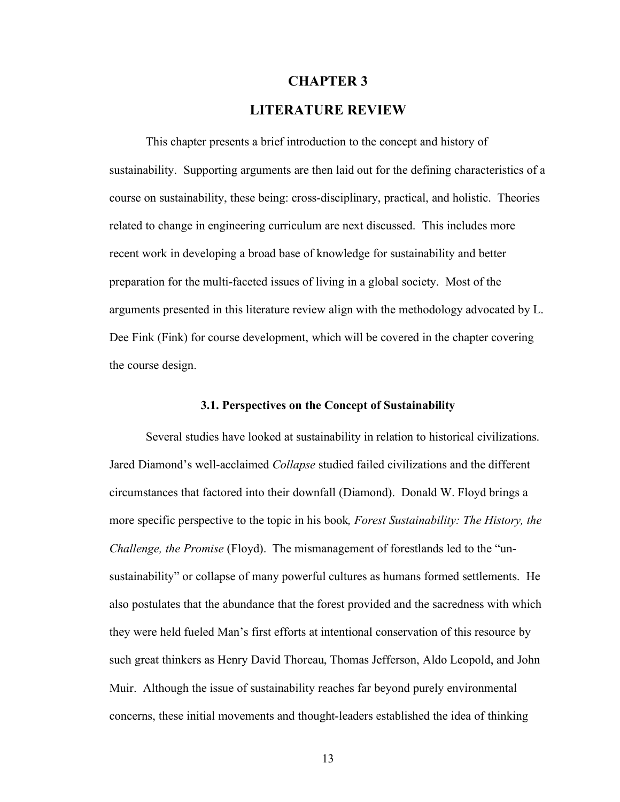# **CHAPTER 3**

# **LITERATURE REVIEW**

This chapter presents a brief introduction to the concept and history of sustainability. Supporting arguments are then laid out for the defining characteristics of a course on sustainability, these being: cross-disciplinary, practical, and holistic. Theories related to change in engineering curriculum are next discussed. This includes more recent work in developing a broad base of knowledge for sustainability and better preparation for the multi-faceted issues of living in a global society. Most of the arguments presented in this literature review align with the methodology advocated by L. Dee Fink (Fink) for course development, which will be covered in the chapter covering the course design.

#### **3.1. Perspectives on the Concept of Sustainability**

Several studies have looked at sustainability in relation to historical civilizations. Jared Diamond's well-acclaimed *Collapse* studied failed civilizations and the different circumstances that factored into their downfall (Diamond). Donald W. Floyd brings a more specific perspective to the topic in his book*, Forest Sustainability: The History, the Challenge, the Promise* (Floyd). The mismanagement of forestlands led to the "unsustainability" or collapse of many powerful cultures as humans formed settlements. He also postulates that the abundance that the forest provided and the sacredness with which they were held fueled Man's first efforts at intentional conservation of this resource by such great thinkers as Henry David Thoreau, Thomas Jefferson, Aldo Leopold, and John Muir. Although the issue of sustainability reaches far beyond purely environmental concerns, these initial movements and thought-leaders established the idea of thinking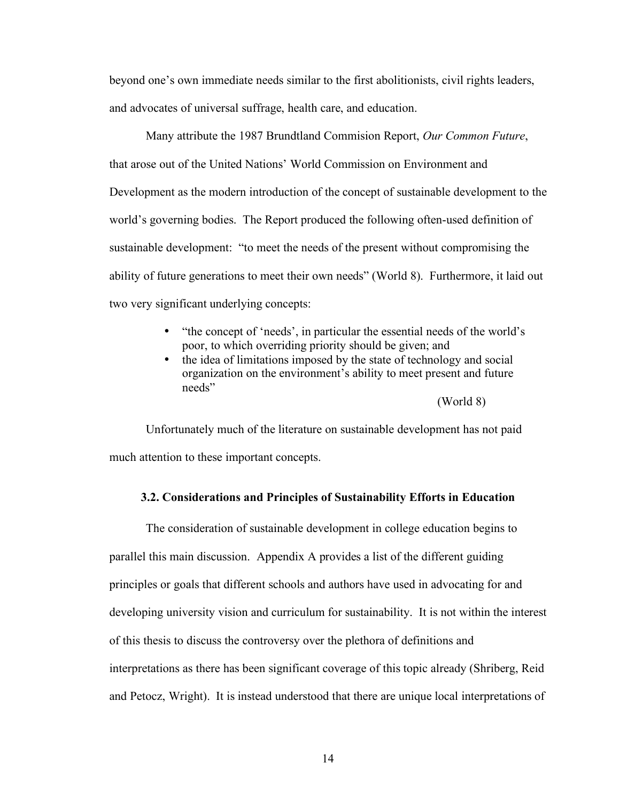beyond one's own immediate needs similar to the first abolitionists, civil rights leaders, and advocates of universal suffrage, health care, and education.

Many attribute the 1987 Brundtland Commision Report, *Our Common Future*, that arose out of the United Nations' World Commission on Environment and Development as the modern introduction of the concept of sustainable development to the world's governing bodies. The Report produced the following often-used definition of sustainable development: "to meet the needs of the present without compromising the ability of future generations to meet their own needs" (World 8). Furthermore, it laid out two very significant underlying concepts:

- "the concept of 'needs', in particular the essential needs of the world's poor, to which overriding priority should be given; and
- the idea of limitations imposed by the state of technology and social organization on the environment's ability to meet present and future needs"

(World 8)

Unfortunately much of the literature on sustainable development has not paid much attention to these important concepts.

#### **3.2. Considerations and Principles of Sustainability Efforts in Education**

The consideration of sustainable development in college education begins to parallel this main discussion. Appendix A provides a list of the different guiding principles or goals that different schools and authors have used in advocating for and developing university vision and curriculum for sustainability. It is not within the interest of this thesis to discuss the controversy over the plethora of definitions and interpretations as there has been significant coverage of this topic already (Shriberg, Reid and Petocz, Wright). It is instead understood that there are unique local interpretations of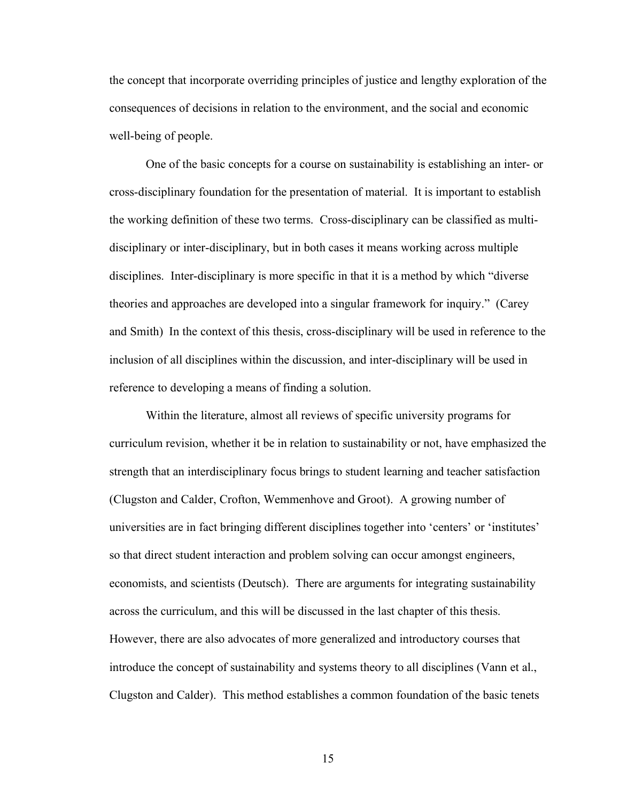the concept that incorporate overriding principles of justice and lengthy exploration of the consequences of decisions in relation to the environment, and the social and economic well-being of people.

One of the basic concepts for a course on sustainability is establishing an inter- or cross-disciplinary foundation for the presentation of material. It is important to establish the working definition of these two terms. Cross-disciplinary can be classified as multidisciplinary or inter-disciplinary, but in both cases it means working across multiple disciplines. Inter-disciplinary is more specific in that it is a method by which "diverse theories and approaches are developed into a singular framework for inquiry." (Carey and Smith) In the context of this thesis, cross-disciplinary will be used in reference to the inclusion of all disciplines within the discussion, and inter-disciplinary will be used in reference to developing a means of finding a solution.

Within the literature, almost all reviews of specific university programs for curriculum revision, whether it be in relation to sustainability or not, have emphasized the strength that an interdisciplinary focus brings to student learning and teacher satisfaction (Clugston and Calder, Crofton, Wemmenhove and Groot). A growing number of universities are in fact bringing different disciplines together into 'centers' or 'institutes' so that direct student interaction and problem solving can occur amongst engineers, economists, and scientists (Deutsch). There are arguments for integrating sustainability across the curriculum, and this will be discussed in the last chapter of this thesis. However, there are also advocates of more generalized and introductory courses that introduce the concept of sustainability and systems theory to all disciplines (Vann et al., Clugston and Calder). This method establishes a common foundation of the basic tenets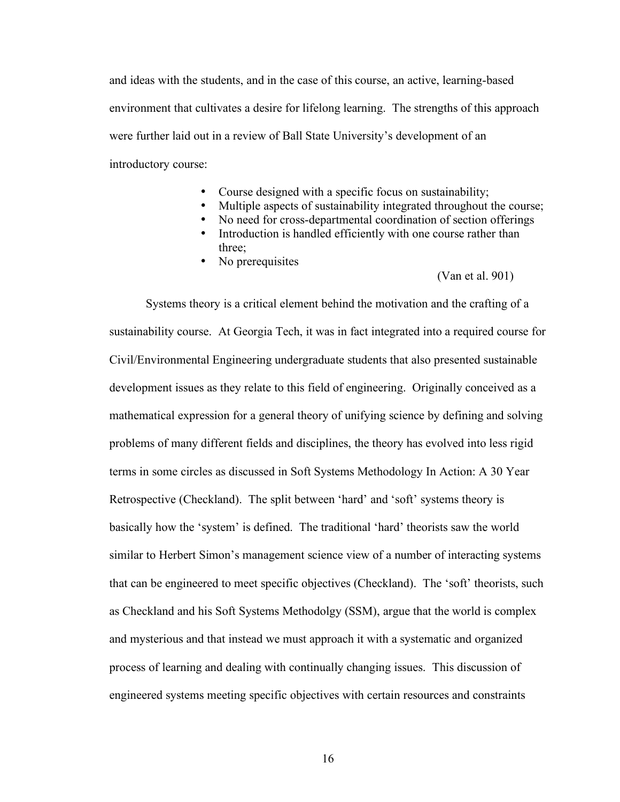and ideas with the students, and in the case of this course, an active, learning-based environment that cultivates a desire for lifelong learning. The strengths of this approach were further laid out in a review of Ball State University's development of an introductory course:

- Course designed with a specific focus on sustainability;
- Multiple aspects of sustainability integrated throughout the course;
- No need for cross-departmental coordination of section offerings
- Introduction is handled efficiently with one course rather than three;
- No prerequisites

#### (Van et al. 901)

Systems theory is a critical element behind the motivation and the crafting of a sustainability course. At Georgia Tech, it was in fact integrated into a required course for Civil/Environmental Engineering undergraduate students that also presented sustainable development issues as they relate to this field of engineering. Originally conceived as a mathematical expression for a general theory of unifying science by defining and solving problems of many different fields and disciplines, the theory has evolved into less rigid terms in some circles as discussed in Soft Systems Methodology In Action: A 30 Year Retrospective (Checkland). The split between 'hard' and 'soft' systems theory is basically how the 'system' is defined. The traditional 'hard' theorists saw the world similar to Herbert Simon's management science view of a number of interacting systems that can be engineered to meet specific objectives (Checkland). The 'soft' theorists, such as Checkland and his Soft Systems Methodolgy (SSM), argue that the world is complex and mysterious and that instead we must approach it with a systematic and organized process of learning and dealing with continually changing issues. This discussion of engineered systems meeting specific objectives with certain resources and constraints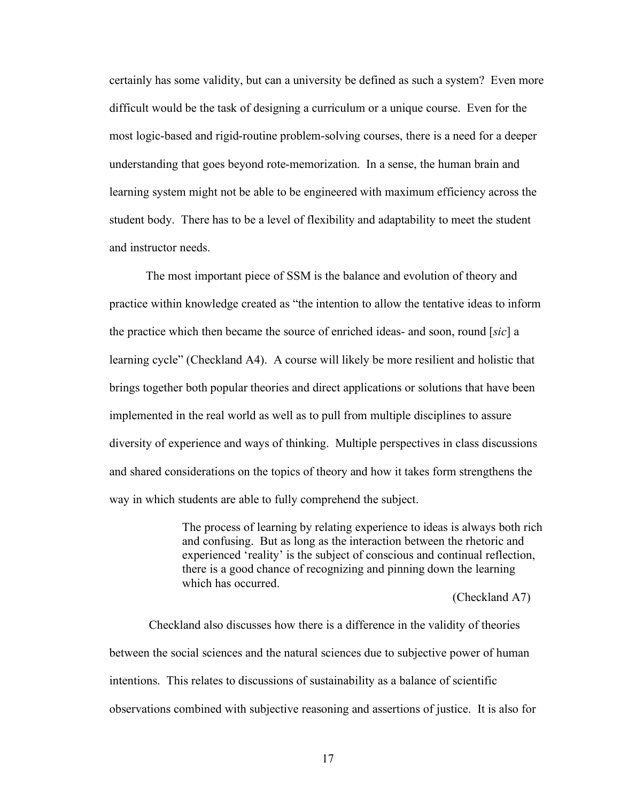certainly has some validity, but can a university be defined as such a system? Even more difficult would be the task of designing a curriculum or a unique course. Even for the most logic-based and rigid-routine problem-solving courses, there is a need for a deeper understanding that goes beyond rote-memorization. In a sense, the human brain and learning system might not be able to be engineered with maximum efficiency across the student body. There has to be a level of flexibility and adaptability to meet the student and instructor needs.

The most important piece of SSM is the balance and evolution of theory and practice within knowledge created as "the intention to allow the tentative ideas to inform the practice which then became the source of enriched ideas- and soon, round [*sic*] a learning cycle" (Checkland A4). A course will likely be more resilient and holistic that brings together both popular theories and direct applications or solutions that have been implemented in the real world as well as to pull from multiple disciplines to assure diversity of experience and ways of thinking. Multiple perspectives in class discussions and shared considerations on the topics of theory and how it takes form strengthens the way in which students are able to fully comprehend the subject.

> The process of learning by relating experience to ideas is always both rich and confusing. But as long as the interaction between the rhetoric and experienced 'reality' is the subject of conscious and continual reflection, there is a good chance of recognizing and pinning down the learning which has occurred.

> > (Checkland A7)

Checkland also discusses how there is a difference in the validity of theories between the social sciences and the natural sciences due to subjective power of human intentions. This relates to discussions of sustainability as a balance of scientific observations combined with subjective reasoning and assertions of justice. It is also for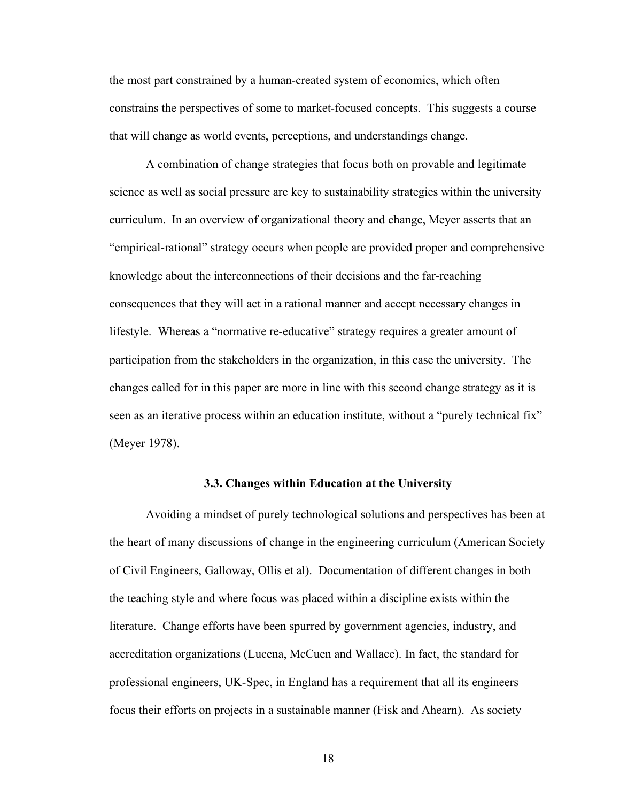the most part constrained by a human-created system of economics, which often constrains the perspectives of some to market-focused concepts. This suggests a course that will change as world events, perceptions, and understandings change.

A combination of change strategies that focus both on provable and legitimate science as well as social pressure are key to sustainability strategies within the university curriculum. In an overview of organizational theory and change, Meyer asserts that an "empirical-rational" strategy occurs when people are provided proper and comprehensive knowledge about the interconnections of their decisions and the far-reaching consequences that they will act in a rational manner and accept necessary changes in lifestyle. Whereas a "normative re-educative" strategy requires a greater amount of participation from the stakeholders in the organization, in this case the university. The changes called for in this paper are more in line with this second change strategy as it is seen as an iterative process within an education institute, without a "purely technical fix" (Meyer 1978).

#### **3.3. Changes within Education at the University**

Avoiding a mindset of purely technological solutions and perspectives has been at the heart of many discussions of change in the engineering curriculum (American Society of Civil Engineers, Galloway, Ollis et al). Documentation of different changes in both the teaching style and where focus was placed within a discipline exists within the literature. Change efforts have been spurred by government agencies, industry, and accreditation organizations (Lucena, McCuen and Wallace). In fact, the standard for professional engineers, UK-Spec, in England has a requirement that all its engineers focus their efforts on projects in a sustainable manner (Fisk and Ahearn). As society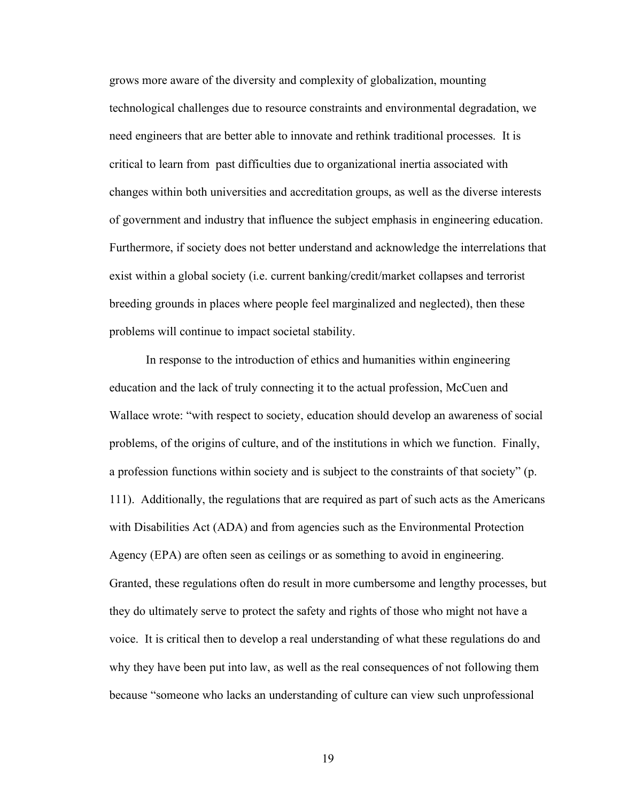grows more aware of the diversity and complexity of globalization, mounting technological challenges due to resource constraints and environmental degradation, we need engineers that are better able to innovate and rethink traditional processes. It is critical to learn from past difficulties due to organizational inertia associated with changes within both universities and accreditation groups, as well as the diverse interests of government and industry that influence the subject emphasis in engineering education. Furthermore, if society does not better understand and acknowledge the interrelations that exist within a global society (i.e. current banking/credit/market collapses and terrorist breeding grounds in places where people feel marginalized and neglected), then these problems will continue to impact societal stability.

In response to the introduction of ethics and humanities within engineering education and the lack of truly connecting it to the actual profession, McCuen and Wallace wrote: "with respect to society, education should develop an awareness of social problems, of the origins of culture, and of the institutions in which we function. Finally, a profession functions within society and is subject to the constraints of that society" (p. 111). Additionally, the regulations that are required as part of such acts as the Americans with Disabilities Act (ADA) and from agencies such as the Environmental Protection Agency (EPA) are often seen as ceilings or as something to avoid in engineering. Granted, these regulations often do result in more cumbersome and lengthy processes, but they do ultimately serve to protect the safety and rights of those who might not have a voice. It is critical then to develop a real understanding of what these regulations do and why they have been put into law, as well as the real consequences of not following them because "someone who lacks an understanding of culture can view such unprofessional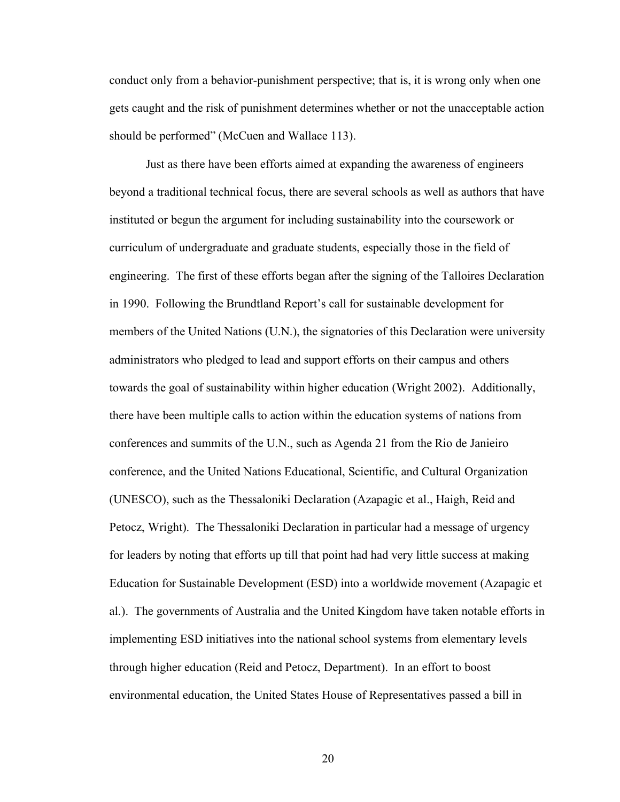conduct only from a behavior-punishment perspective; that is, it is wrong only when one gets caught and the risk of punishment determines whether or not the unacceptable action should be performed" (McCuen and Wallace 113).

Just as there have been efforts aimed at expanding the awareness of engineers beyond a traditional technical focus, there are several schools as well as authors that have instituted or begun the argument for including sustainability into the coursework or curriculum of undergraduate and graduate students, especially those in the field of engineering. The first of these efforts began after the signing of the Talloires Declaration in 1990. Following the Brundtland Report's call for sustainable development for members of the United Nations (U.N.), the signatories of this Declaration were university administrators who pledged to lead and support efforts on their campus and others towards the goal of sustainability within higher education (Wright 2002). Additionally, there have been multiple calls to action within the education systems of nations from conferences and summits of the U.N., such as Agenda 21 from the Rio de Janieiro conference, and the United Nations Educational, Scientific, and Cultural Organization (UNESCO), such as the Thessaloniki Declaration (Azapagic et al., Haigh, Reid and Petocz, Wright). The Thessaloniki Declaration in particular had a message of urgency for leaders by noting that efforts up till that point had had very little success at making Education for Sustainable Development (ESD) into a worldwide movement (Azapagic et al.). The governments of Australia and the United Kingdom have taken notable efforts in implementing ESD initiatives into the national school systems from elementary levels through higher education (Reid and Petocz, Department). In an effort to boost environmental education, the United States House of Representatives passed a bill in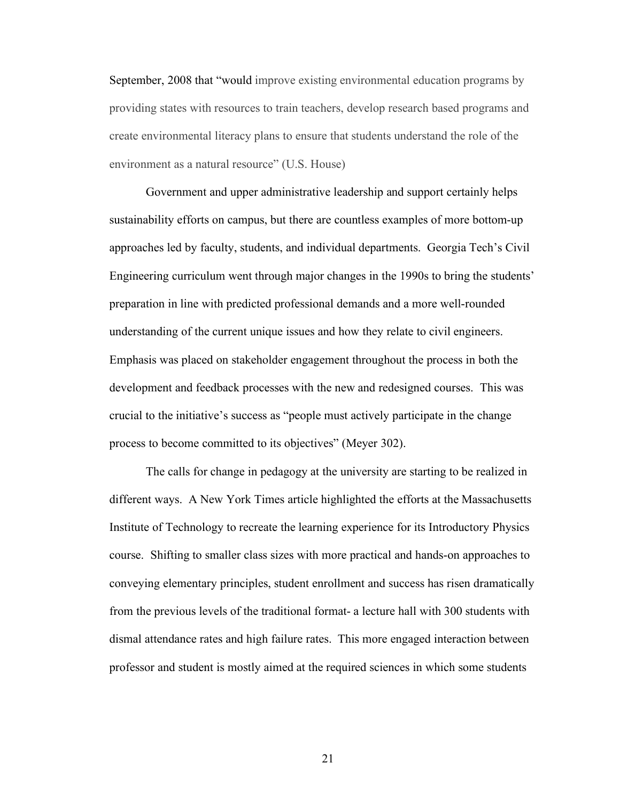September, 2008 that "would improve existing environmental education programs by providing states with resources to train teachers, develop research based programs and create environmental literacy plans to ensure that students understand the role of the environment as a natural resource" (U.S. House)

Government and upper administrative leadership and support certainly helps sustainability efforts on campus, but there are countless examples of more bottom-up approaches led by faculty, students, and individual departments. Georgia Tech's Civil Engineering curriculum went through major changes in the 1990s to bring the students' preparation in line with predicted professional demands and a more well-rounded understanding of the current unique issues and how they relate to civil engineers. Emphasis was placed on stakeholder engagement throughout the process in both the development and feedback processes with the new and redesigned courses. This was crucial to the initiative's success as "people must actively participate in the change process to become committed to its objectives" (Meyer 302).

The calls for change in pedagogy at the university are starting to be realized in different ways. A New York Times article highlighted the efforts at the Massachusetts Institute of Technology to recreate the learning experience for its Introductory Physics course. Shifting to smaller class sizes with more practical and hands-on approaches to conveying elementary principles, student enrollment and success has risen dramatically from the previous levels of the traditional format- a lecture hall with 300 students with dismal attendance rates and high failure rates. This more engaged interaction between professor and student is mostly aimed at the required sciences in which some students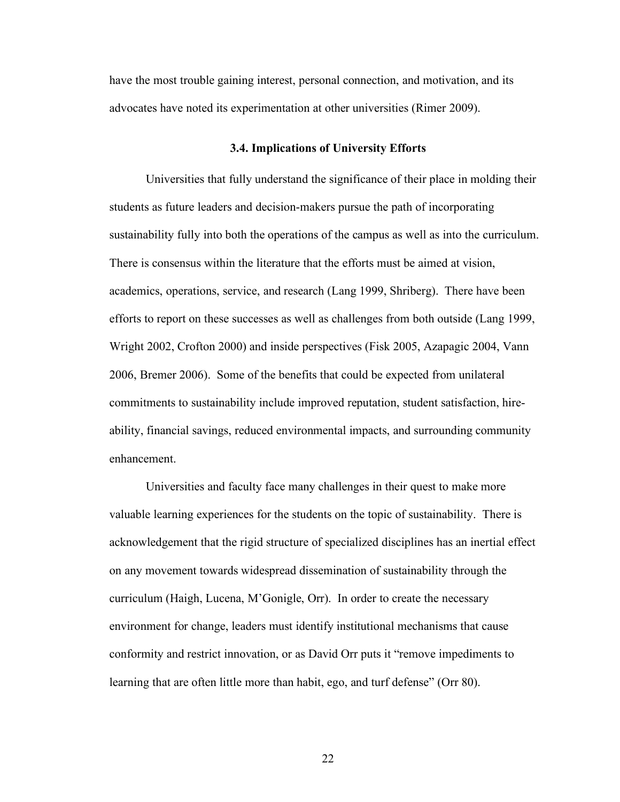have the most trouble gaining interest, personal connection, and motivation, and its advocates have noted its experimentation at other universities (Rimer 2009).

#### **3.4. Implications of University Efforts**

Universities that fully understand the significance of their place in molding their students as future leaders and decision-makers pursue the path of incorporating sustainability fully into both the operations of the campus as well as into the curriculum. There is consensus within the literature that the efforts must be aimed at vision, academics, operations, service, and research (Lang 1999, Shriberg). There have been efforts to report on these successes as well as challenges from both outside (Lang 1999, Wright 2002, Crofton 2000) and inside perspectives (Fisk 2005, Azapagic 2004, Vann 2006, Bremer 2006). Some of the benefits that could be expected from unilateral commitments to sustainability include improved reputation, student satisfaction, hireability, financial savings, reduced environmental impacts, and surrounding community enhancement.

Universities and faculty face many challenges in their quest to make more valuable learning experiences for the students on the topic of sustainability. There is acknowledgement that the rigid structure of specialized disciplines has an inertial effect on any movement towards widespread dissemination of sustainability through the curriculum (Haigh, Lucena, M'Gonigle, Orr). In order to create the necessary environment for change, leaders must identify institutional mechanisms that cause conformity and restrict innovation, or as David Orr puts it "remove impediments to learning that are often little more than habit, ego, and turf defense" (Orr 80).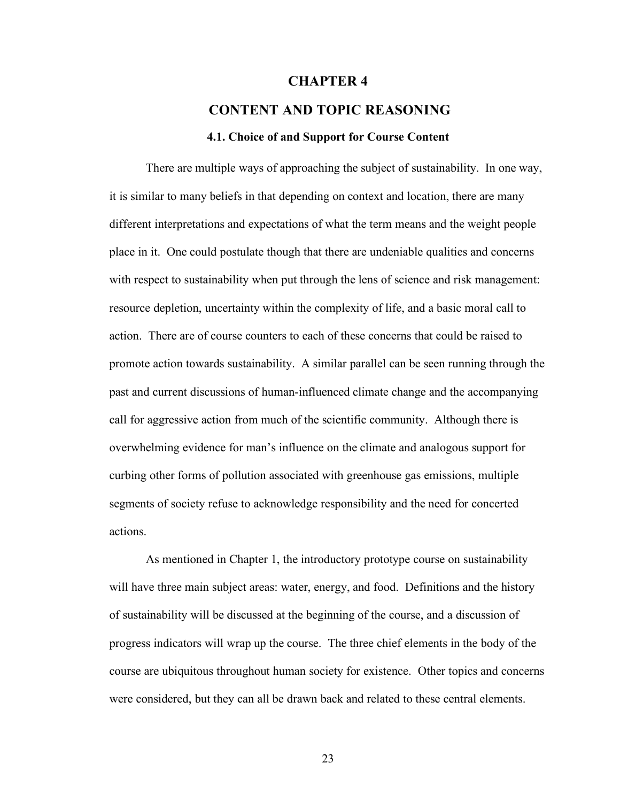#### **CHAPTER 4**

# **CONTENT AND TOPIC REASONING**

#### **4.1. Choice of and Support for Course Content**

There are multiple ways of approaching the subject of sustainability. In one way, it is similar to many beliefs in that depending on context and location, there are many different interpretations and expectations of what the term means and the weight people place in it. One could postulate though that there are undeniable qualities and concerns with respect to sustainability when put through the lens of science and risk management: resource depletion, uncertainty within the complexity of life, and a basic moral call to action. There are of course counters to each of these concerns that could be raised to promote action towards sustainability. A similar parallel can be seen running through the past and current discussions of human-influenced climate change and the accompanying call for aggressive action from much of the scientific community. Although there is overwhelming evidence for man's influence on the climate and analogous support for curbing other forms of pollution associated with greenhouse gas emissions, multiple segments of society refuse to acknowledge responsibility and the need for concerted actions.

As mentioned in Chapter 1, the introductory prototype course on sustainability will have three main subject areas: water, energy, and food. Definitions and the history of sustainability will be discussed at the beginning of the course, and a discussion of progress indicators will wrap up the course. The three chief elements in the body of the course are ubiquitous throughout human society for existence. Other topics and concerns were considered, but they can all be drawn back and related to these central elements.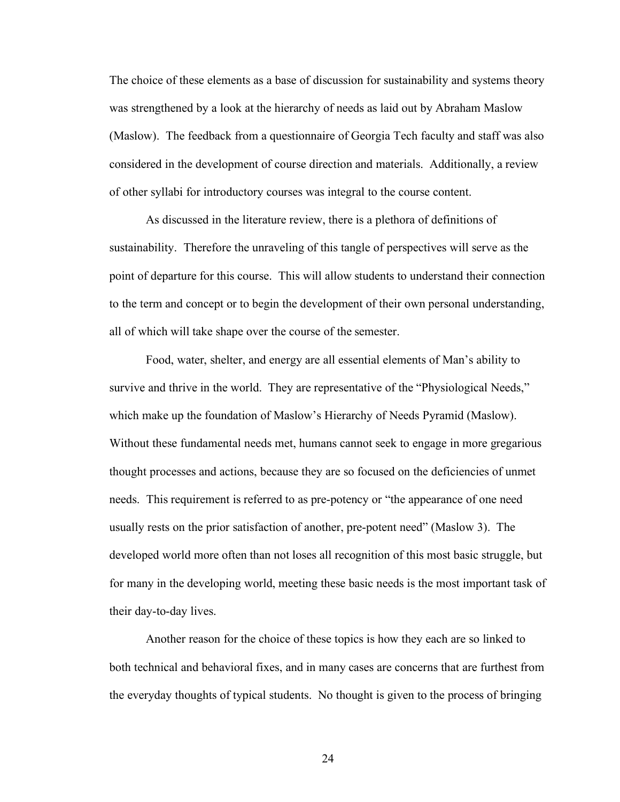The choice of these elements as a base of discussion for sustainability and systems theory was strengthened by a look at the hierarchy of needs as laid out by Abraham Maslow (Maslow). The feedback from a questionnaire of Georgia Tech faculty and staff was also considered in the development of course direction and materials. Additionally, a review of other syllabi for introductory courses was integral to the course content.

As discussed in the literature review, there is a plethora of definitions of sustainability. Therefore the unraveling of this tangle of perspectives will serve as the point of departure for this course. This will allow students to understand their connection to the term and concept or to begin the development of their own personal understanding, all of which will take shape over the course of the semester.

Food, water, shelter, and energy are all essential elements of Man's ability to survive and thrive in the world. They are representative of the "Physiological Needs," which make up the foundation of Maslow's Hierarchy of Needs Pyramid (Maslow). Without these fundamental needs met, humans cannot seek to engage in more gregarious thought processes and actions, because they are so focused on the deficiencies of unmet needs. This requirement is referred to as pre-potency or "the appearance of one need usually rests on the prior satisfaction of another, pre-potent need" (Maslow 3). The developed world more often than not loses all recognition of this most basic struggle, but for many in the developing world, meeting these basic needs is the most important task of their day-to-day lives.

Another reason for the choice of these topics is how they each are so linked to both technical and behavioral fixes, and in many cases are concerns that are furthest from the everyday thoughts of typical students. No thought is given to the process of bringing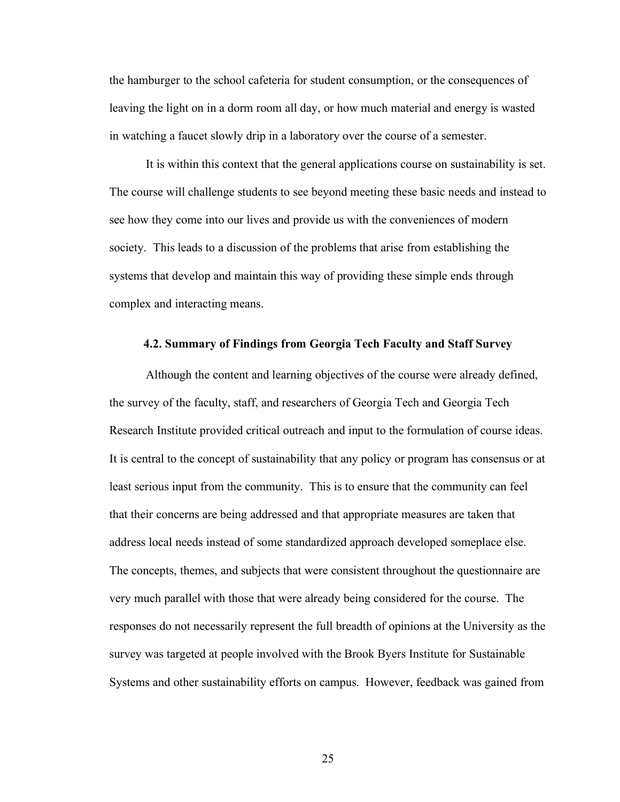the hamburger to the school cafeteria for student consumption, or the consequences of leaving the light on in a dorm room all day, or how much material and energy is wasted in watching a faucet slowly drip in a laboratory over the course of a semester.

It is within this context that the general applications course on sustainability is set. The course will challenge students to see beyond meeting these basic needs and instead to see how they come into our lives and provide us with the conveniences of modern society. This leads to a discussion of the problems that arise from establishing the systems that develop and maintain this way of providing these simple ends through complex and interacting means.

#### **4.2. Summary of Findings from Georgia Tech Faculty and Staff Survey**

Although the content and learning objectives of the course were already defined, the survey of the faculty, staff, and researchers of Georgia Tech and Georgia Tech Research Institute provided critical outreach and input to the formulation of course ideas. It is central to the concept of sustainability that any policy or program has consensus or at least serious input from the community. This is to ensure that the community can feel that their concerns are being addressed and that appropriate measures are taken that address local needs instead of some standardized approach developed someplace else. The concepts, themes, and subjects that were consistent throughout the questionnaire are very much parallel with those that were already being considered for the course. The responses do not necessarily represent the full breadth of opinions at the University as the survey was targeted at people involved with the Brook Byers Institute for Sustainable Systems and other sustainability efforts on campus. However, feedback was gained from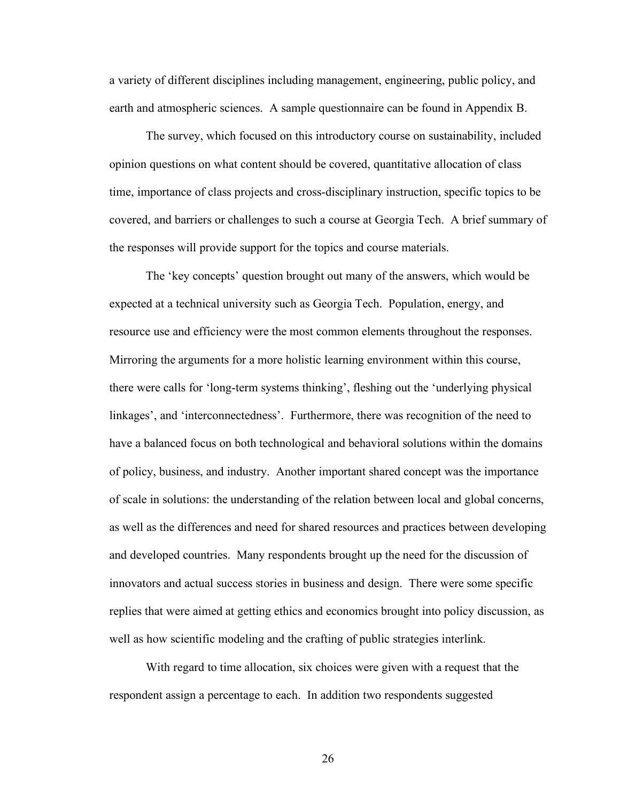a variety of different disciplines including management, engineering, public policy, and earth and atmospheric sciences. A sample questionnaire can be found in Appendix B.

The survey, which focused on this introductory course on sustainability, included opinion questions on what content should be covered, quantitative allocation of class time, importance of class projects and cross-disciplinary instruction, specific topics to be covered, and barriers or challenges to such a course at Georgia Tech. A brief summary of the responses will provide support for the topics and course materials.

The 'key concepts' question brought out many of the answers, which would be expected at a technical university such as Georgia Tech. Population, energy, and resource use and efficiency were the most common elements throughout the responses. Mirroring the arguments for a more holistic learning environment within this course, there were calls for 'long-term systems thinking', fleshing out the 'underlying physical linkages', and 'interconnectedness'. Furthermore, there was recognition of the need to have a balanced focus on both technological and behavioral solutions within the domains of policy, business, and industry. Another important shared concept was the importance of scale in solutions: the understanding of the relation between local and global concerns, as well as the differences and need for shared resources and practices between developing and developed countries. Many respondents brought up the need for the discussion of innovators and actual success stories in business and design. There were some specific replies that were aimed at getting ethics and economics brought into policy discussion, as well as how scientific modeling and the crafting of public strategies interlink.

With regard to time allocation, six choices were given with a request that the respondent assign a percentage to each. In addition two respondents suggested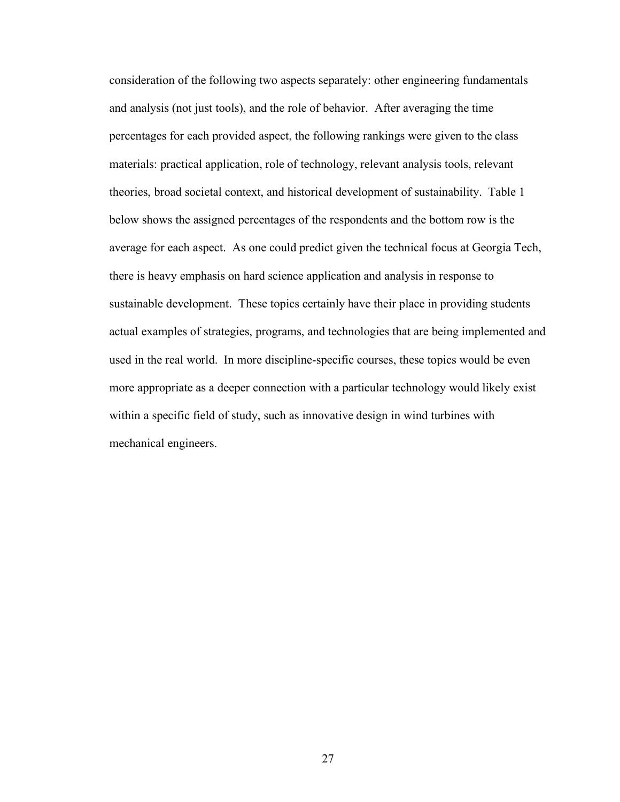consideration of the following two aspects separately: other engineering fundamentals and analysis (not just tools), and the role of behavior. After averaging the time percentages for each provided aspect, the following rankings were given to the class materials: practical application, role of technology, relevant analysis tools, relevant theories, broad societal context, and historical development of sustainability. Table 1 below shows the assigned percentages of the respondents and the bottom row is the average for each aspect. As one could predict given the technical focus at Georgia Tech, there is heavy emphasis on hard science application and analysis in response to sustainable development. These topics certainly have their place in providing students actual examples of strategies, programs, and technologies that are being implemented and used in the real world. In more discipline-specific courses, these topics would be even more appropriate as a deeper connection with a particular technology would likely exist within a specific field of study, such as innovative design in wind turbines with mechanical engineers.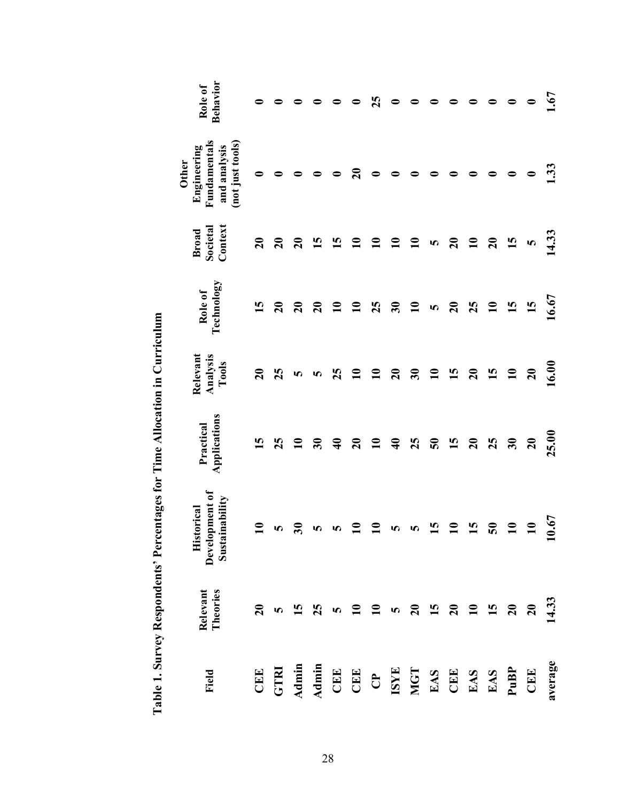| Behavior<br>Role of<br>Fundamentals<br>(not just tools)<br>and analysis<br>Engineering<br><b>Other</b> |                 | 0               |                 |                          |                    | $\mathbf{S}$       | 25<br>◒       | $\bullet$<br>0  | ◒              |                 |                 |                                         | 0               | $\bullet$<br>$\bullet$ | $\bullet$<br>$\bullet$ | 1.67<br>1.33 |
|--------------------------------------------------------------------------------------------------------|-----------------|-----------------|-----------------|--------------------------|--------------------|--------------------|---------------|-----------------|----------------|-----------------|-----------------|-----------------------------------------|-----------------|------------------------|------------------------|--------------|
| Context<br>Societal<br><b>Broad</b>                                                                    | $\mathbf{S}$    | $\overline{20}$ | $\mathbf{S}$    | 15                       | $\overline{15}$    | $\mathbf{10}$      | $\mathbf{a}$  | $\mathbf{u}$    | $\mathbf{\Xi}$ | 5               | $\mathbf{S}$    | $\mathbf{a}$                            | $\overline{20}$ | $\mathbf{5}$           | $\bullet$              | 14.33        |
| Technology<br>Role of                                                                                  | 15              | $\mathbf{S}$    | $\overline{20}$ | $\overline{20}$          | $\mathbf{u}$       | $\mathbf{10}$      | 25            | $30$            | $\mathbf{10}$  | S               | $\mathbf{S}$    | 25                                      | $\mathbf{u}$    | 15                     | 15                     | 16.67        |
| Relevant<br>Analysis<br>Tools                                                                          | $\overline{20}$ | 25              | S               | 5                        | 25                 | $\mathbf{10}$      | $\mathbf{10}$ | $\overline{20}$ | 30             | $\mathbf{10}$   | 15              | $\overline{20}$                         | 15              | $\mathbf{10}$          | $\mathbf{20}$          | 16.00        |
| Applications<br>Practical                                                                              | $\overline{15}$ | 25              | $\mathbf{a}$    | $\overline{\mathbf{30}}$ | $\mathbf{\hat{z}}$ | $\overline{20}$    | $\mathbf{u}$  | $\triangleleft$ | 25             | $\mathbf{S}$    | 15              | $\mathbf{S}$                            | 25              | $\mathbf{30}$          | $\overline{20}$        | 25.00        |
| Development of<br>Sustainability<br>Historical                                                         | $\mathbf{u}$    | S               | ౾               | n                        | r,                 | $\mathbf{\Xi}$     | $\mathbf{10}$ | S               | S              | 15              | $\mathbf{r}$    | $\overline{15}$                         | $\mathbf{S}$    | $\mathbf{u}$           | $\overline{10}$        | 0.67<br>−    |
| Theories<br>Relevant                                                                                   | $\overline{20}$ | n               | <u>ମ</u>        | 25                       | 5                  | $\mathbf{10}$      | $\mathbf{10}$ | S               | $\mathbf{z_0}$ | $\overline{15}$ | $\overline{20}$ | $\begin{array}{c} 10 \\ 15 \end{array}$ |                 | $\overline{20}$        | $\mathbf{C}$           | 14.33        |
| Field                                                                                                  | CEE             | <b>GTRI</b>     | Admin           | <b>Admin</b>             | CEE                | CEE CP EXS EAS EAS |               |                 |                |                 |                 |                                         |                 | $Pu$ B $P$             | CEE                    | average      |

Table 1. Survey Respondents' Percentages for Time Allocation in Curriculum **Table 1. Survey Respondents' Percentages for Time Allocation in Curriculum**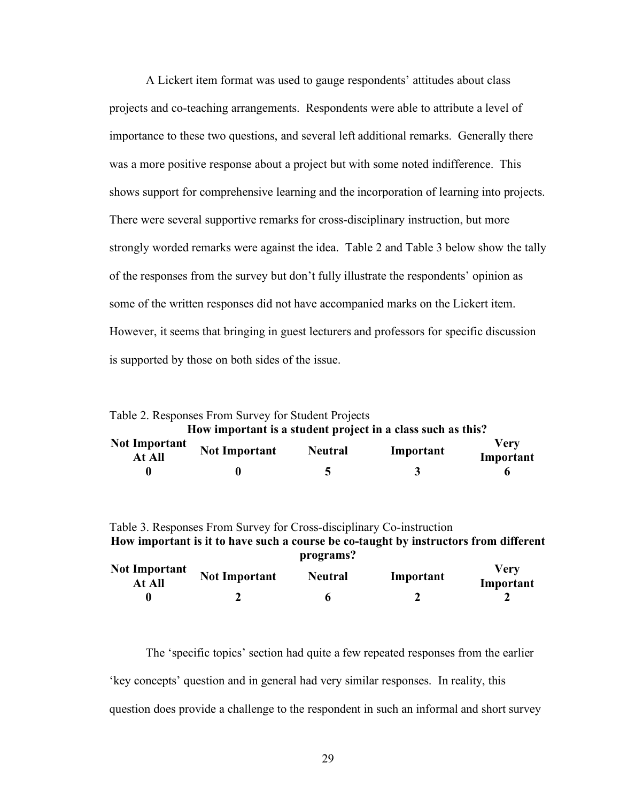A Lickert item format was used to gauge respondents' attitudes about class projects and co-teaching arrangements. Respondents were able to attribute a level of importance to these two questions, and several left additional remarks. Generally there was a more positive response about a project but with some noted indifference. This shows support for comprehensive learning and the incorporation of learning into projects. There were several supportive remarks for cross-disciplinary instruction, but more strongly worded remarks were against the idea. Table 2 and Table 3 below show the tally of the responses from the survey but don't fully illustrate the respondents' opinion as some of the written responses did not have accompanied marks on the Lickert item. However, it seems that bringing in guest lecturers and professors for specific discussion is supported by those on both sides of the issue.

Table 2. Responses From Survey for Student Projects **How important is a student project in a class such as this? Not Important At All Not Important Neutral Important Very** 

| At All | <b>TOU THEFOLIANU</b> | $1$ vull al | THIPOI tant | Important |
|--------|-----------------------|-------------|-------------|-----------|
|        |                       |             |             |           |

Table 3. Responses From Survey for Cross-disciplinary Co-instruction **How important is it to have such a course be co-taught by instructors from different programs?**

| <b>Not Important</b><br>At All | <b>Not Important</b> | <b>Neutral</b> | Important | Very<br>Important |
|--------------------------------|----------------------|----------------|-----------|-------------------|
|                                |                      |                |           |                   |

The 'specific topics' section had quite a few repeated responses from the earlier 'key concepts' question and in general had very similar responses. In reality, this question does provide a challenge to the respondent in such an informal and short survey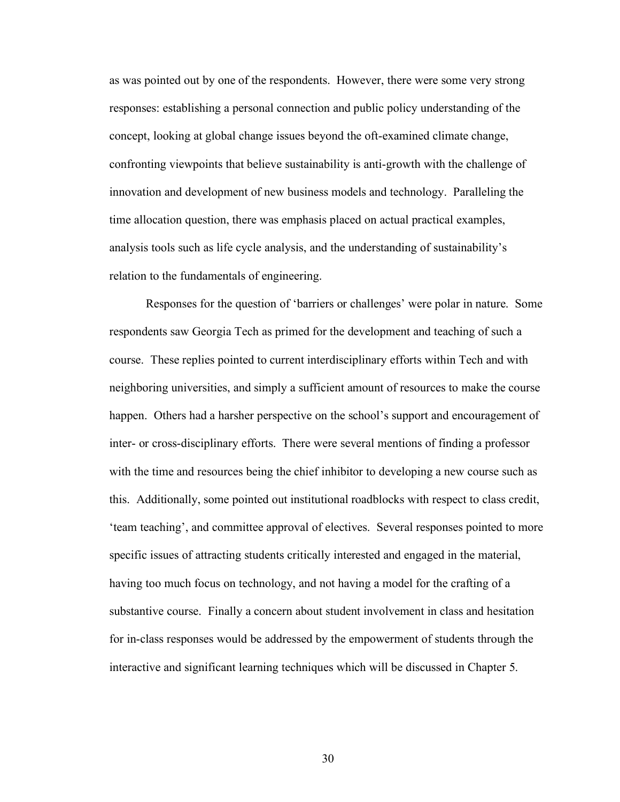as was pointed out by one of the respondents. However, there were some very strong responses: establishing a personal connection and public policy understanding of the concept, looking at global change issues beyond the oft-examined climate change, confronting viewpoints that believe sustainability is anti-growth with the challenge of innovation and development of new business models and technology. Paralleling the time allocation question, there was emphasis placed on actual practical examples, analysis tools such as life cycle analysis, and the understanding of sustainability's relation to the fundamentals of engineering.

Responses for the question of 'barriers or challenges' were polar in nature. Some respondents saw Georgia Tech as primed for the development and teaching of such a course. These replies pointed to current interdisciplinary efforts within Tech and with neighboring universities, and simply a sufficient amount of resources to make the course happen. Others had a harsher perspective on the school's support and encouragement of inter- or cross-disciplinary efforts. There were several mentions of finding a professor with the time and resources being the chief inhibitor to developing a new course such as this. Additionally, some pointed out institutional roadblocks with respect to class credit, 'team teaching', and committee approval of electives. Several responses pointed to more specific issues of attracting students critically interested and engaged in the material, having too much focus on technology, and not having a model for the crafting of a substantive course. Finally a concern about student involvement in class and hesitation for in-class responses would be addressed by the empowerment of students through the interactive and significant learning techniques which will be discussed in Chapter 5.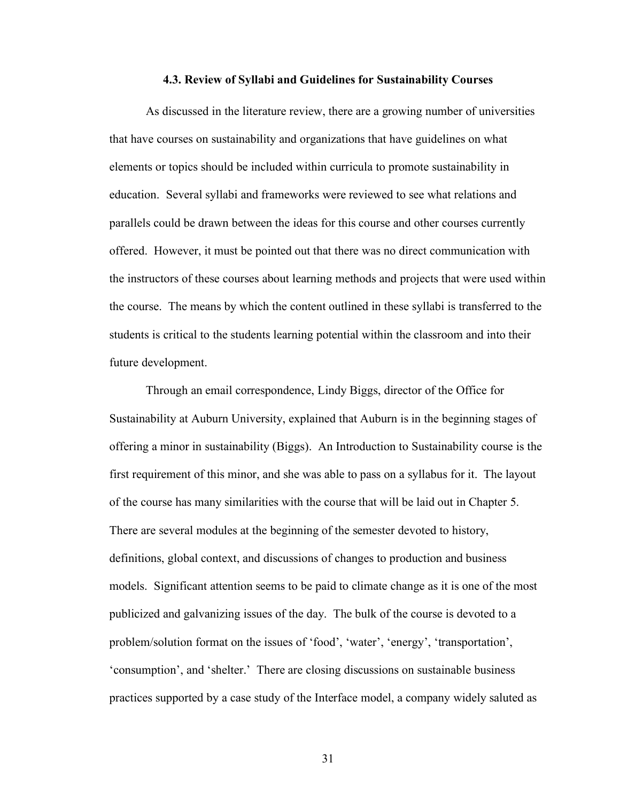#### **4.3. Review of Syllabi and Guidelines for Sustainability Courses**

As discussed in the literature review, there are a growing number of universities that have courses on sustainability and organizations that have guidelines on what elements or topics should be included within curricula to promote sustainability in education. Several syllabi and frameworks were reviewed to see what relations and parallels could be drawn between the ideas for this course and other courses currently offered. However, it must be pointed out that there was no direct communication with the instructors of these courses about learning methods and projects that were used within the course. The means by which the content outlined in these syllabi is transferred to the students is critical to the students learning potential within the classroom and into their future development.

Through an email correspondence, Lindy Biggs, director of the Office for Sustainability at Auburn University, explained that Auburn is in the beginning stages of offering a minor in sustainability (Biggs). An Introduction to Sustainability course is the first requirement of this minor, and she was able to pass on a syllabus for it. The layout of the course has many similarities with the course that will be laid out in Chapter 5. There are several modules at the beginning of the semester devoted to history, definitions, global context, and discussions of changes to production and business models. Significant attention seems to be paid to climate change as it is one of the most publicized and galvanizing issues of the day. The bulk of the course is devoted to a problem/solution format on the issues of 'food', 'water', 'energy', 'transportation', 'consumption', and 'shelter.' There are closing discussions on sustainable business practices supported by a case study of the Interface model, a company widely saluted as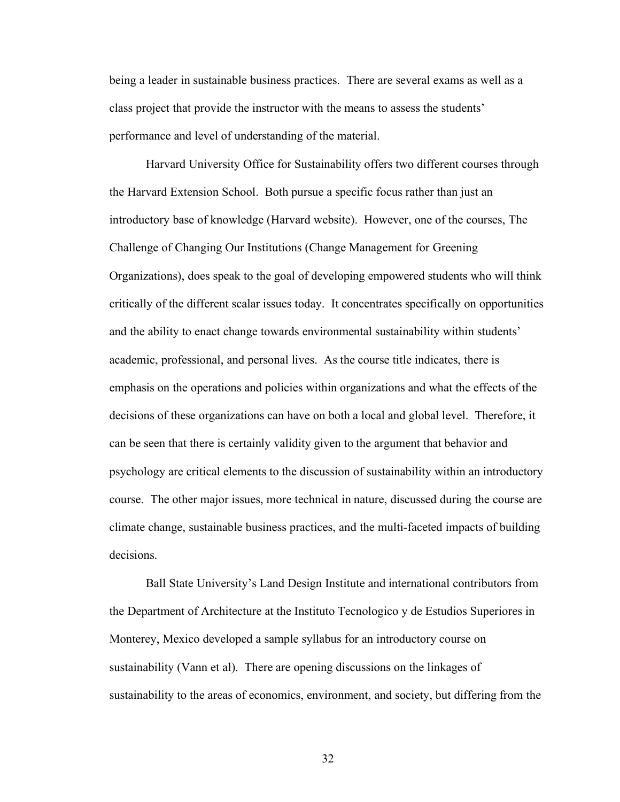being a leader in sustainable business practices. There are several exams as well as a class project that provide the instructor with the means to assess the students' performance and level of understanding of the material.

Harvard University Office for Sustainability offers two different courses through the Harvard Extension School. Both pursue a specific focus rather than just an introductory base of knowledge (Harvard website). However, one of the courses, The Challenge of Changing Our Institutions (Change Management for Greening Organizations), does speak to the goal of developing empowered students who will think critically of the different scalar issues today. It concentrates specifically on opportunities and the ability to enact change towards environmental sustainability within students' academic, professional, and personal lives. As the course title indicates, there is emphasis on the operations and policies within organizations and what the effects of the decisions of these organizations can have on both a local and global level. Therefore, it can be seen that there is certainly validity given to the argument that behavior and psychology are critical elements to the discussion of sustainability within an introductory course. The other major issues, more technical in nature, discussed during the course are climate change, sustainable business practices, and the multi-faceted impacts of building decisions.

Ball State University's Land Design Institute and international contributors from the Department of Architecture at the Instituto Tecnologico y de Estudios Superiores in Monterey, Mexico developed a sample syllabus for an introductory course on sustainability (Vann et al). There are opening discussions on the linkages of sustainability to the areas of economics, environment, and society, but differing from the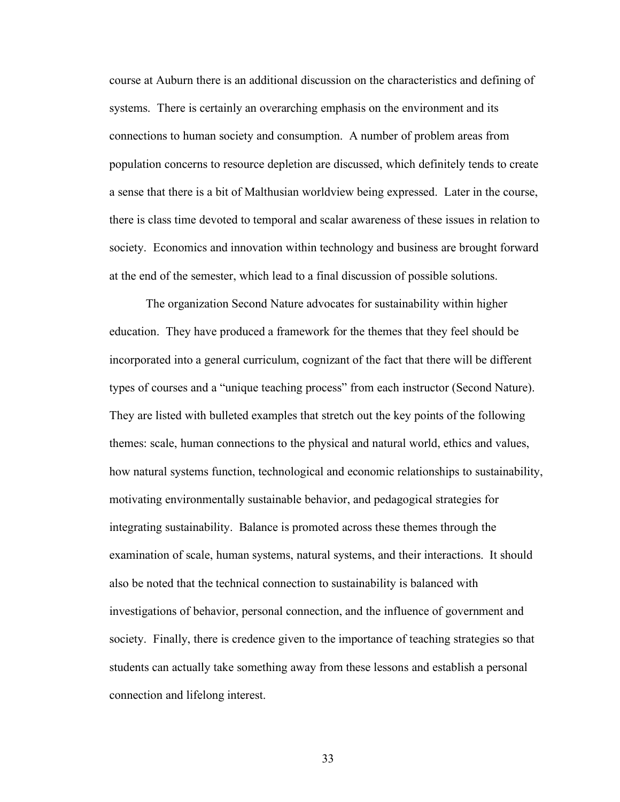course at Auburn there is an additional discussion on the characteristics and defining of systems. There is certainly an overarching emphasis on the environment and its connections to human society and consumption. A number of problem areas from population concerns to resource depletion are discussed, which definitely tends to create a sense that there is a bit of Malthusian worldview being expressed. Later in the course, there is class time devoted to temporal and scalar awareness of these issues in relation to society. Economics and innovation within technology and business are brought forward at the end of the semester, which lead to a final discussion of possible solutions.

The organization Second Nature advocates for sustainability within higher education. They have produced a framework for the themes that they feel should be incorporated into a general curriculum, cognizant of the fact that there will be different types of courses and a "unique teaching process" from each instructor (Second Nature). They are listed with bulleted examples that stretch out the key points of the following themes: scale, human connections to the physical and natural world, ethics and values, how natural systems function, technological and economic relationships to sustainability, motivating environmentally sustainable behavior, and pedagogical strategies for integrating sustainability. Balance is promoted across these themes through the examination of scale, human systems, natural systems, and their interactions. It should also be noted that the technical connection to sustainability is balanced with investigations of behavior, personal connection, and the influence of government and society. Finally, there is credence given to the importance of teaching strategies so that students can actually take something away from these lessons and establish a personal connection and lifelong interest.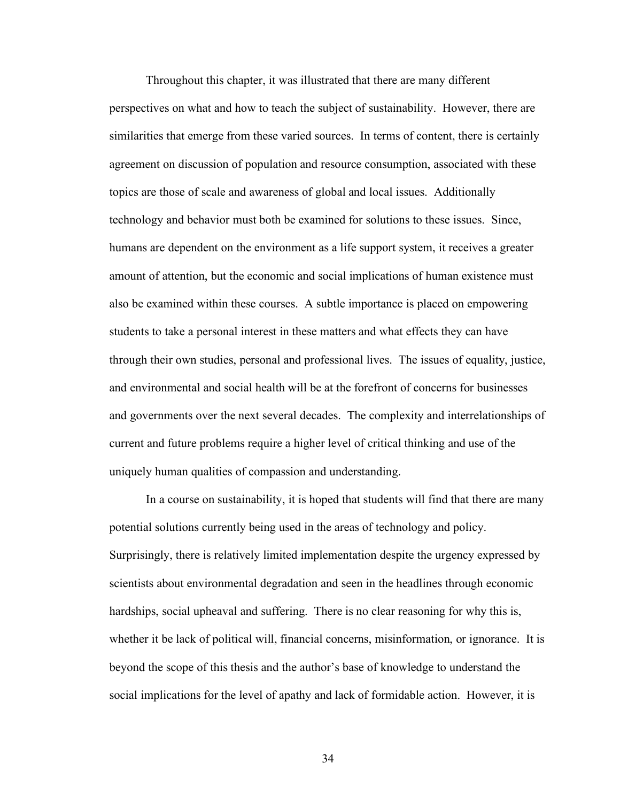Throughout this chapter, it was illustrated that there are many different perspectives on what and how to teach the subject of sustainability. However, there are similarities that emerge from these varied sources. In terms of content, there is certainly agreement on discussion of population and resource consumption, associated with these topics are those of scale and awareness of global and local issues. Additionally technology and behavior must both be examined for solutions to these issues. Since, humans are dependent on the environment as a life support system, it receives a greater amount of attention, but the economic and social implications of human existence must also be examined within these courses. A subtle importance is placed on empowering students to take a personal interest in these matters and what effects they can have through their own studies, personal and professional lives. The issues of equality, justice, and environmental and social health will be at the forefront of concerns for businesses and governments over the next several decades. The complexity and interrelationships of current and future problems require a higher level of critical thinking and use of the uniquely human qualities of compassion and understanding.

In a course on sustainability, it is hoped that students will find that there are many potential solutions currently being used in the areas of technology and policy. Surprisingly, there is relatively limited implementation despite the urgency expressed by scientists about environmental degradation and seen in the headlines through economic hardships, social upheaval and suffering. There is no clear reasoning for why this is, whether it be lack of political will, financial concerns, misinformation, or ignorance. It is beyond the scope of this thesis and the author's base of knowledge to understand the social implications for the level of apathy and lack of formidable action. However, it is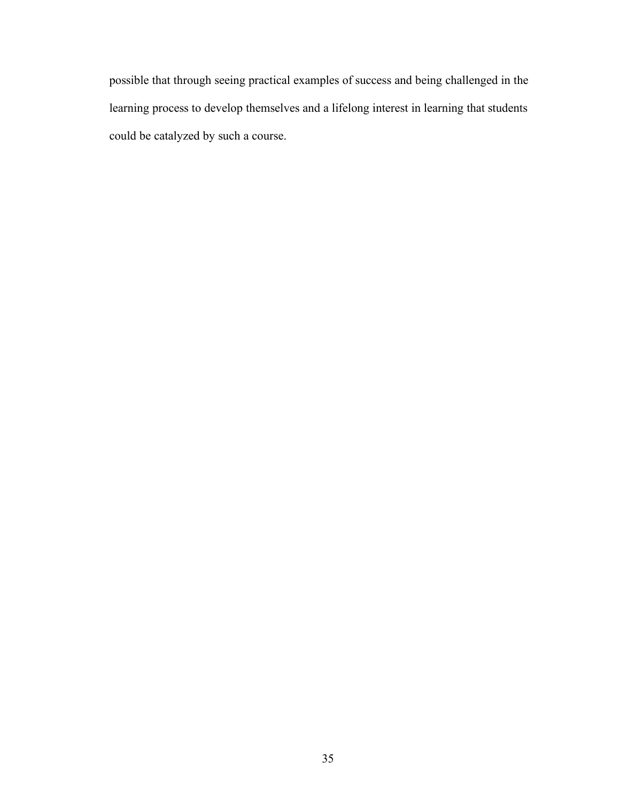possible that through seeing practical examples of success and being challenged in the learning process to develop themselves and a lifelong interest in learning that students could be catalyzed by such a course.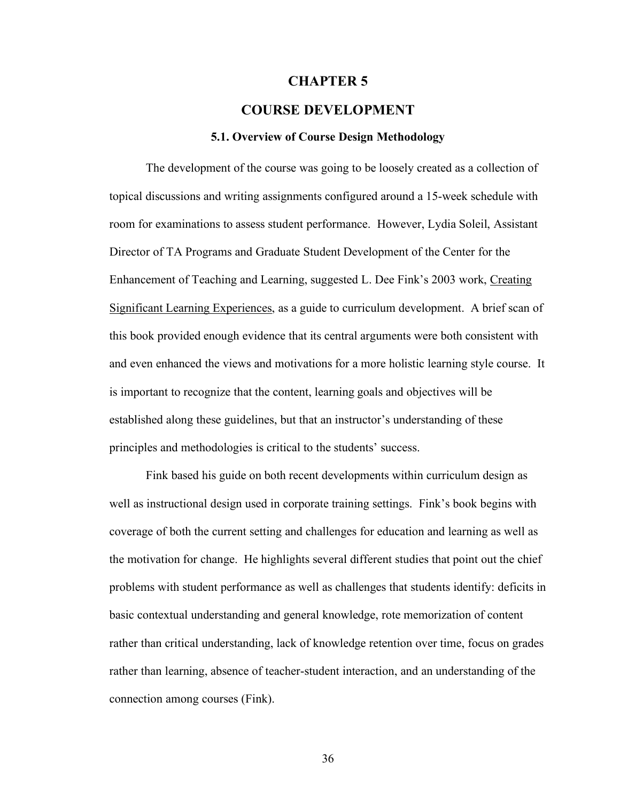## **CHAPTER 5**

## **COURSE DEVELOPMENT**

#### **5.1. Overview of Course Design Methodology**

The development of the course was going to be loosely created as a collection of topical discussions and writing assignments configured around a 15-week schedule with room for examinations to assess student performance. However, Lydia Soleil, Assistant Director of TA Programs and Graduate Student Development of the Center for the Enhancement of Teaching and Learning, suggested L. Dee Fink's 2003 work, Creating Significant Learning Experiences, as a guide to curriculum development. A brief scan of this book provided enough evidence that its central arguments were both consistent with and even enhanced the views and motivations for a more holistic learning style course. It is important to recognize that the content, learning goals and objectives will be established along these guidelines, but that an instructor's understanding of these principles and methodologies is critical to the students' success.

Fink based his guide on both recent developments within curriculum design as well as instructional design used in corporate training settings. Fink's book begins with coverage of both the current setting and challenges for education and learning as well as the motivation for change. He highlights several different studies that point out the chief problems with student performance as well as challenges that students identify: deficits in basic contextual understanding and general knowledge, rote memorization of content rather than critical understanding, lack of knowledge retention over time, focus on grades rather than learning, absence of teacher-student interaction, and an understanding of the connection among courses (Fink).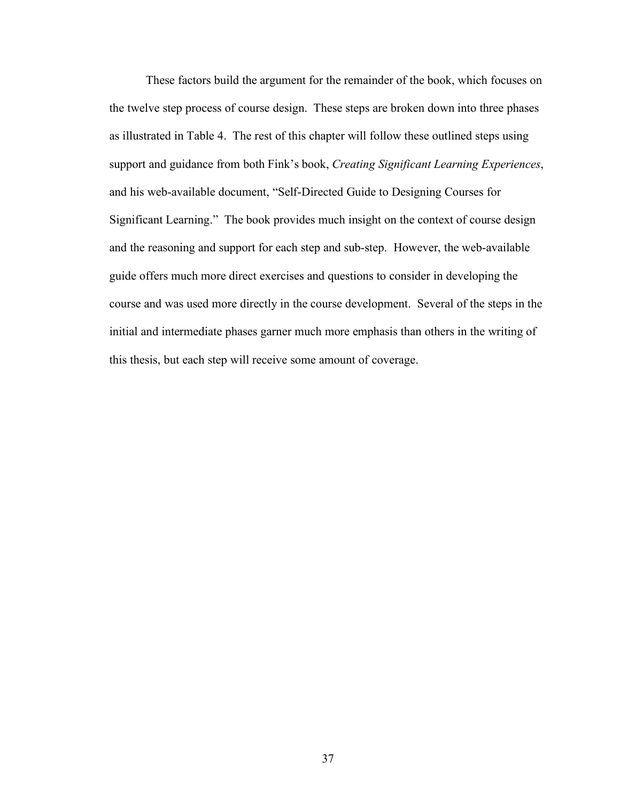These factors build the argument for the remainder of the book, which focuses on the twelve step process of course design. These steps are broken down into three phases as illustrated in Table 4. The rest of this chapter will follow these outlined steps using support and guidance from both Fink's book, *Creating Significant Learning Experiences*, and his web-available document, "Self-Directed Guide to Designing Courses for Significant Learning." The book provides much insight on the context of course design and the reasoning and support for each step and sub-step. However, the web-available guide offers much more direct exercises and questions to consider in developing the course and was used more directly in the course development. Several of the steps in the initial and intermediate phases garner much more emphasis than others in the writing of this thesis, but each step will receive some amount of coverage.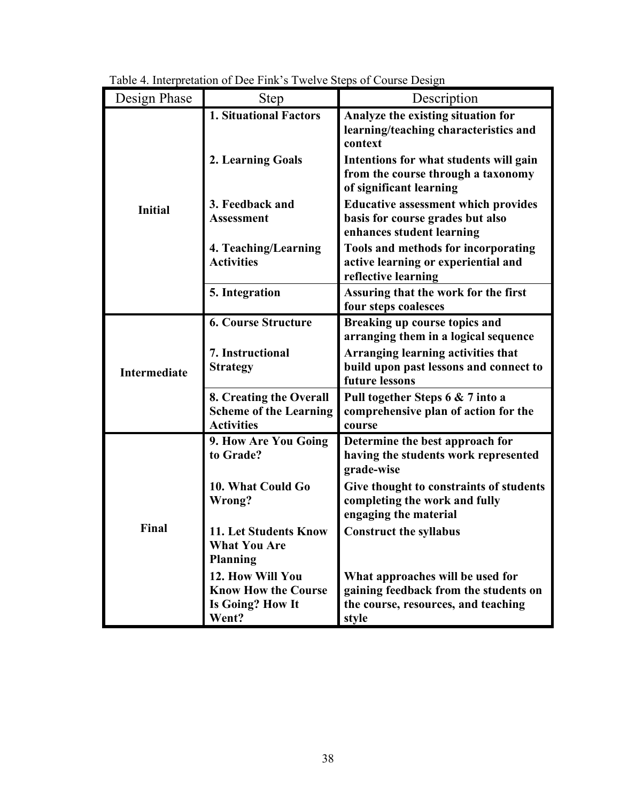| Design Phase        | <b>Step</b>                                                                        | Description                                                                                                               |  |  |  |  |
|---------------------|------------------------------------------------------------------------------------|---------------------------------------------------------------------------------------------------------------------------|--|--|--|--|
|                     | <b>1. Situational Factors</b>                                                      | Analyze the existing situation for<br>learning/teaching characteristics and<br>context                                    |  |  |  |  |
| <b>Initial</b>      | 2. Learning Goals                                                                  | Intentions for what students will gain<br>from the course through a taxonomy<br>of significant learning                   |  |  |  |  |
|                     | 3. Feedback and<br><b>Assessment</b>                                               | <b>Educative assessment which provides</b><br>basis for course grades but also<br>enhances student learning               |  |  |  |  |
|                     | 4. Teaching/Learning<br><b>Activities</b>                                          | <b>Tools and methods for incorporating</b><br>active learning or experiential and<br>reflective learning                  |  |  |  |  |
|                     | 5. Integration                                                                     | Assuring that the work for the first<br>four steps coalesces                                                              |  |  |  |  |
| <b>Intermediate</b> | <b>6. Course Structure</b>                                                         | Breaking up course topics and<br>arranging them in a logical sequence                                                     |  |  |  |  |
|                     | 7. Instructional<br><b>Strategy</b>                                                | Arranging learning activities that<br>build upon past lessons and connect to<br>future lessons                            |  |  |  |  |
|                     | 8. Creating the Overall<br><b>Scheme of the Learning</b><br><b>Activities</b>      | Pull together Steps 6 & 7 into a<br>comprehensive plan of action for the<br>course                                        |  |  |  |  |
| Final               | 9. How Are You Going<br>to Grade?                                                  | Determine the best approach for<br>having the students work represented<br>grade-wise                                     |  |  |  |  |
|                     | 10. What Could Go<br>Wrong?                                                        | Give thought to constraints of students<br>completing the work and fully<br>engaging the material                         |  |  |  |  |
|                     | <b>11. Let Students Know</b><br><b>What You Are</b><br><b>Planning</b>             | <b>Construct the syllabus</b>                                                                                             |  |  |  |  |
|                     | 12. How Will You<br><b>Know How the Course</b><br><b>Is Going? How It</b><br>Went? | What approaches will be used for<br>gaining feedback from the students on<br>the course, resources, and teaching<br>style |  |  |  |  |

Table 4. Interpretation of Dee Fink's Twelve Steps of Course Design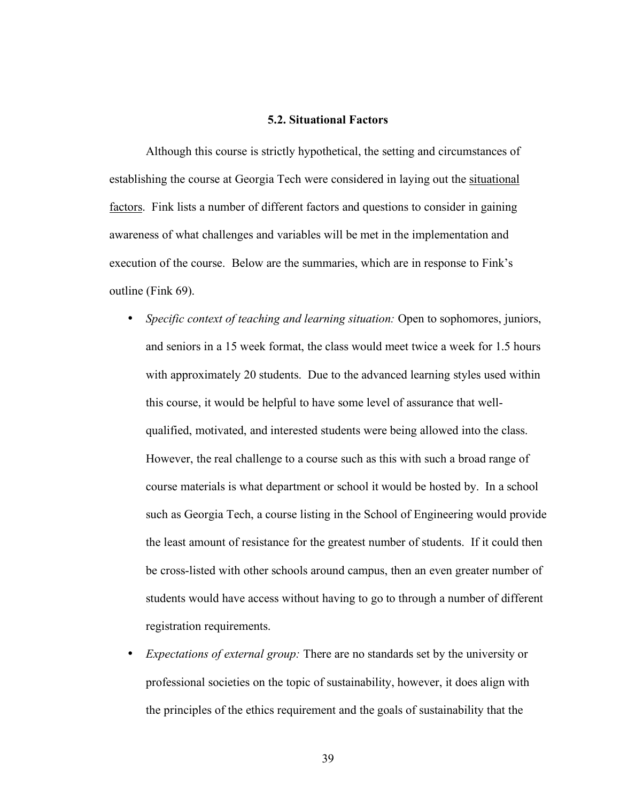#### **5.2. Situational Factors**

Although this course is strictly hypothetical, the setting and circumstances of establishing the course at Georgia Tech were considered in laying out the situational factors. Fink lists a number of different factors and questions to consider in gaining awareness of what challenges and variables will be met in the implementation and execution of the course. Below are the summaries, which are in response to Fink's outline (Fink 69).

- *Specific context of teaching and learning situation:* Open to sophomores, juniors, and seniors in a 15 week format, the class would meet twice a week for 1.5 hours with approximately 20 students. Due to the advanced learning styles used within this course, it would be helpful to have some level of assurance that wellqualified, motivated, and interested students were being allowed into the class. However, the real challenge to a course such as this with such a broad range of course materials is what department or school it would be hosted by. In a school such as Georgia Tech, a course listing in the School of Engineering would provide the least amount of resistance for the greatest number of students. If it could then be cross-listed with other schools around campus, then an even greater number of students would have access without having to go to through a number of different registration requirements.
- *Expectations of external group:* There are no standards set by the university or professional societies on the topic of sustainability, however, it does align with the principles of the ethics requirement and the goals of sustainability that the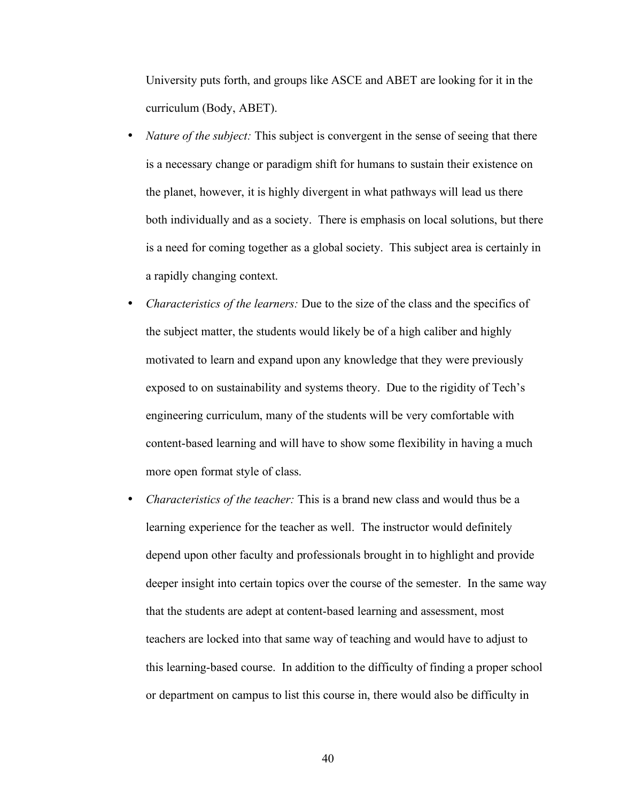University puts forth, and groups like ASCE and ABET are looking for it in the curriculum (Body, ABET).

- *Nature of the subject:* This subject is convergent in the sense of seeing that there is a necessary change or paradigm shift for humans to sustain their existence on the planet, however, it is highly divergent in what pathways will lead us there both individually and as a society. There is emphasis on local solutions, but there is a need for coming together as a global society. This subject area is certainly in a rapidly changing context.
- *Characteristics of the learners:* Due to the size of the class and the specifics of the subject matter, the students would likely be of a high caliber and highly motivated to learn and expand upon any knowledge that they were previously exposed to on sustainability and systems theory. Due to the rigidity of Tech's engineering curriculum, many of the students will be very comfortable with content-based learning and will have to show some flexibility in having a much more open format style of class.
- *Characteristics of the teacher:* This is a brand new class and would thus be a learning experience for the teacher as well. The instructor would definitely depend upon other faculty and professionals brought in to highlight and provide deeper insight into certain topics over the course of the semester. In the same way that the students are adept at content-based learning and assessment, most teachers are locked into that same way of teaching and would have to adjust to this learning-based course. In addition to the difficulty of finding a proper school or department on campus to list this course in, there would also be difficulty in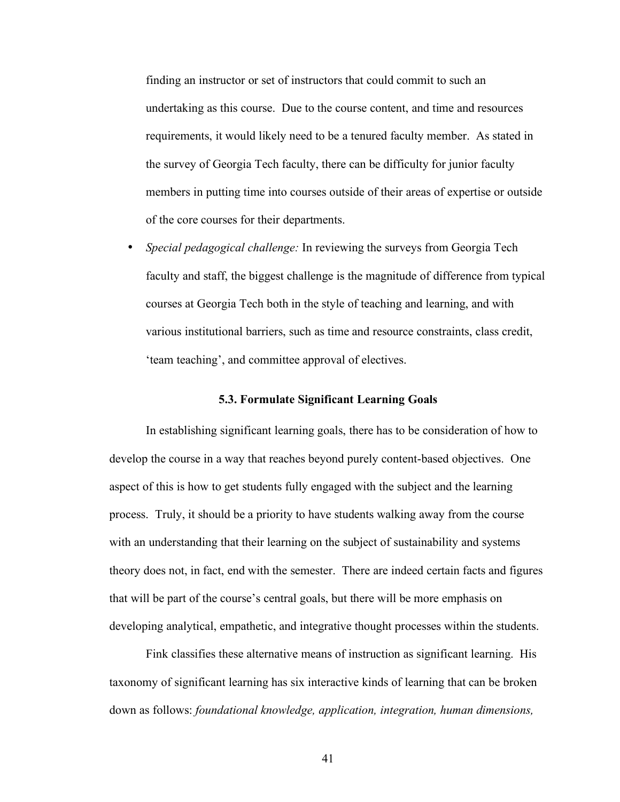finding an instructor or set of instructors that could commit to such an undertaking as this course. Due to the course content, and time and resources requirements, it would likely need to be a tenured faculty member. As stated in the survey of Georgia Tech faculty, there can be difficulty for junior faculty members in putting time into courses outside of their areas of expertise or outside of the core courses for their departments.

• *Special pedagogical challenge:* In reviewing the surveys from Georgia Tech faculty and staff, the biggest challenge is the magnitude of difference from typical courses at Georgia Tech both in the style of teaching and learning, and with various institutional barriers, such as time and resource constraints, class credit, 'team teaching', and committee approval of electives.

### **5.3. Formulate Significant Learning Goals**

In establishing significant learning goals, there has to be consideration of how to develop the course in a way that reaches beyond purely content-based objectives. One aspect of this is how to get students fully engaged with the subject and the learning process. Truly, it should be a priority to have students walking away from the course with an understanding that their learning on the subject of sustainability and systems theory does not, in fact, end with the semester. There are indeed certain facts and figures that will be part of the course's central goals, but there will be more emphasis on developing analytical, empathetic, and integrative thought processes within the students.

Fink classifies these alternative means of instruction as significant learning. His taxonomy of significant learning has six interactive kinds of learning that can be broken down as follows: *foundational knowledge, application, integration, human dimensions,*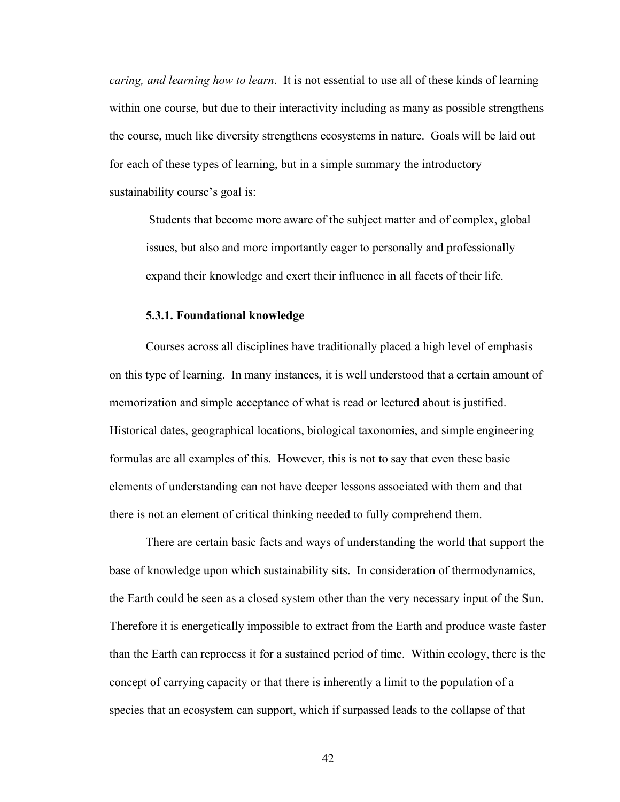*caring, and learning how to learn*. It is not essential to use all of these kinds of learning within one course, but due to their interactivity including as many as possible strengthens the course, much like diversity strengthens ecosystems in nature. Goals will be laid out for each of these types of learning, but in a simple summary the introductory sustainability course's goal is:

Students that become more aware of the subject matter and of complex, global issues, but also and more importantly eager to personally and professionally expand their knowledge and exert their influence in all facets of their life.

#### **5.3.1. Foundational knowledge**

Courses across all disciplines have traditionally placed a high level of emphasis on this type of learning. In many instances, it is well understood that a certain amount of memorization and simple acceptance of what is read or lectured about is justified. Historical dates, geographical locations, biological taxonomies, and simple engineering formulas are all examples of this. However, this is not to say that even these basic elements of understanding can not have deeper lessons associated with them and that there is not an element of critical thinking needed to fully comprehend them.

There are certain basic facts and ways of understanding the world that support the base of knowledge upon which sustainability sits. In consideration of thermodynamics, the Earth could be seen as a closed system other than the very necessary input of the Sun. Therefore it is energetically impossible to extract from the Earth and produce waste faster than the Earth can reprocess it for a sustained period of time. Within ecology, there is the concept of carrying capacity or that there is inherently a limit to the population of a species that an ecosystem can support, which if surpassed leads to the collapse of that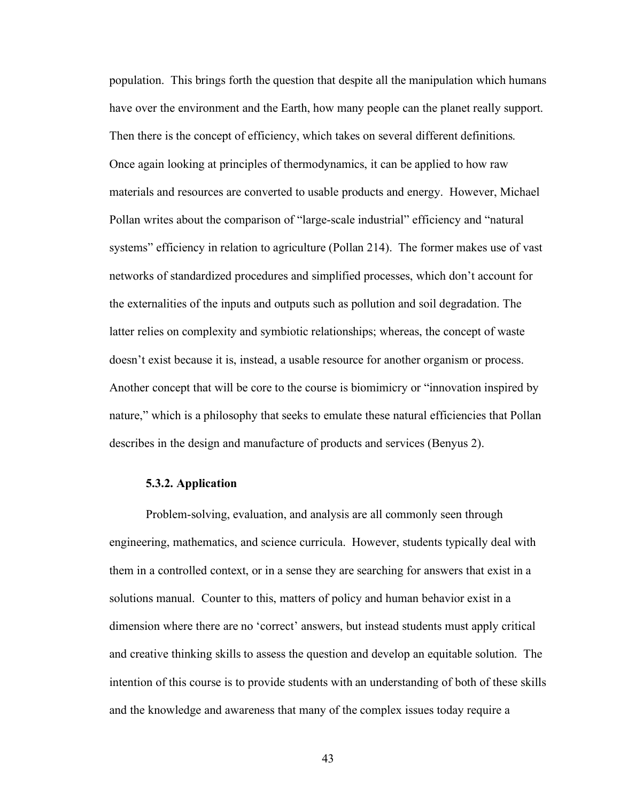population. This brings forth the question that despite all the manipulation which humans have over the environment and the Earth, how many people can the planet really support. Then there is the concept of efficiency, which takes on several different definitions. Once again looking at principles of thermodynamics, it can be applied to how raw materials and resources are converted to usable products and energy. However, Michael Pollan writes about the comparison of "large-scale industrial" efficiency and "natural systems" efficiency in relation to agriculture (Pollan 214). The former makes use of vast networks of standardized procedures and simplified processes, which don't account for the externalities of the inputs and outputs such as pollution and soil degradation. The latter relies on complexity and symbiotic relationships; whereas, the concept of waste doesn't exist because it is, instead, a usable resource for another organism or process. Another concept that will be core to the course is biomimicry or "innovation inspired by nature," which is a philosophy that seeks to emulate these natural efficiencies that Pollan describes in the design and manufacture of products and services (Benyus 2).

## **5.3.2. Application**

Problem-solving, evaluation, and analysis are all commonly seen through engineering, mathematics, and science curricula. However, students typically deal with them in a controlled context, or in a sense they are searching for answers that exist in a solutions manual. Counter to this, matters of policy and human behavior exist in a dimension where there are no 'correct' answers, but instead students must apply critical and creative thinking skills to assess the question and develop an equitable solution. The intention of this course is to provide students with an understanding of both of these skills and the knowledge and awareness that many of the complex issues today require a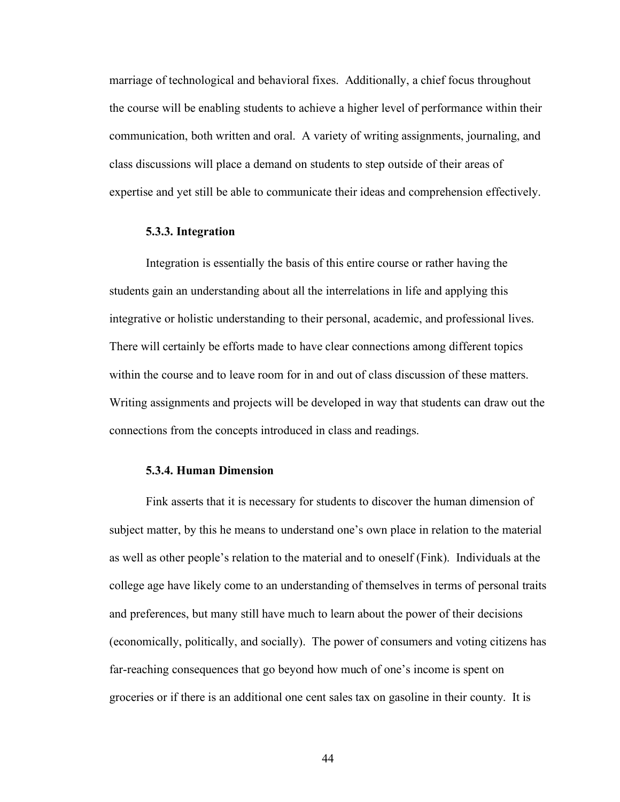marriage of technological and behavioral fixes. Additionally, a chief focus throughout the course will be enabling students to achieve a higher level of performance within their communication, both written and oral. A variety of writing assignments, journaling, and class discussions will place a demand on students to step outside of their areas of expertise and yet still be able to communicate their ideas and comprehension effectively.

## **5.3.3. Integration**

Integration is essentially the basis of this entire course or rather having the students gain an understanding about all the interrelations in life and applying this integrative or holistic understanding to their personal, academic, and professional lives. There will certainly be efforts made to have clear connections among different topics within the course and to leave room for in and out of class discussion of these matters. Writing assignments and projects will be developed in way that students can draw out the connections from the concepts introduced in class and readings.

#### **5.3.4. Human Dimension**

Fink asserts that it is necessary for students to discover the human dimension of subject matter, by this he means to understand one's own place in relation to the material as well as other people's relation to the material and to oneself (Fink). Individuals at the college age have likely come to an understanding of themselves in terms of personal traits and preferences, but many still have much to learn about the power of their decisions (economically, politically, and socially). The power of consumers and voting citizens has far-reaching consequences that go beyond how much of one's income is spent on groceries or if there is an additional one cent sales tax on gasoline in their county. It is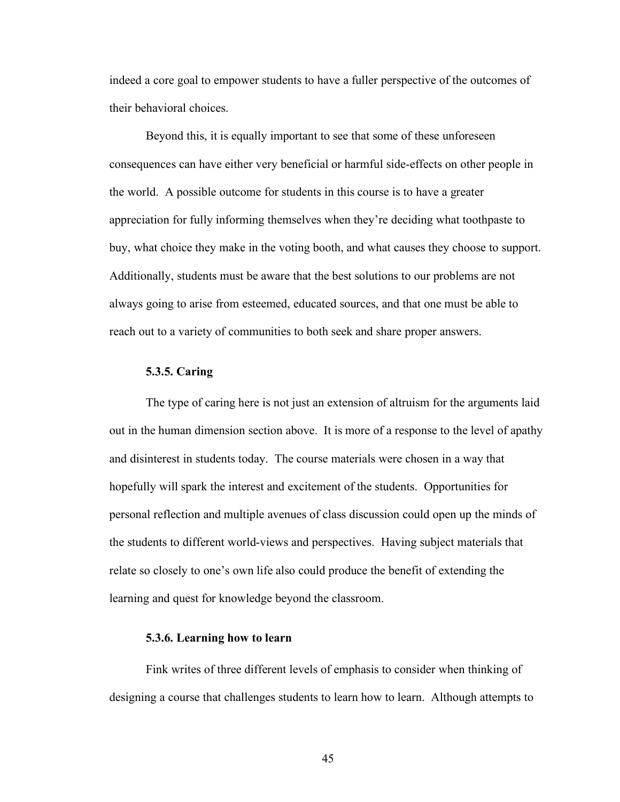indeed a core goal to empower students to have a fuller perspective of the outcomes of their behavioral choices.

Beyond this, it is equally important to see that some of these unforeseen consequences can have either very beneficial or harmful side-effects on other people in the world. A possible outcome for students in this course is to have a greater appreciation for fully informing themselves when they're deciding what toothpaste to buy, what choice they make in the voting booth, and what causes they choose to support. Additionally, students must be aware that the best solutions to our problems are not always going to arise from esteemed, educated sources, and that one must be able to reach out to a variety of communities to both seek and share proper answers.

#### **5.3.5. Caring**

The type of caring here is not just an extension of altruism for the arguments laid out in the human dimension section above. It is more of a response to the level of apathy and disinterest in students today. The course materials were chosen in a way that hopefully will spark the interest and excitement of the students. Opportunities for personal reflection and multiple avenues of class discussion could open up the minds of the students to different world-views and perspectives. Having subject materials that relate so closely to one's own life also could produce the benefit of extending the learning and quest for knowledge beyond the classroom.

### **5.3.6. Learning how to learn**

Fink writes of three different levels of emphasis to consider when thinking of designing a course that challenges students to learn how to learn. Although attempts to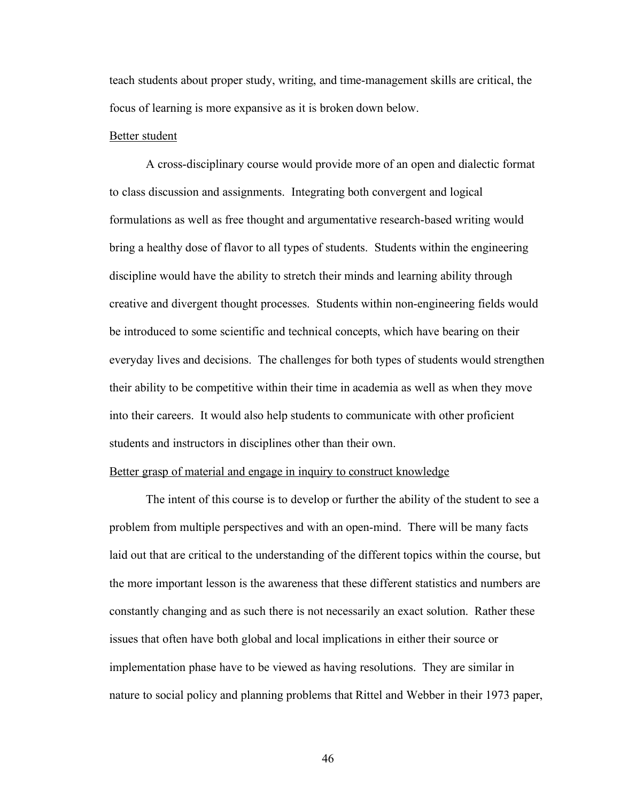teach students about proper study, writing, and time-management skills are critical, the focus of learning is more expansive as it is broken down below.

#### Better student

A cross-disciplinary course would provide more of an open and dialectic format to class discussion and assignments. Integrating both convergent and logical formulations as well as free thought and argumentative research-based writing would bring a healthy dose of flavor to all types of students. Students within the engineering discipline would have the ability to stretch their minds and learning ability through creative and divergent thought processes. Students within non-engineering fields would be introduced to some scientific and technical concepts, which have bearing on their everyday lives and decisions. The challenges for both types of students would strengthen their ability to be competitive within their time in academia as well as when they move into their careers. It would also help students to communicate with other proficient students and instructors in disciplines other than their own.

#### Better grasp of material and engage in inquiry to construct knowledge

The intent of this course is to develop or further the ability of the student to see a problem from multiple perspectives and with an open-mind. There will be many facts laid out that are critical to the understanding of the different topics within the course, but the more important lesson is the awareness that these different statistics and numbers are constantly changing and as such there is not necessarily an exact solution. Rather these issues that often have both global and local implications in either their source or implementation phase have to be viewed as having resolutions. They are similar in nature to social policy and planning problems that Rittel and Webber in their 1973 paper,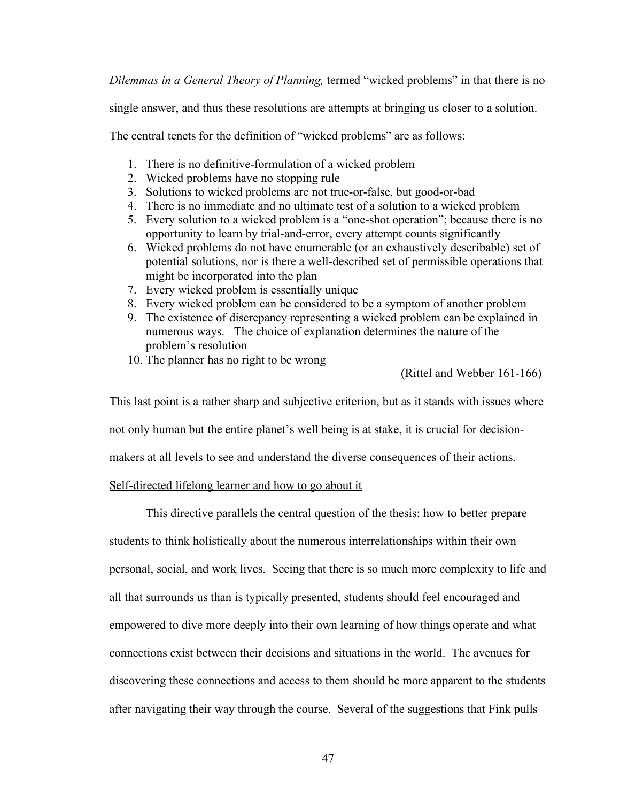*Dilemmas in a General Theory of Planning,* termed "wicked problems" in that there is no

single answer, and thus these resolutions are attempts at bringing us closer to a solution.

The central tenets for the definition of "wicked problems" are as follows:

- 1. There is no definitive-formulation of a wicked problem
- 2. Wicked problems have no stopping rule
- 3. Solutions to wicked problems are not true-or-false, but good-or-bad
- 4. There is no immediate and no ultimate test of a solution to a wicked problem
- 5. Every solution to a wicked problem is a "one-shot operation"; because there is no opportunity to learn by trial-and-error, every attempt counts significantly
- 6. Wicked problems do not have enumerable (or an exhaustively describable) set of potential solutions, nor is there a well-described set of permissible operations that might be incorporated into the plan
- 7. Every wicked problem is essentially unique
- 8. Every wicked problem can be considered to be a symptom of another problem
- 9. The existence of discrepancy representing a wicked problem can be explained in numerous ways. The choice of explanation determines the nature of the problem's resolution
- 10. The planner has no right to be wrong

(Rittel and Webber 161-166)

This last point is a rather sharp and subjective criterion, but as it stands with issues where

not only human but the entire planet's well being is at stake, it is crucial for decision-

makers at all levels to see and understand the diverse consequences of their actions.

## Self-directed lifelong learner and how to go about it

This directive parallels the central question of the thesis: how to better prepare students to think holistically about the numerous interrelationships within their own personal, social, and work lives. Seeing that there is so much more complexity to life and all that surrounds us than is typically presented, students should feel encouraged and empowered to dive more deeply into their own learning of how things operate and what connections exist between their decisions and situations in the world. The avenues for discovering these connections and access to them should be more apparent to the students after navigating their way through the course. Several of the suggestions that Fink pulls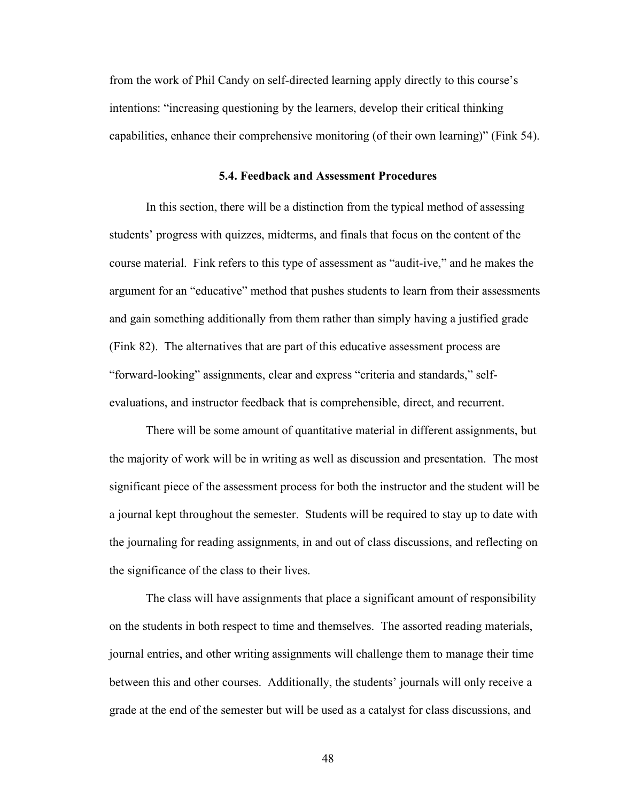from the work of Phil Candy on self-directed learning apply directly to this course's intentions: "increasing questioning by the learners, develop their critical thinking capabilities, enhance their comprehensive monitoring (of their own learning)" (Fink 54).

#### **5.4. Feedback and Assessment Procedures**

In this section, there will be a distinction from the typical method of assessing students' progress with quizzes, midterms, and finals that focus on the content of the course material. Fink refers to this type of assessment as "audit-ive," and he makes the argument for an "educative" method that pushes students to learn from their assessments and gain something additionally from them rather than simply having a justified grade (Fink 82). The alternatives that are part of this educative assessment process are "forward-looking" assignments, clear and express "criteria and standards," selfevaluations, and instructor feedback that is comprehensible, direct, and recurrent.

There will be some amount of quantitative material in different assignments, but the majority of work will be in writing as well as discussion and presentation. The most significant piece of the assessment process for both the instructor and the student will be a journal kept throughout the semester. Students will be required to stay up to date with the journaling for reading assignments, in and out of class discussions, and reflecting on the significance of the class to their lives.

The class will have assignments that place a significant amount of responsibility on the students in both respect to time and themselves. The assorted reading materials, journal entries, and other writing assignments will challenge them to manage their time between this and other courses. Additionally, the students' journals will only receive a grade at the end of the semester but will be used as a catalyst for class discussions, and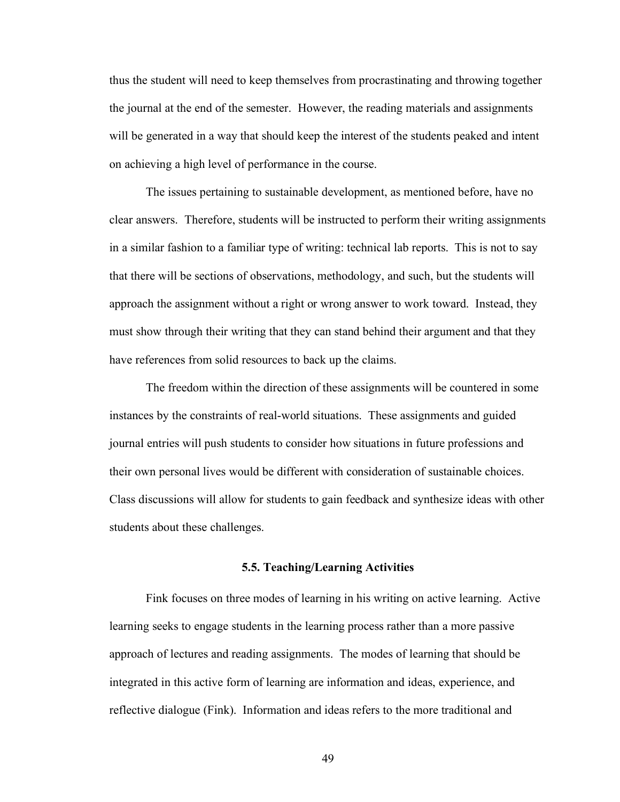thus the student will need to keep themselves from procrastinating and throwing together the journal at the end of the semester. However, the reading materials and assignments will be generated in a way that should keep the interest of the students peaked and intent on achieving a high level of performance in the course.

The issues pertaining to sustainable development, as mentioned before, have no clear answers. Therefore, students will be instructed to perform their writing assignments in a similar fashion to a familiar type of writing: technical lab reports. This is not to say that there will be sections of observations, methodology, and such, but the students will approach the assignment without a right or wrong answer to work toward. Instead, they must show through their writing that they can stand behind their argument and that they have references from solid resources to back up the claims.

The freedom within the direction of these assignments will be countered in some instances by the constraints of real-world situations. These assignments and guided journal entries will push students to consider how situations in future professions and their own personal lives would be different with consideration of sustainable choices. Class discussions will allow for students to gain feedback and synthesize ideas with other students about these challenges.

#### **5.5. Teaching/Learning Activities**

Fink focuses on three modes of learning in his writing on active learning. Active learning seeks to engage students in the learning process rather than a more passive approach of lectures and reading assignments. The modes of learning that should be integrated in this active form of learning are information and ideas, experience, and reflective dialogue (Fink). Information and ideas refers to the more traditional and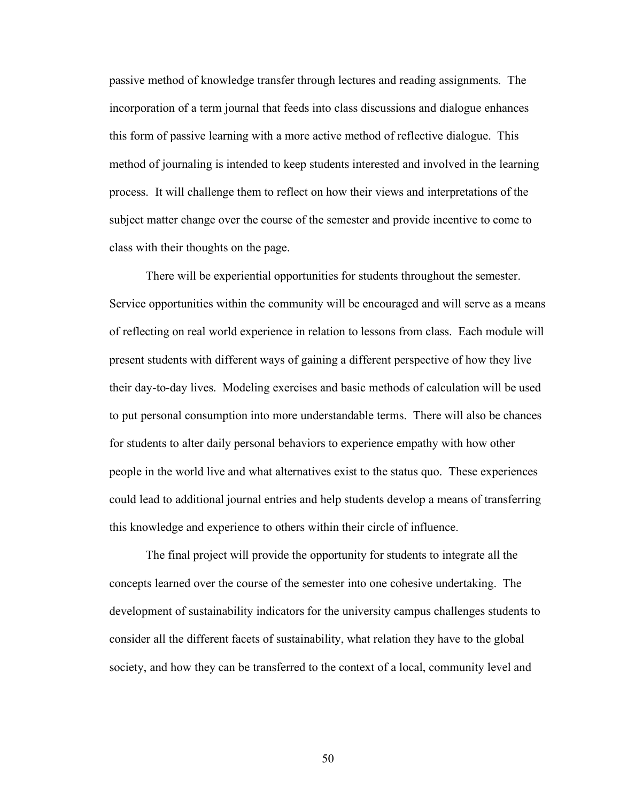passive method of knowledge transfer through lectures and reading assignments. The incorporation of a term journal that feeds into class discussions and dialogue enhances this form of passive learning with a more active method of reflective dialogue. This method of journaling is intended to keep students interested and involved in the learning process. It will challenge them to reflect on how their views and interpretations of the subject matter change over the course of the semester and provide incentive to come to class with their thoughts on the page.

There will be experiential opportunities for students throughout the semester. Service opportunities within the community will be encouraged and will serve as a means of reflecting on real world experience in relation to lessons from class. Each module will present students with different ways of gaining a different perspective of how they live their day-to-day lives. Modeling exercises and basic methods of calculation will be used to put personal consumption into more understandable terms. There will also be chances for students to alter daily personal behaviors to experience empathy with how other people in the world live and what alternatives exist to the status quo. These experiences could lead to additional journal entries and help students develop a means of transferring this knowledge and experience to others within their circle of influence.

The final project will provide the opportunity for students to integrate all the concepts learned over the course of the semester into one cohesive undertaking. The development of sustainability indicators for the university campus challenges students to consider all the different facets of sustainability, what relation they have to the global society, and how they can be transferred to the context of a local, community level and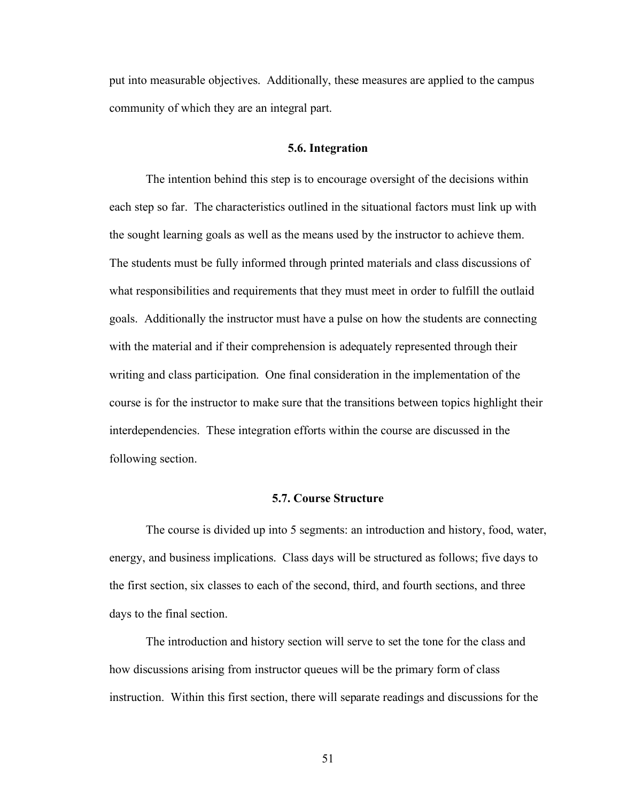put into measurable objectives. Additionally, these measures are applied to the campus community of which they are an integral part.

### **5.6. Integration**

The intention behind this step is to encourage oversight of the decisions within each step so far. The characteristics outlined in the situational factors must link up with the sought learning goals as well as the means used by the instructor to achieve them. The students must be fully informed through printed materials and class discussions of what responsibilities and requirements that they must meet in order to fulfill the outlaid goals. Additionally the instructor must have a pulse on how the students are connecting with the material and if their comprehension is adequately represented through their writing and class participation. One final consideration in the implementation of the course is for the instructor to make sure that the transitions between topics highlight their interdependencies. These integration efforts within the course are discussed in the following section.

## **5.7. Course Structure**

The course is divided up into 5 segments: an introduction and history, food, water, energy, and business implications. Class days will be structured as follows; five days to the first section, six classes to each of the second, third, and fourth sections, and three days to the final section.

The introduction and history section will serve to set the tone for the class and how discussions arising from instructor queues will be the primary form of class instruction. Within this first section, there will separate readings and discussions for the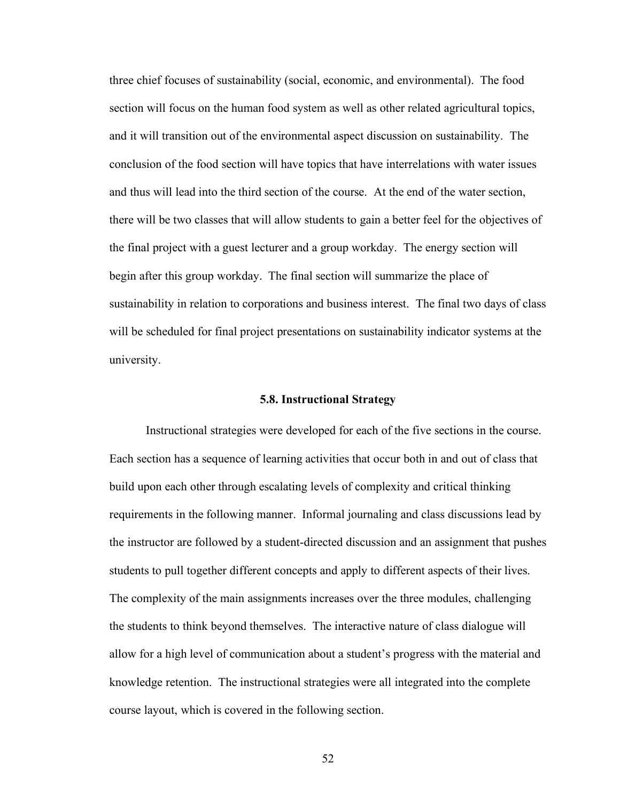three chief focuses of sustainability (social, economic, and environmental). The food section will focus on the human food system as well as other related agricultural topics, and it will transition out of the environmental aspect discussion on sustainability. The conclusion of the food section will have topics that have interrelations with water issues and thus will lead into the third section of the course. At the end of the water section, there will be two classes that will allow students to gain a better feel for the objectives of the final project with a guest lecturer and a group workday. The energy section will begin after this group workday. The final section will summarize the place of sustainability in relation to corporations and business interest. The final two days of class will be scheduled for final project presentations on sustainability indicator systems at the university.

#### **5.8. Instructional Strategy**

Instructional strategies were developed for each of the five sections in the course. Each section has a sequence of learning activities that occur both in and out of class that build upon each other through escalating levels of complexity and critical thinking requirements in the following manner. Informal journaling and class discussions lead by the instructor are followed by a student-directed discussion and an assignment that pushes students to pull together different concepts and apply to different aspects of their lives. The complexity of the main assignments increases over the three modules, challenging the students to think beyond themselves. The interactive nature of class dialogue will allow for a high level of communication about a student's progress with the material and knowledge retention. The instructional strategies were all integrated into the complete course layout, which is covered in the following section.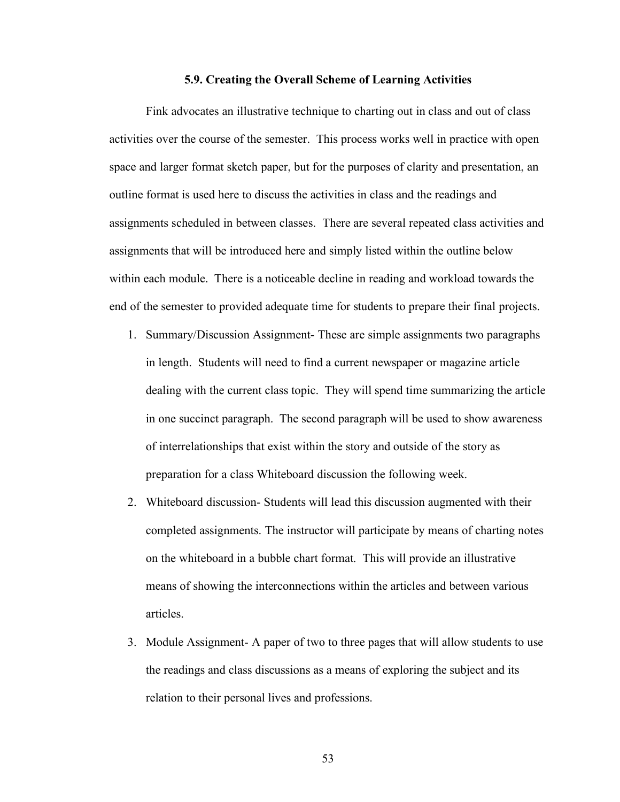#### **5.9. Creating the Overall Scheme of Learning Activities**

Fink advocates an illustrative technique to charting out in class and out of class activities over the course of the semester. This process works well in practice with open space and larger format sketch paper, but for the purposes of clarity and presentation, an outline format is used here to discuss the activities in class and the readings and assignments scheduled in between classes. There are several repeated class activities and assignments that will be introduced here and simply listed within the outline below within each module. There is a noticeable decline in reading and workload towards the end of the semester to provided adequate time for students to prepare their final projects.

- 1. Summary/Discussion Assignment- These are simple assignments two paragraphs in length. Students will need to find a current newspaper or magazine article dealing with the current class topic. They will spend time summarizing the article in one succinct paragraph. The second paragraph will be used to show awareness of interrelationships that exist within the story and outside of the story as preparation for a class Whiteboard discussion the following week.
- 2. Whiteboard discussion- Students will lead this discussion augmented with their completed assignments. The instructor will participate by means of charting notes on the whiteboard in a bubble chart format. This will provide an illustrative means of showing the interconnections within the articles and between various articles.
- 3. Module Assignment- A paper of two to three pages that will allow students to use the readings and class discussions as a means of exploring the subject and its relation to their personal lives and professions.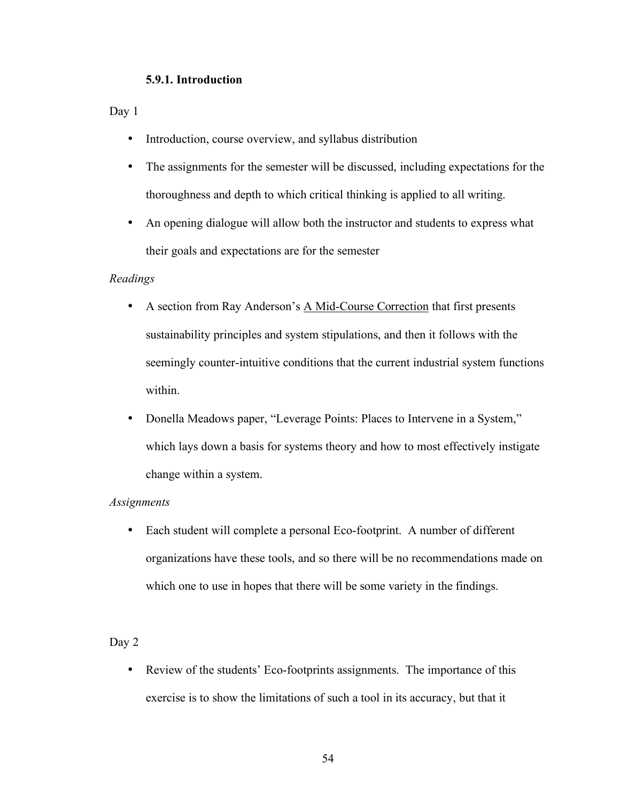## **5.9.1. Introduction**

Day 1

- Introduction, course overview, and syllabus distribution
- The assignments for the semester will be discussed, including expectations for the thoroughness and depth to which critical thinking is applied to all writing.
- An opening dialogue will allow both the instructor and students to express what their goals and expectations are for the semester

## *Readings*

- A section from Ray Anderson's A Mid-Course Correction that first presents sustainability principles and system stipulations, and then it follows with the seemingly counter-intuitive conditions that the current industrial system functions within.
- Donella Meadows paper, "Leverage Points: Places to Intervene in a System," which lays down a basis for systems theory and how to most effectively instigate change within a system.

## *Assignments*

• Each student will complete a personal Eco-footprint. A number of different organizations have these tools, and so there will be no recommendations made on which one to use in hopes that there will be some variety in the findings.

## Day 2

• Review of the students' Eco-footprints assignments. The importance of this exercise is to show the limitations of such a tool in its accuracy, but that it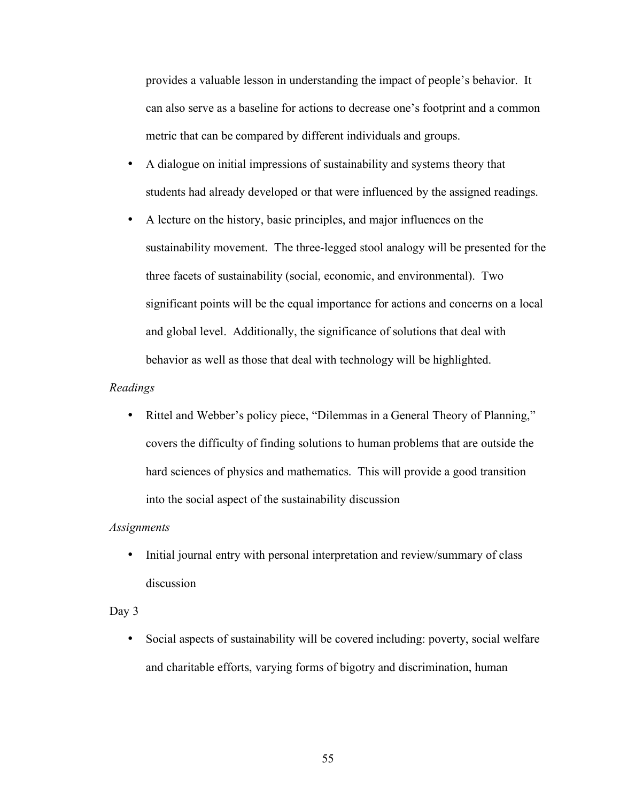provides a valuable lesson in understanding the impact of people's behavior. It can also serve as a baseline for actions to decrease one's footprint and a common metric that can be compared by different individuals and groups.

- A dialogue on initial impressions of sustainability and systems theory that students had already developed or that were influenced by the assigned readings.
- A lecture on the history, basic principles, and major influences on the sustainability movement. The three-legged stool analogy will be presented for the three facets of sustainability (social, economic, and environmental). Two significant points will be the equal importance for actions and concerns on a local and global level. Additionally, the significance of solutions that deal with behavior as well as those that deal with technology will be highlighted.

#### *Readings*

• Rittel and Webber's policy piece, "Dilemmas in a General Theory of Planning," covers the difficulty of finding solutions to human problems that are outside the hard sciences of physics and mathematics. This will provide a good transition into the social aspect of the sustainability discussion

#### *Assignments*

• Initial journal entry with personal interpretation and review/summary of class discussion

## Day 3

• Social aspects of sustainability will be covered including: poverty, social welfare and charitable efforts, varying forms of bigotry and discrimination, human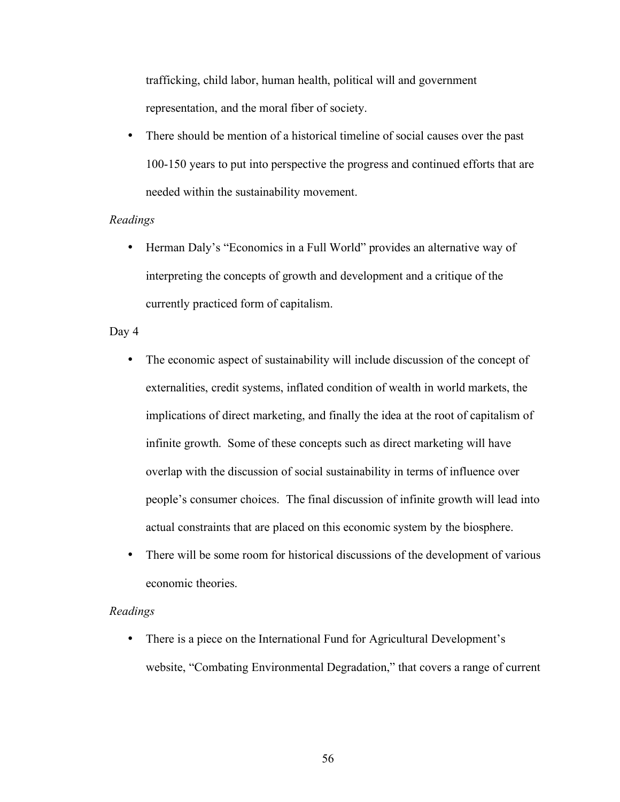trafficking, child labor, human health, political will and government representation, and the moral fiber of society.

• There should be mention of a historical timeline of social causes over the past 100-150 years to put into perspective the progress and continued efforts that are needed within the sustainability movement.

## *Readings*

• Herman Daly's "Economics in a Full World" provides an alternative way of interpreting the concepts of growth and development and a critique of the currently practiced form of capitalism.

## Day 4

- The economic aspect of sustainability will include discussion of the concept of externalities, credit systems, inflated condition of wealth in world markets, the implications of direct marketing, and finally the idea at the root of capitalism of infinite growth. Some of these concepts such as direct marketing will have overlap with the discussion of social sustainability in terms of influence over people's consumer choices. The final discussion of infinite growth will lead into actual constraints that are placed on this economic system by the biosphere.
- There will be some room for historical discussions of the development of various economic theories.

## *Readings*

• There is a piece on the International Fund for Agricultural Development's website, "Combating Environmental Degradation," that covers a range of current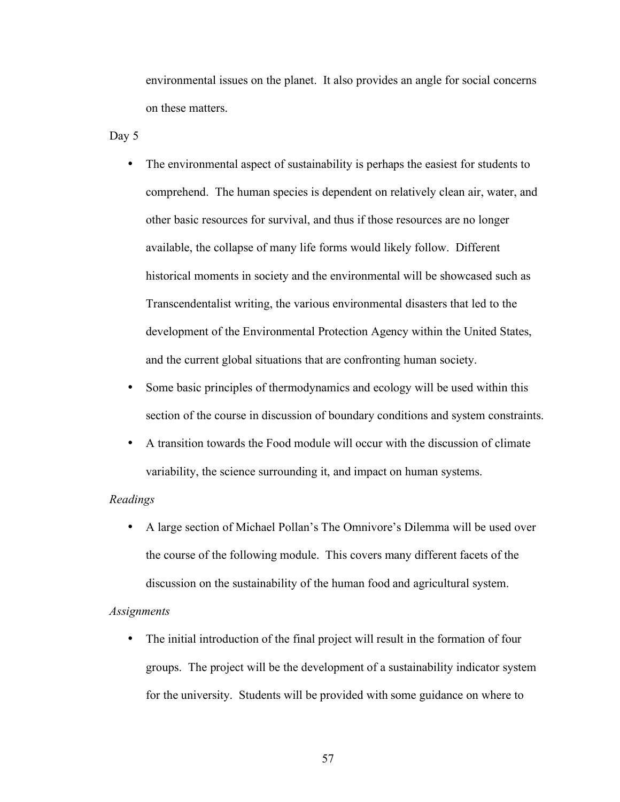environmental issues on the planet. It also provides an angle for social concerns on these matters.

Day 5

- The environmental aspect of sustainability is perhaps the easiest for students to comprehend. The human species is dependent on relatively clean air, water, and other basic resources for survival, and thus if those resources are no longer available, the collapse of many life forms would likely follow. Different historical moments in society and the environmental will be showcased such as Transcendentalist writing, the various environmental disasters that led to the development of the Environmental Protection Agency within the United States, and the current global situations that are confronting human society.
- Some basic principles of thermodynamics and ecology will be used within this section of the course in discussion of boundary conditions and system constraints.
- A transition towards the Food module will occur with the discussion of climate variability, the science surrounding it, and impact on human systems.

## *Readings*

• A large section of Michael Pollan's The Omnivore's Dilemma will be used over the course of the following module. This covers many different facets of the discussion on the sustainability of the human food and agricultural system.

#### *Assignments*

• The initial introduction of the final project will result in the formation of four groups. The project will be the development of a sustainability indicator system for the university. Students will be provided with some guidance on where to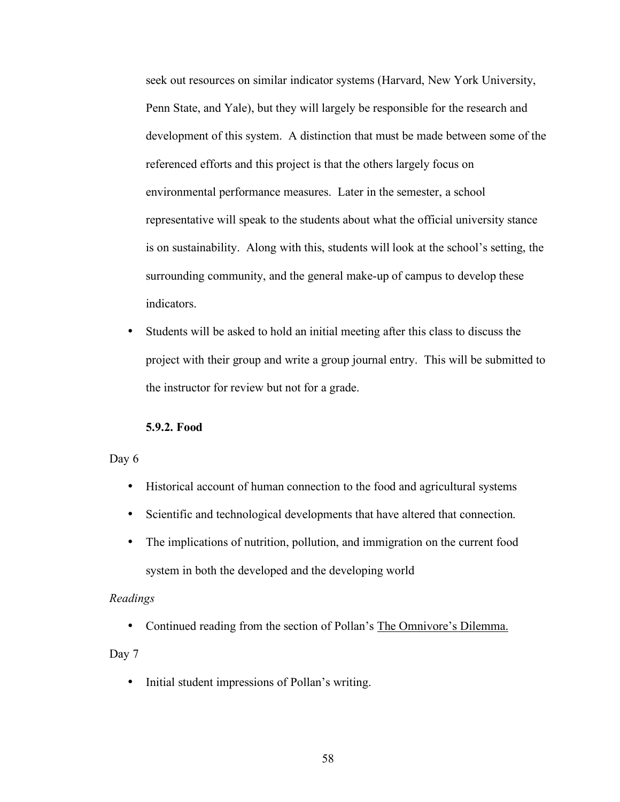seek out resources on similar indicator systems (Harvard, New York University, Penn State, and Yale), but they will largely be responsible for the research and development of this system. A distinction that must be made between some of the referenced efforts and this project is that the others largely focus on environmental performance measures. Later in the semester, a school representative will speak to the students about what the official university stance is on sustainability. Along with this, students will look at the school's setting, the surrounding community, and the general make-up of campus to develop these indicators.

• Students will be asked to hold an initial meeting after this class to discuss the project with their group and write a group journal entry. This will be submitted to the instructor for review but not for a grade.

#### **5.9.2. Food**

# Day 6

- Historical account of human connection to the food and agricultural systems
- Scientific and technological developments that have altered that connection.
- The implications of nutrition, pollution, and immigration on the current food system in both the developed and the developing world

## *Readings*

• Continued reading from the section of Pollan's The Omnivore's Dilemma.

# Day 7

• Initial student impressions of Pollan's writing.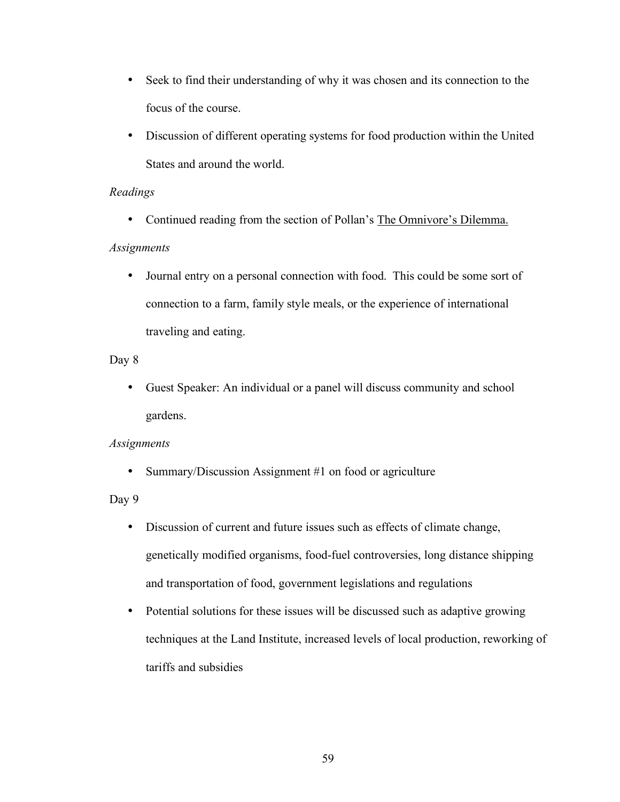- Seek to find their understanding of why it was chosen and its connection to the focus of the course.
- Discussion of different operating systems for food production within the United States and around the world.

# *Readings*

• Continued reading from the section of Pollan's The Omnivore's Dilemma.

# *Assignments*

• Journal entry on a personal connection with food. This could be some sort of connection to a farm, family style meals, or the experience of international traveling and eating.

# Day 8

• Guest Speaker: An individual or a panel will discuss community and school gardens.

# *Assignments*

• Summary/Discussion Assignment #1 on food or agriculture

# Day 9

- Discussion of current and future issues such as effects of climate change, genetically modified organisms, food-fuel controversies, long distance shipping and transportation of food, government legislations and regulations
- Potential solutions for these issues will be discussed such as adaptive growing techniques at the Land Institute, increased levels of local production, reworking of tariffs and subsidies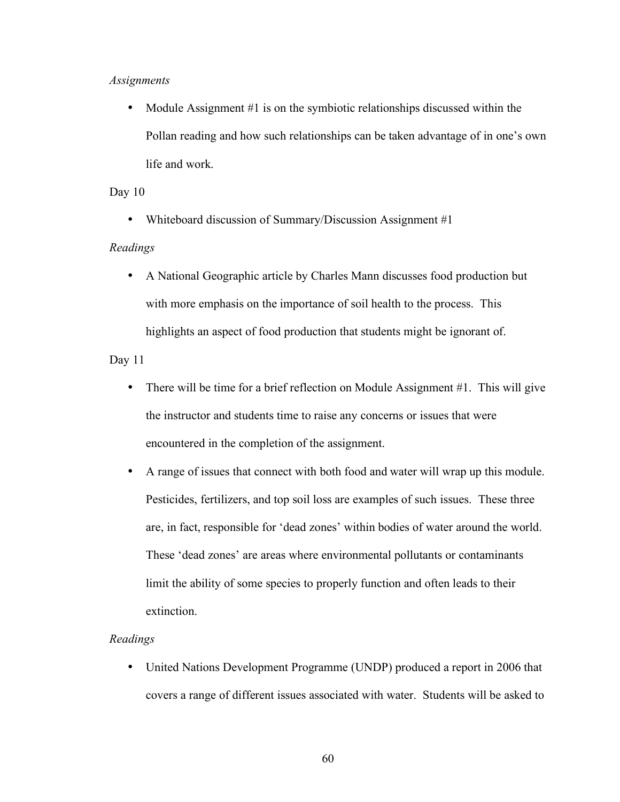#### *Assignments*

• Module Assignment #1 is on the symbiotic relationships discussed within the Pollan reading and how such relationships can be taken advantage of in one's own life and work.

## Day 10

• Whiteboard discussion of Summary/Discussion Assignment #1

#### *Readings*

• A National Geographic article by Charles Mann discusses food production but with more emphasis on the importance of soil health to the process. This highlights an aspect of food production that students might be ignorant of.

Day 11

- There will be time for a brief reflection on Module Assignment #1. This will give the instructor and students time to raise any concerns or issues that were encountered in the completion of the assignment.
- A range of issues that connect with both food and water will wrap up this module. Pesticides, fertilizers, and top soil loss are examples of such issues. These three are, in fact, responsible for 'dead zones' within bodies of water around the world. These 'dead zones' are areas where environmental pollutants or contaminants limit the ability of some species to properly function and often leads to their extinction.

#### *Readings*

• United Nations Development Programme (UNDP) produced a report in 2006 that covers a range of different issues associated with water. Students will be asked to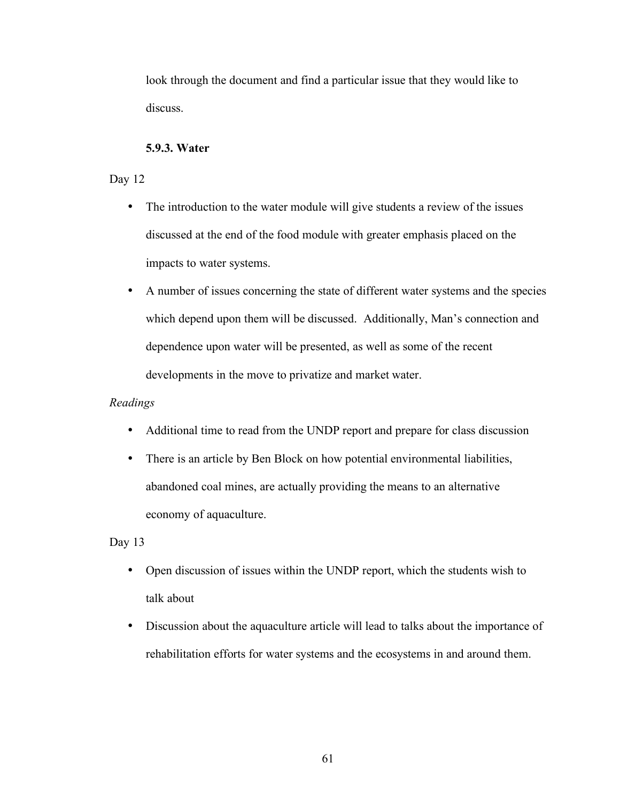look through the document and find a particular issue that they would like to discuss.

# **5.9.3. Water**

# Day 12

- The introduction to the water module will give students a review of the issues discussed at the end of the food module with greater emphasis placed on the impacts to water systems.
- A number of issues concerning the state of different water systems and the species which depend upon them will be discussed. Additionally, Man's connection and dependence upon water will be presented, as well as some of the recent developments in the move to privatize and market water.

# *Readings*

- Additional time to read from the UNDP report and prepare for class discussion
- There is an article by Ben Block on how potential environmental liabilities, abandoned coal mines, are actually providing the means to an alternative economy of aquaculture.

# Day 13

- Open discussion of issues within the UNDP report, which the students wish to talk about
- Discussion about the aquaculture article will lead to talks about the importance of rehabilitation efforts for water systems and the ecosystems in and around them.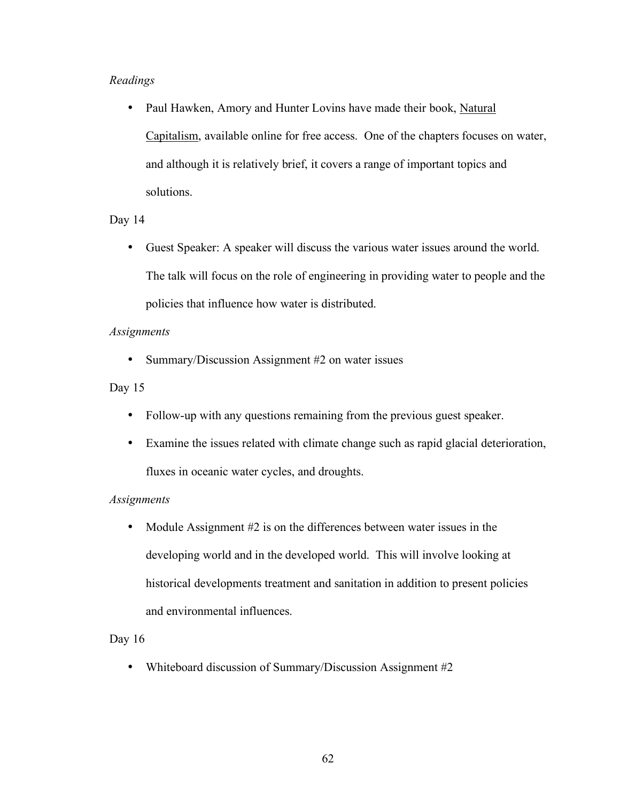# *Readings*

• Paul Hawken, Amory and Hunter Lovins have made their book, Natural Capitalism, available online for free access. One of the chapters focuses on water, and although it is relatively brief, it covers a range of important topics and solutions.

# Day 14

• Guest Speaker: A speaker will discuss the various water issues around the world. The talk will focus on the role of engineering in providing water to people and the policies that influence how water is distributed.

# *Assignments*

• Summary/Discussion Assignment #2 on water issues

# Day 15

- Follow-up with any questions remaining from the previous guest speaker.
- Examine the issues related with climate change such as rapid glacial deterioration, fluxes in oceanic water cycles, and droughts.

# *Assignments*

• Module Assignment #2 is on the differences between water issues in the developing world and in the developed world. This will involve looking at historical developments treatment and sanitation in addition to present policies and environmental influences.

# Day 16

• Whiteboard discussion of Summary/Discussion Assignment #2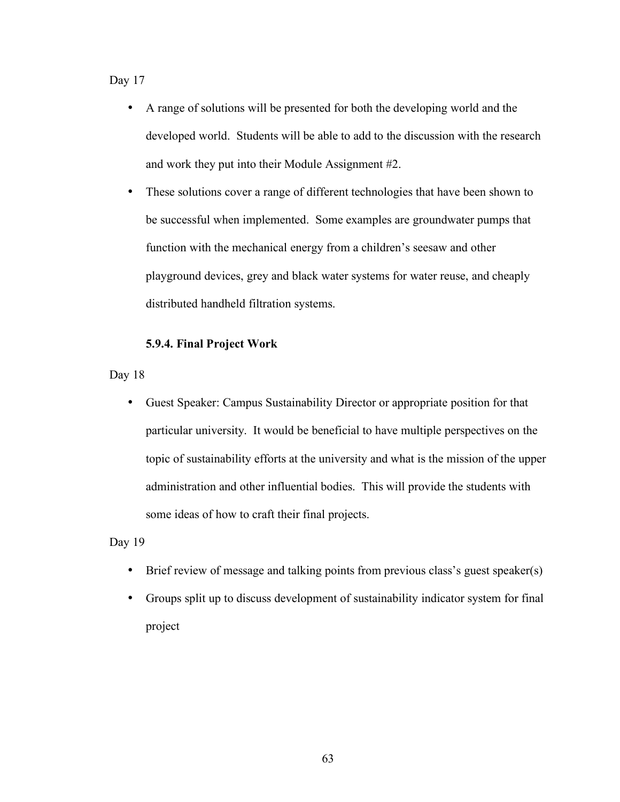Day 17

- A range of solutions will be presented for both the developing world and the developed world. Students will be able to add to the discussion with the research and work they put into their Module Assignment #2.
- These solutions cover a range of different technologies that have been shown to be successful when implemented. Some examples are groundwater pumps that function with the mechanical energy from a children's seesaw and other playground devices, grey and black water systems for water reuse, and cheaply distributed handheld filtration systems.

# **5.9.4. Final Project Work**

Day 18

• Guest Speaker: Campus Sustainability Director or appropriate position for that particular university. It would be beneficial to have multiple perspectives on the topic of sustainability efforts at the university and what is the mission of the upper administration and other influential bodies. This will provide the students with some ideas of how to craft their final projects.

Day 19

- Brief review of message and talking points from previous class's guest speaker(s)
- Groups split up to discuss development of sustainability indicator system for final project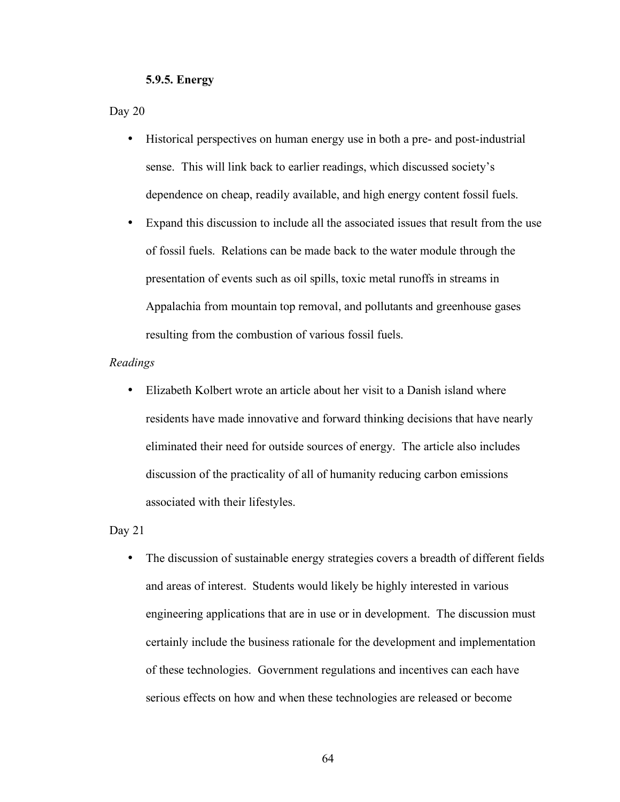#### **5.9.5. Energy**

Day 20

- Historical perspectives on human energy use in both a pre- and post-industrial sense. This will link back to earlier readings, which discussed society's dependence on cheap, readily available, and high energy content fossil fuels.
- Expand this discussion to include all the associated issues that result from the use of fossil fuels. Relations can be made back to the water module through the presentation of events such as oil spills, toxic metal runoffs in streams in Appalachia from mountain top removal, and pollutants and greenhouse gases resulting from the combustion of various fossil fuels.

#### *Readings*

• Elizabeth Kolbert wrote an article about her visit to a Danish island where residents have made innovative and forward thinking decisions that have nearly eliminated their need for outside sources of energy. The article also includes discussion of the practicality of all of humanity reducing carbon emissions associated with their lifestyles.

Day 21

• The discussion of sustainable energy strategies covers a breadth of different fields and areas of interest. Students would likely be highly interested in various engineering applications that are in use or in development. The discussion must certainly include the business rationale for the development and implementation of these technologies. Government regulations and incentives can each have serious effects on how and when these technologies are released or become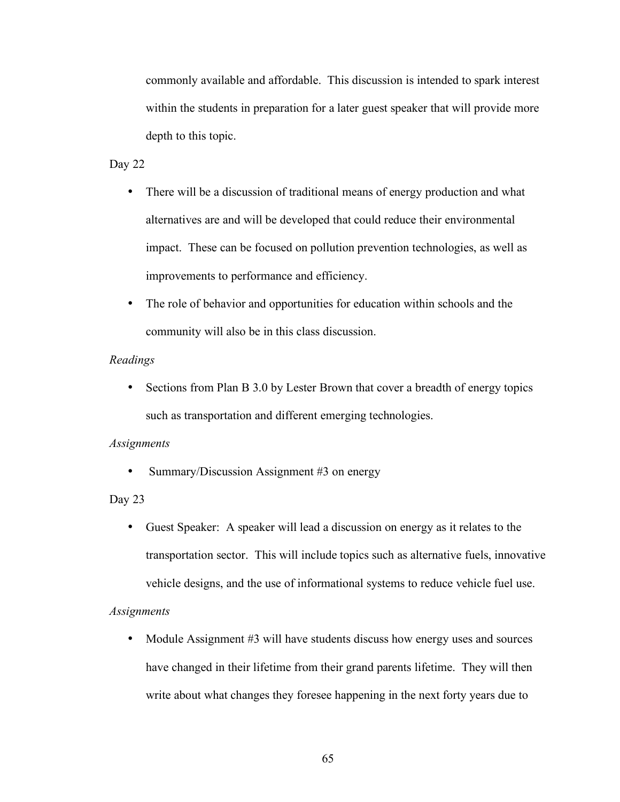commonly available and affordable. This discussion is intended to spark interest within the students in preparation for a later guest speaker that will provide more depth to this topic.

#### Day 22

- There will be a discussion of traditional means of energy production and what alternatives are and will be developed that could reduce their environmental impact. These can be focused on pollution prevention technologies, as well as improvements to performance and efficiency.
- The role of behavior and opportunities for education within schools and the community will also be in this class discussion.

## *Readings*

• Sections from Plan B 3.0 by Lester Brown that cover a breadth of energy topics such as transportation and different emerging technologies.

#### *Assignments*

• Summary/Discussion Assignment #3 on energy

## Day 23

• Guest Speaker: A speaker will lead a discussion on energy as it relates to the transportation sector. This will include topics such as alternative fuels, innovative vehicle designs, and the use of informational systems to reduce vehicle fuel use.

#### *Assignments*

• Module Assignment #3 will have students discuss how energy uses and sources have changed in their lifetime from their grand parents lifetime. They will then write about what changes they foresee happening in the next forty years due to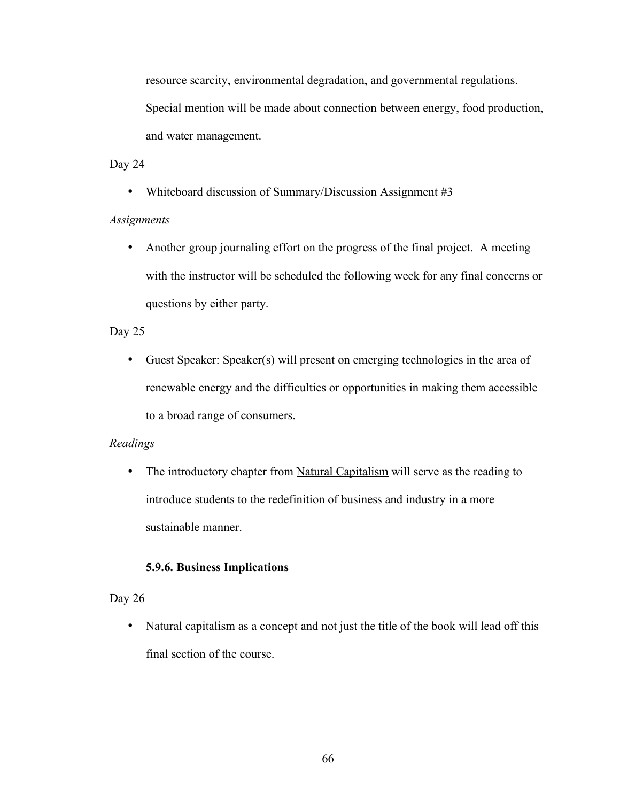resource scarcity, environmental degradation, and governmental regulations. Special mention will be made about connection between energy, food production, and water management.

## Day 24

• Whiteboard discussion of Summary/Discussion Assignment #3

# *Assignments*

• Another group journaling effort on the progress of the final project. A meeting with the instructor will be scheduled the following week for any final concerns or questions by either party.

# Day 25

• Guest Speaker: Speaker(s) will present on emerging technologies in the area of renewable energy and the difficulties or opportunities in making them accessible to a broad range of consumers.

# *Readings*

• The introductory chapter from Natural Capitalism will serve as the reading to introduce students to the redefinition of business and industry in a more sustainable manner.

# **5.9.6. Business Implications**

# Day 26

• Natural capitalism as a concept and not just the title of the book will lead off this final section of the course.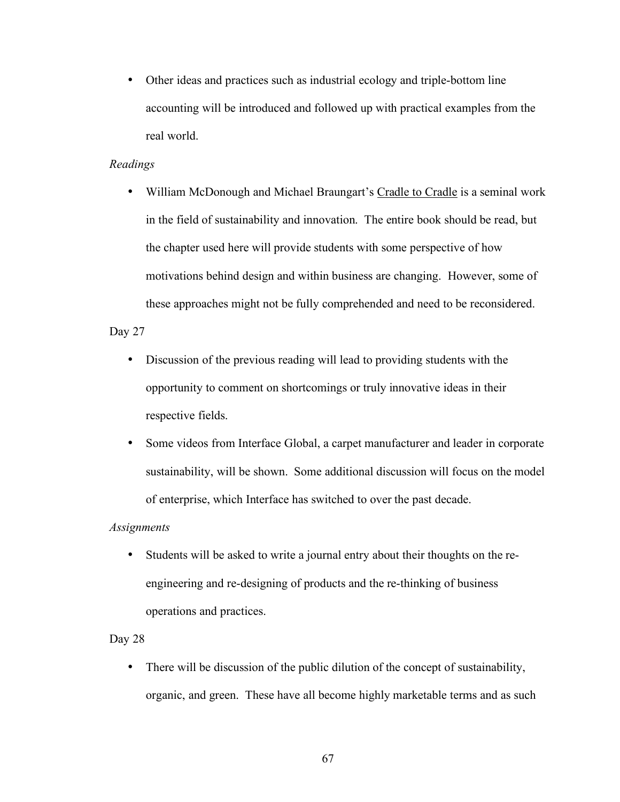• Other ideas and practices such as industrial ecology and triple-bottom line accounting will be introduced and followed up with practical examples from the real world.

### *Readings*

• William McDonough and Michael Braungart's Cradle to Cradle is a seminal work in the field of sustainability and innovation. The entire book should be read, but the chapter used here will provide students with some perspective of how motivations behind design and within business are changing. However, some of these approaches might not be fully comprehended and need to be reconsidered.

### Day 27

- Discussion of the previous reading will lead to providing students with the opportunity to comment on shortcomings or truly innovative ideas in their respective fields.
- Some videos from Interface Global, a carpet manufacturer and leader in corporate sustainability, will be shown. Some additional discussion will focus on the model of enterprise, which Interface has switched to over the past decade.

#### *Assignments*

• Students will be asked to write a journal entry about their thoughts on the reengineering and re-designing of products and the re-thinking of business operations and practices.

#### Day 28

• There will be discussion of the public dilution of the concept of sustainability, organic, and green. These have all become highly marketable terms and as such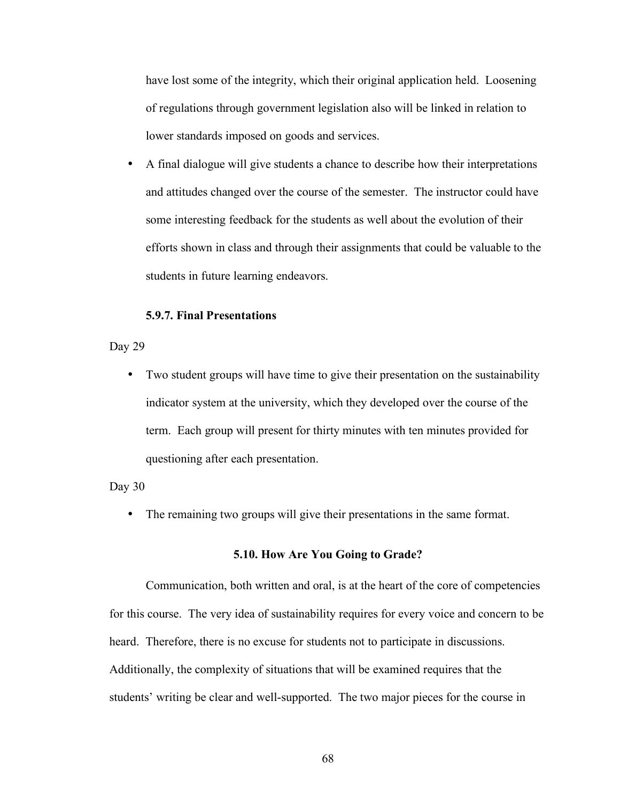have lost some of the integrity, which their original application held. Loosening of regulations through government legislation also will be linked in relation to lower standards imposed on goods and services.

• A final dialogue will give students a chance to describe how their interpretations and attitudes changed over the course of the semester. The instructor could have some interesting feedback for the students as well about the evolution of their efforts shown in class and through their assignments that could be valuable to the students in future learning endeavors.

#### **5.9.7. Final Presentations**

Day 29

• Two student groups will have time to give their presentation on the sustainability indicator system at the university, which they developed over the course of the term. Each group will present for thirty minutes with ten minutes provided for questioning after each presentation.

Day 30

• The remaining two groups will give their presentations in the same format.

#### **5.10. How Are You Going to Grade?**

Communication, both written and oral, is at the heart of the core of competencies for this course. The very idea of sustainability requires for every voice and concern to be heard. Therefore, there is no excuse for students not to participate in discussions. Additionally, the complexity of situations that will be examined requires that the students' writing be clear and well-supported. The two major pieces for the course in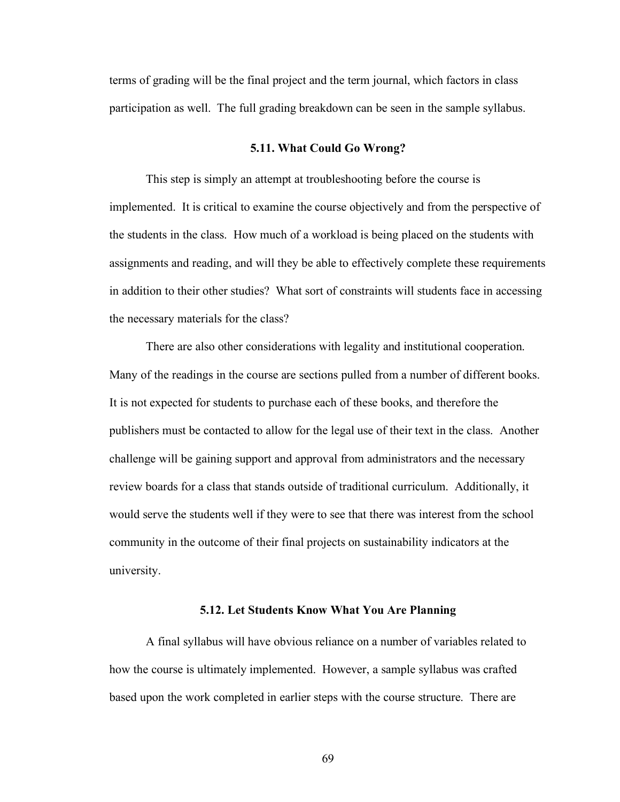terms of grading will be the final project and the term journal, which factors in class participation as well. The full grading breakdown can be seen in the sample syllabus.

#### **5.11. What Could Go Wrong?**

This step is simply an attempt at troubleshooting before the course is implemented. It is critical to examine the course objectively and from the perspective of the students in the class. How much of a workload is being placed on the students with assignments and reading, and will they be able to effectively complete these requirements in addition to their other studies? What sort of constraints will students face in accessing the necessary materials for the class?

There are also other considerations with legality and institutional cooperation. Many of the readings in the course are sections pulled from a number of different books. It is not expected for students to purchase each of these books, and therefore the publishers must be contacted to allow for the legal use of their text in the class. Another challenge will be gaining support and approval from administrators and the necessary review boards for a class that stands outside of traditional curriculum. Additionally, it would serve the students well if they were to see that there was interest from the school community in the outcome of their final projects on sustainability indicators at the university.

#### **5.12. Let Students Know What You Are Planning**

A final syllabus will have obvious reliance on a number of variables related to how the course is ultimately implemented. However, a sample syllabus was crafted based upon the work completed in earlier steps with the course structure. There are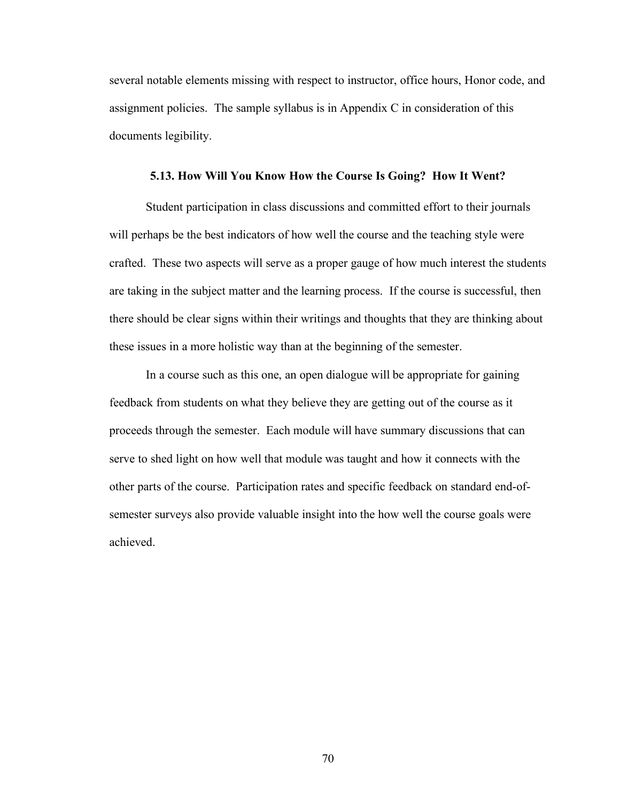several notable elements missing with respect to instructor, office hours, Honor code, and assignment policies. The sample syllabus is in Appendix C in consideration of this documents legibility.

#### **5.13. How Will You Know How the Course Is Going? How It Went?**

Student participation in class discussions and committed effort to their journals will perhaps be the best indicators of how well the course and the teaching style were crafted. These two aspects will serve as a proper gauge of how much interest the students are taking in the subject matter and the learning process. If the course is successful, then there should be clear signs within their writings and thoughts that they are thinking about these issues in a more holistic way than at the beginning of the semester.

In a course such as this one, an open dialogue will be appropriate for gaining feedback from students on what they believe they are getting out of the course as it proceeds through the semester. Each module will have summary discussions that can serve to shed light on how well that module was taught and how it connects with the other parts of the course. Participation rates and specific feedback on standard end-ofsemester surveys also provide valuable insight into the how well the course goals were achieved.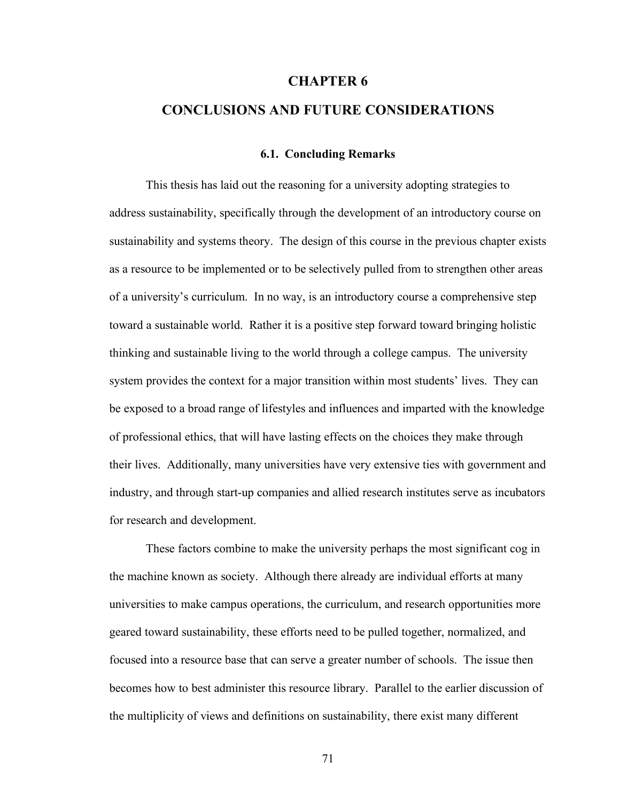#### **CHAPTER 6**

# **CONCLUSIONS AND FUTURE CONSIDERATIONS**

#### **6.1. Concluding Remarks**

This thesis has laid out the reasoning for a university adopting strategies to address sustainability, specifically through the development of an introductory course on sustainability and systems theory. The design of this course in the previous chapter exists as a resource to be implemented or to be selectively pulled from to strengthen other areas of a university's curriculum. In no way, is an introductory course a comprehensive step toward a sustainable world. Rather it is a positive step forward toward bringing holistic thinking and sustainable living to the world through a college campus. The university system provides the context for a major transition within most students' lives. They can be exposed to a broad range of lifestyles and influences and imparted with the knowledge of professional ethics, that will have lasting effects on the choices they make through their lives. Additionally, many universities have very extensive ties with government and industry, and through start-up companies and allied research institutes serve as incubators for research and development.

These factors combine to make the university perhaps the most significant cog in the machine known as society. Although there already are individual efforts at many universities to make campus operations, the curriculum, and research opportunities more geared toward sustainability, these efforts need to be pulled together, normalized, and focused into a resource base that can serve a greater number of schools. The issue then becomes how to best administer this resource library. Parallel to the earlier discussion of the multiplicity of views and definitions on sustainability, there exist many different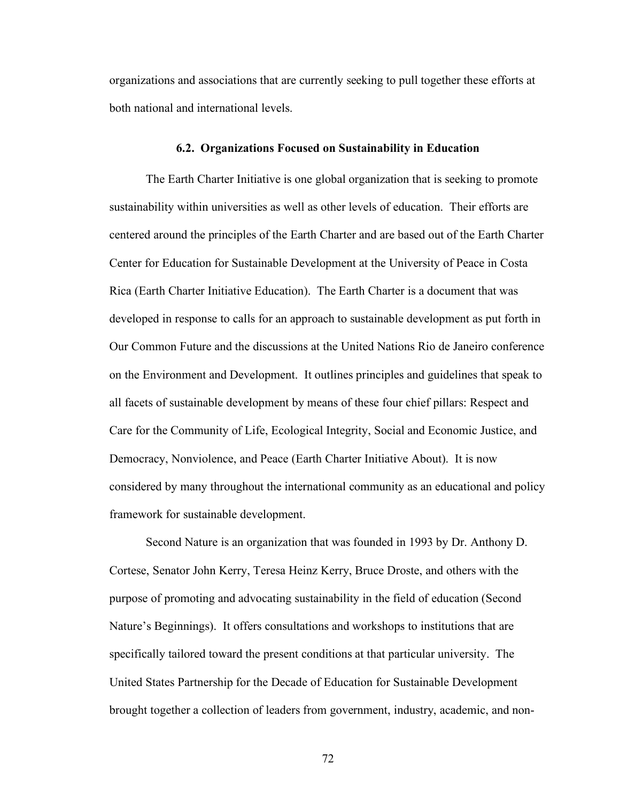organizations and associations that are currently seeking to pull together these efforts at both national and international levels.

#### **6.2. Organizations Focused on Sustainability in Education**

The Earth Charter Initiative is one global organization that is seeking to promote sustainability within universities as well as other levels of education. Their efforts are centered around the principles of the Earth Charter and are based out of the Earth Charter Center for Education for Sustainable Development at the University of Peace in Costa Rica (Earth Charter Initiative Education). The Earth Charter is a document that was developed in response to calls for an approach to sustainable development as put forth in Our Common Future and the discussions at the United Nations Rio de Janeiro conference on the Environment and Development. It outlines principles and guidelines that speak to all facets of sustainable development by means of these four chief pillars: Respect and Care for the Community of Life, Ecological Integrity, Social and Economic Justice, and Democracy, Nonviolence, and Peace (Earth Charter Initiative About). It is now considered by many throughout the international community as an educational and policy framework for sustainable development.

Second Nature is an organization that was founded in 1993 by Dr. Anthony D. Cortese, Senator John Kerry, Teresa Heinz Kerry, Bruce Droste, and others with the purpose of promoting and advocating sustainability in the field of education (Second Nature's Beginnings). It offers consultations and workshops to institutions that are specifically tailored toward the present conditions at that particular university. The United States Partnership for the Decade of Education for Sustainable Development brought together a collection of leaders from government, industry, academic, and non-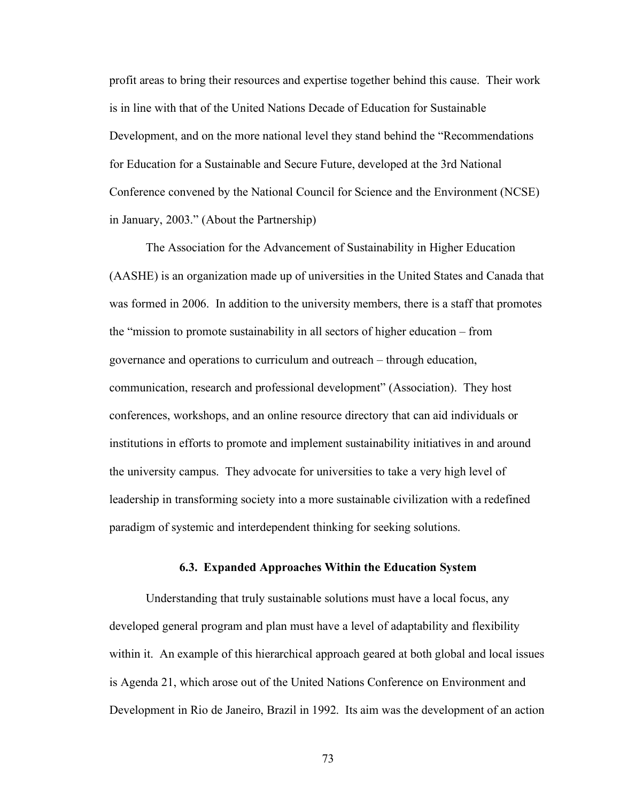profit areas to bring their resources and expertise together behind this cause. Their work is in line with that of the United Nations Decade of Education for Sustainable Development, and on the more national level they stand behind the "Recommendations for Education for a Sustainable and Secure Future, developed at the 3rd National Conference convened by the National Council for Science and the Environment (NCSE) in January, 2003." (About the Partnership)

The Association for the Advancement of Sustainability in Higher Education (AASHE) is an organization made up of universities in the United States and Canada that was formed in 2006. In addition to the university members, there is a staff that promotes the "mission to promote sustainability in all sectors of higher education – from governance and operations to curriculum and outreach – through education, communication, research and professional development" (Association). They host conferences, workshops, and an online resource directory that can aid individuals or institutions in efforts to promote and implement sustainability initiatives in and around the university campus. They advocate for universities to take a very high level of leadership in transforming society into a more sustainable civilization with a redefined paradigm of systemic and interdependent thinking for seeking solutions.

#### **6.3. Expanded Approaches Within the Education System**

Understanding that truly sustainable solutions must have a local focus, any developed general program and plan must have a level of adaptability and flexibility within it. An example of this hierarchical approach geared at both global and local issues is Agenda 21, which arose out of the United Nations Conference on Environment and Development in Rio de Janeiro, Brazil in 1992. Its aim was the development of an action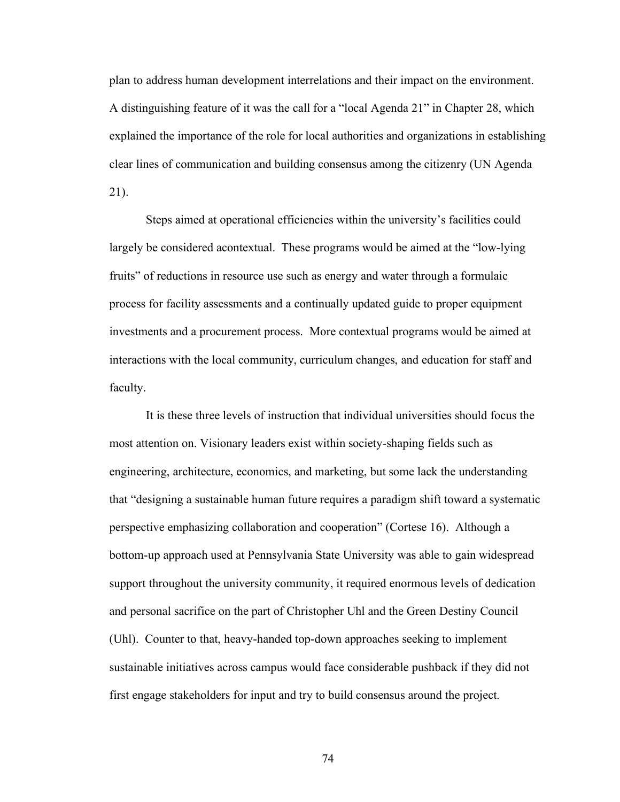plan to address human development interrelations and their impact on the environment. A distinguishing feature of it was the call for a "local Agenda 21" in Chapter 28, which explained the importance of the role for local authorities and organizations in establishing clear lines of communication and building consensus among the citizenry (UN Agenda 21).

Steps aimed at operational efficiencies within the university's facilities could largely be considered acontextual. These programs would be aimed at the "low-lying fruits" of reductions in resource use such as energy and water through a formulaic process for facility assessments and a continually updated guide to proper equipment investments and a procurement process. More contextual programs would be aimed at interactions with the local community, curriculum changes, and education for staff and faculty.

It is these three levels of instruction that individual universities should focus the most attention on. Visionary leaders exist within society-shaping fields such as engineering, architecture, economics, and marketing, but some lack the understanding that "designing a sustainable human future requires a paradigm shift toward a systematic perspective emphasizing collaboration and cooperation" (Cortese 16). Although a bottom-up approach used at Pennsylvania State University was able to gain widespread support throughout the university community, it required enormous levels of dedication and personal sacrifice on the part of Christopher Uhl and the Green Destiny Council (Uhl). Counter to that, heavy-handed top-down approaches seeking to implement sustainable initiatives across campus would face considerable pushback if they did not first engage stakeholders for input and try to build consensus around the project.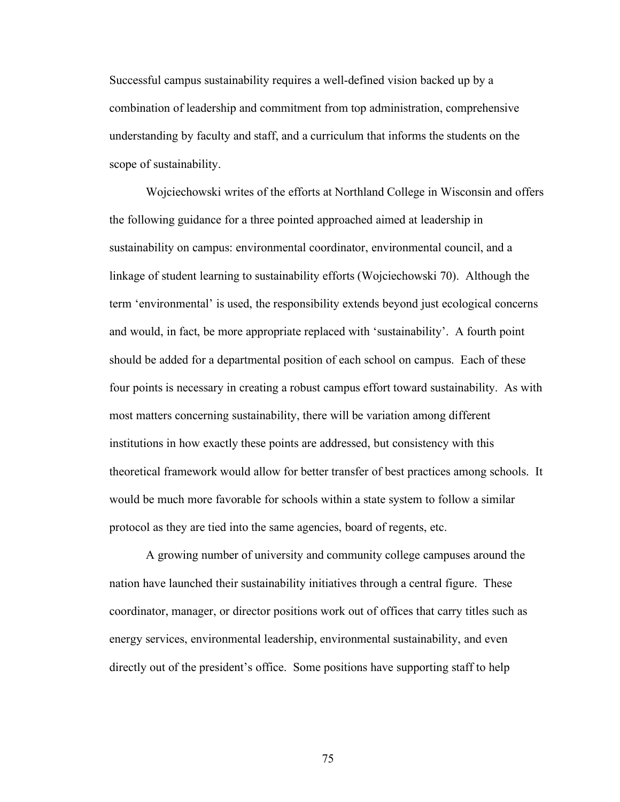Successful campus sustainability requires a well-defined vision backed up by a combination of leadership and commitment from top administration, comprehensive understanding by faculty and staff, and a curriculum that informs the students on the scope of sustainability.

Wojciechowski writes of the efforts at Northland College in Wisconsin and offers the following guidance for a three pointed approached aimed at leadership in sustainability on campus: environmental coordinator, environmental council, and a linkage of student learning to sustainability efforts (Wojciechowski 70). Although the term 'environmental' is used, the responsibility extends beyond just ecological concerns and would, in fact, be more appropriate replaced with 'sustainability'. A fourth point should be added for a departmental position of each school on campus. Each of these four points is necessary in creating a robust campus effort toward sustainability. As with most matters concerning sustainability, there will be variation among different institutions in how exactly these points are addressed, but consistency with this theoretical framework would allow for better transfer of best practices among schools. It would be much more favorable for schools within a state system to follow a similar protocol as they are tied into the same agencies, board of regents, etc.

A growing number of university and community college campuses around the nation have launched their sustainability initiatives through a central figure. These coordinator, manager, or director positions work out of offices that carry titles such as energy services, environmental leadership, environmental sustainability, and even directly out of the president's office. Some positions have supporting staff to help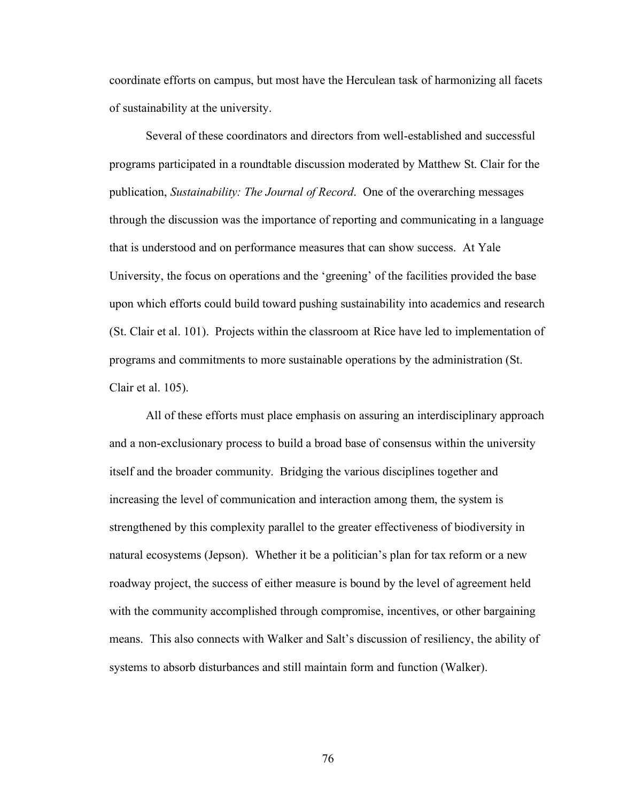coordinate efforts on campus, but most have the Herculean task of harmonizing all facets of sustainability at the university.

Several of these coordinators and directors from well-established and successful programs participated in a roundtable discussion moderated by Matthew St. Clair for the publication, *Sustainability: The Journal of Record*. One of the overarching messages through the discussion was the importance of reporting and communicating in a language that is understood and on performance measures that can show success. At Yale University, the focus on operations and the 'greening' of the facilities provided the base upon which efforts could build toward pushing sustainability into academics and research (St. Clair et al. 101). Projects within the classroom at Rice have led to implementation of programs and commitments to more sustainable operations by the administration (St. Clair et al. 105).

All of these efforts must place emphasis on assuring an interdisciplinary approach and a non-exclusionary process to build a broad base of consensus within the university itself and the broader community. Bridging the various disciplines together and increasing the level of communication and interaction among them, the system is strengthened by this complexity parallel to the greater effectiveness of biodiversity in natural ecosystems (Jepson). Whether it be a politician's plan for tax reform or a new roadway project, the success of either measure is bound by the level of agreement held with the community accomplished through compromise, incentives, or other bargaining means. This also connects with Walker and Salt's discussion of resiliency, the ability of systems to absorb disturbances and still maintain form and function (Walker).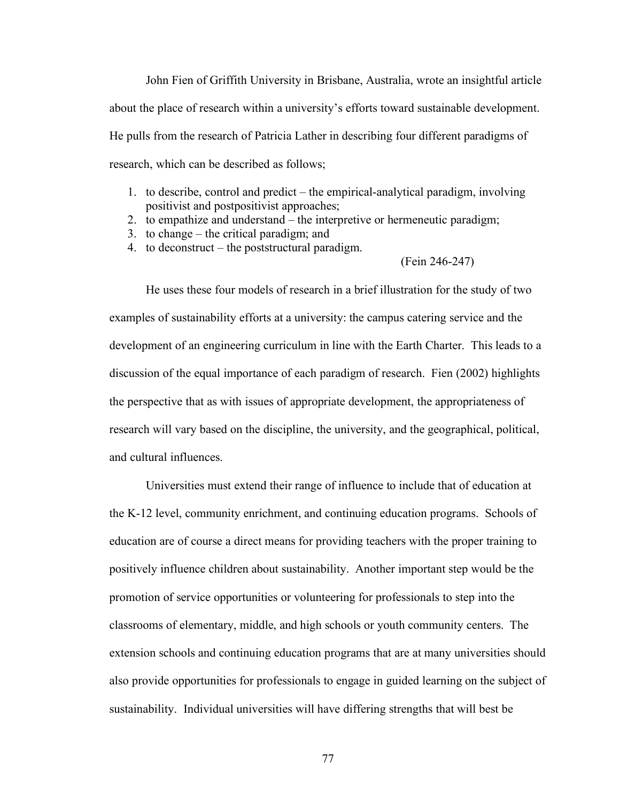John Fien of Griffith University in Brisbane, Australia, wrote an insightful article about the place of research within a university's efforts toward sustainable development. He pulls from the research of Patricia Lather in describing four different paradigms of research, which can be described as follows;

- 1. to describe, control and predict the empirical-analytical paradigm, involving positivist and postpositivist approaches;
- 2. to empathize and understand the interpretive or hermeneutic paradigm;
- 3. to change the critical paradigm; and
- 4. to deconstruct the poststructural paradigm.

#### (Fein 246-247)

He uses these four models of research in a brief illustration for the study of two examples of sustainability efforts at a university: the campus catering service and the development of an engineering curriculum in line with the Earth Charter. This leads to a discussion of the equal importance of each paradigm of research. Fien (2002) highlights the perspective that as with issues of appropriate development, the appropriateness of research will vary based on the discipline, the university, and the geographical, political, and cultural influences.

Universities must extend their range of influence to include that of education at the K-12 level, community enrichment, and continuing education programs. Schools of education are of course a direct means for providing teachers with the proper training to positively influence children about sustainability. Another important step would be the promotion of service opportunities or volunteering for professionals to step into the classrooms of elementary, middle, and high schools or youth community centers. The extension schools and continuing education programs that are at many universities should also provide opportunities for professionals to engage in guided learning on the subject of sustainability. Individual universities will have differing strengths that will best be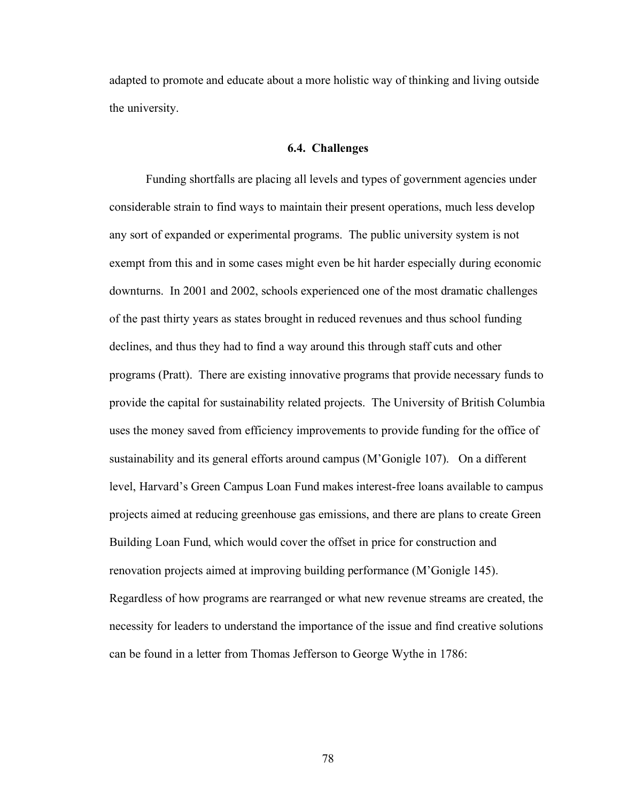adapted to promote and educate about a more holistic way of thinking and living outside the university.

#### **6.4. Challenges**

Funding shortfalls are placing all levels and types of government agencies under considerable strain to find ways to maintain their present operations, much less develop any sort of expanded or experimental programs. The public university system is not exempt from this and in some cases might even be hit harder especially during economic downturns. In 2001 and 2002, schools experienced one of the most dramatic challenges of the past thirty years as states brought in reduced revenues and thus school funding declines, and thus they had to find a way around this through staff cuts and other programs (Pratt). There are existing innovative programs that provide necessary funds to provide the capital for sustainability related projects. The University of British Columbia uses the money saved from efficiency improvements to provide funding for the office of sustainability and its general efforts around campus (M'Gonigle 107). On a different level, Harvard's Green Campus Loan Fund makes interest-free loans available to campus projects aimed at reducing greenhouse gas emissions, and there are plans to create Green Building Loan Fund, which would cover the offset in price for construction and renovation projects aimed at improving building performance (M'Gonigle 145). Regardless of how programs are rearranged or what new revenue streams are created, the necessity for leaders to understand the importance of the issue and find creative solutions can be found in a letter from Thomas Jefferson to George Wythe in 1786: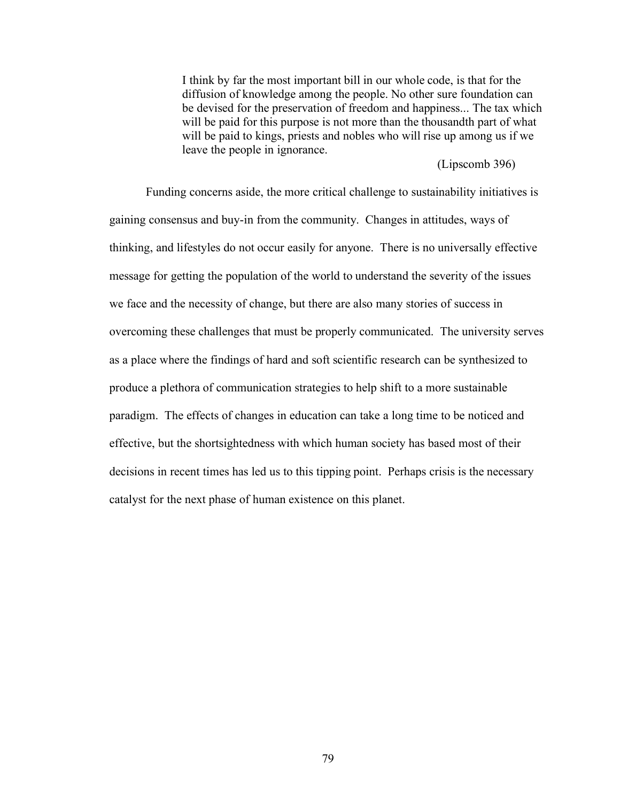I think by far the most important bill in our whole code, is that for the diffusion of knowledge among the people. No other sure foundation can be devised for the preservation of freedom and happiness... The tax which will be paid for this purpose is not more than the thousandth part of what will be paid to kings, priests and nobles who will rise up among us if we leave the people in ignorance.

(Lipscomb 396)

Funding concerns aside, the more critical challenge to sustainability initiatives is gaining consensus and buy-in from the community. Changes in attitudes, ways of thinking, and lifestyles do not occur easily for anyone. There is no universally effective message for getting the population of the world to understand the severity of the issues we face and the necessity of change, but there are also many stories of success in overcoming these challenges that must be properly communicated. The university serves as a place where the findings of hard and soft scientific research can be synthesized to produce a plethora of communication strategies to help shift to a more sustainable paradigm. The effects of changes in education can take a long time to be noticed and effective, but the shortsightedness with which human society has based most of their decisions in recent times has led us to this tipping point. Perhaps crisis is the necessary catalyst for the next phase of human existence on this planet.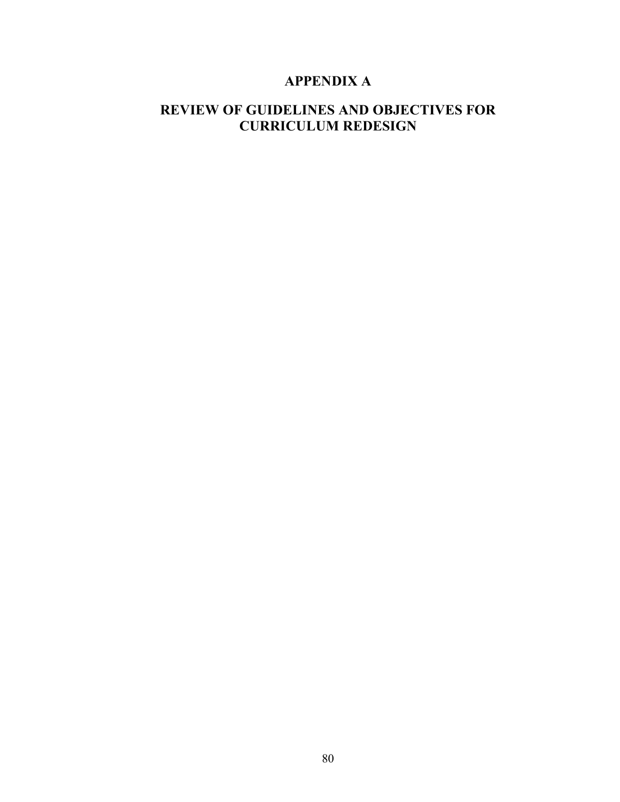# **APPENDIX A**

# **REVIEW OF GUIDELINES AND OBJECTIVES FOR CURRICULUM REDESIGN**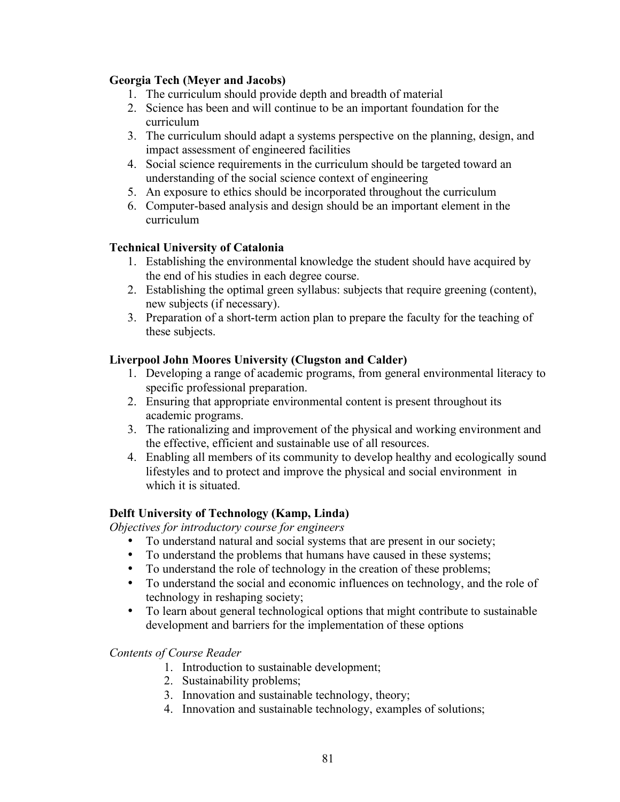## **Georgia Tech (Meyer and Jacobs)**

- 1. The curriculum should provide depth and breadth of material
- 2. Science has been and will continue to be an important foundation for the curriculum
- 3. The curriculum should adapt a systems perspective on the planning, design, and impact assessment of engineered facilities
- 4. Social science requirements in the curriculum should be targeted toward an understanding of the social science context of engineering
- 5. An exposure to ethics should be incorporated throughout the curriculum
- 6. Computer-based analysis and design should be an important element in the curriculum

# **Technical University of Catalonia**

- 1. Establishing the environmental knowledge the student should have acquired by the end of his studies in each degree course.
- 2. Establishing the optimal green syllabus: subjects that require greening (content), new subjects (if necessary).
- 3. Preparation of a short-term action plan to prepare the faculty for the teaching of these subjects.

## **Liverpool John Moores University (Clugston and Calder)**

- 1. Developing a range of academic programs, from general environmental literacy to specific professional preparation.
- 2. Ensuring that appropriate environmental content is present throughout its academic programs.
- 3. The rationalizing and improvement of the physical and working environment and the effective, efficient and sustainable use of all resources.
- 4. Enabling all members of its community to develop healthy and ecologically sound lifestyles and to protect and improve the physical and social environment in which it is situated.

# **Delft University of Technology (Kamp, Linda)**

*Objectives for introductory course for engineers*

- To understand natural and social systems that are present in our society;
- To understand the problems that humans have caused in these systems;
- To understand the role of technology in the creation of these problems;
- To understand the social and economic influences on technology, and the role of technology in reshaping society;
- To learn about general technological options that might contribute to sustainable development and barriers for the implementation of these options

## *Contents of Course Reader*

- 1. Introduction to sustainable development;
- 2. Sustainability problems;
- 3. Innovation and sustainable technology, theory;
- 4. Innovation and sustainable technology, examples of solutions;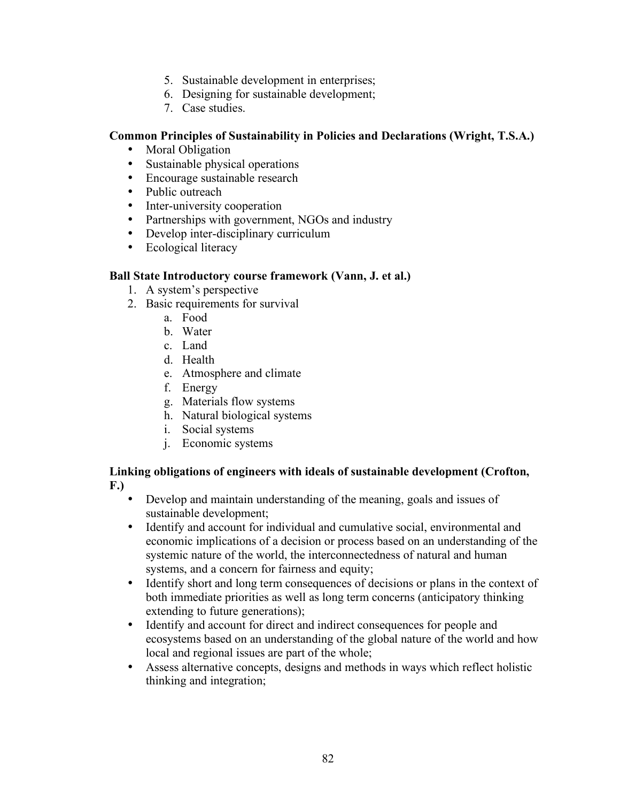- 5. Sustainable development in enterprises;
- 6. Designing for sustainable development;
- 7. Case studies.

## **Common Principles of Sustainability in Policies and Declarations (Wright, T.S.A.)**

- Moral Obligation
- Sustainable physical operations
- Encourage sustainable research
- Public outreach
- Inter-university cooperation
- Partnerships with government, NGOs and industry
- Develop inter-disciplinary curriculum
- Ecological literacy

## **Ball State Introductory course framework (Vann, J. et al.)**

- 1. A system's perspective
- 2. Basic requirements for survival
	- a. Food
	- b. Water
	- c. Land
	- d. Health
	- e. Atmosphere and climate
	- f. Energy
	- g. Materials flow systems
	- h. Natural biological systems
	- i. Social systems
	- j. Economic systems

### **Linking obligations of engineers with ideals of sustainable development (Crofton, F.)**

- Develop and maintain understanding of the meaning, goals and issues of sustainable development;
- Identify and account for individual and cumulative social, environmental and economic implications of a decision or process based on an understanding of the systemic nature of the world, the interconnectedness of natural and human systems, and a concern for fairness and equity;
- Identify short and long term consequences of decisions or plans in the context of both immediate priorities as well as long term concerns (anticipatory thinking extending to future generations);
- Identify and account for direct and indirect consequences for people and ecosystems based on an understanding of the global nature of the world and how local and regional issues are part of the whole;
- Assess alternative concepts, designs and methods in ways which reflect holistic thinking and integration;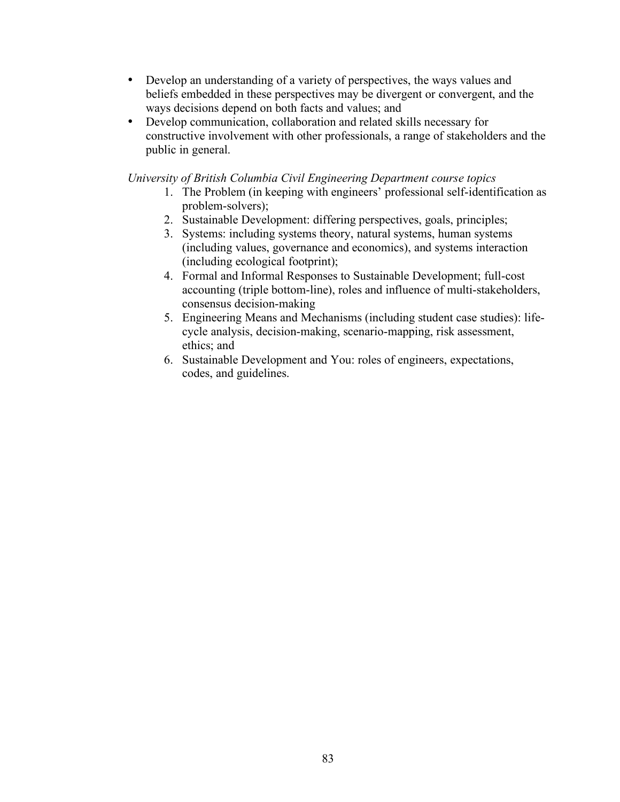- Develop an understanding of a variety of perspectives, the ways values and beliefs embedded in these perspectives may be divergent or convergent, and the ways decisions depend on both facts and values; and
- Develop communication, collaboration and related skills necessary for constructive involvement with other professionals, a range of stakeholders and the public in general.

*University of British Columbia Civil Engineering Department course topics*

- 1. The Problem (in keeping with engineers' professional self-identification as problem-solvers);
- 2. Sustainable Development: differing perspectives, goals, principles;
- 3. Systems: including systems theory, natural systems, human systems (including values, governance and economics), and systems interaction (including ecological footprint);
- 4. Formal and Informal Responses to Sustainable Development; full-cost accounting (triple bottom-line), roles and influence of multi-stakeholders, consensus decision-making
- 5. Engineering Means and Mechanisms (including student case studies): lifecycle analysis, decision-making, scenario-mapping, risk assessment, ethics; and
- 6. Sustainable Development and You: roles of engineers, expectations, codes, and guidelines.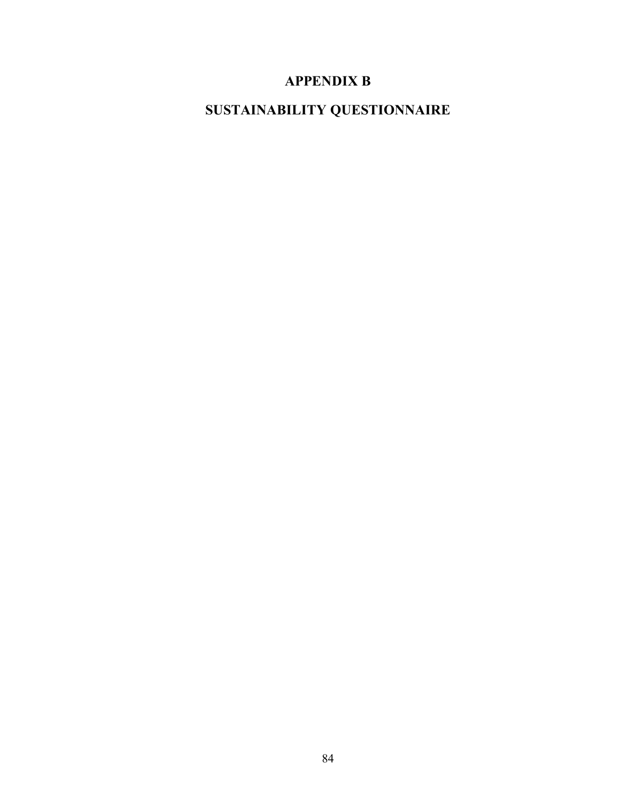# **APPENDIX B**

**SUSTAINABILITY QUESTIONNAIRE**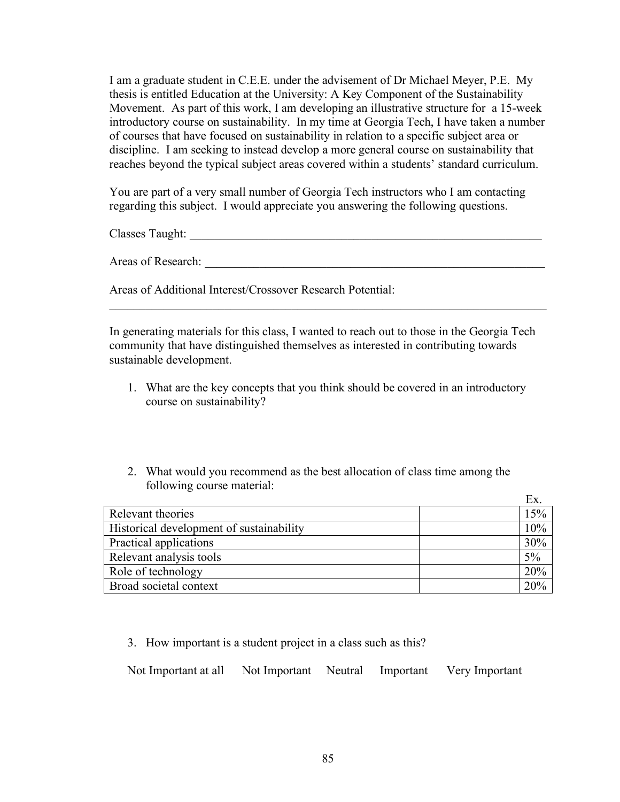I am a graduate student in C.E.E. under the advisement of Dr Michael Meyer, P.E. My thesis is entitled Education at the University: A Key Component of the Sustainability Movement. As part of this work, I am developing an illustrative structure for a 15-week introductory course on sustainability. In my time at Georgia Tech, I have taken a number of courses that have focused on sustainability in relation to a specific subject area or discipline. I am seeking to instead develop a more general course on sustainability that reaches beyond the typical subject areas covered within a students' standard curriculum.

You are part of a very small number of Georgia Tech instructors who I am contacting regarding this subject. I would appreciate you answering the following questions.

Classes Taught: \_\_\_\_\_\_\_\_\_\_\_\_\_\_\_\_\_\_\_\_\_\_\_\_\_\_\_\_\_\_\_\_\_\_\_\_\_\_\_\_\_\_\_\_\_\_\_\_\_\_\_\_\_\_\_\_\_\_

Areas of Research:

Areas of Additional Interest/Crossover Research Potential:

In generating materials for this class, I wanted to reach out to those in the Georgia Tech community that have distinguished themselves as interested in contributing towards sustainable development.

 $\mathcal{L}_\text{max}$  , and the contribution of the contribution of the contribution of the contribution of the contribution of the contribution of the contribution of the contribution of the contribution of the contribution of t

- 1. What are the key concepts that you think should be covered in an introductory course on sustainability?
- 2. What would you recommend as the best allocation of class time among the following course material:

|                                          | Ex.   |
|------------------------------------------|-------|
| Relevant theories                        | 15%   |
| Historical development of sustainability | 10%   |
| Practical applications                   | 30%   |
| Relevant analysis tools                  | $5\%$ |
| Role of technology                       | 20%   |
| Broad societal context                   | 20%   |

3. How important is a student project in a class such as this?

Not Important at all Not Important Neutral Important Very Important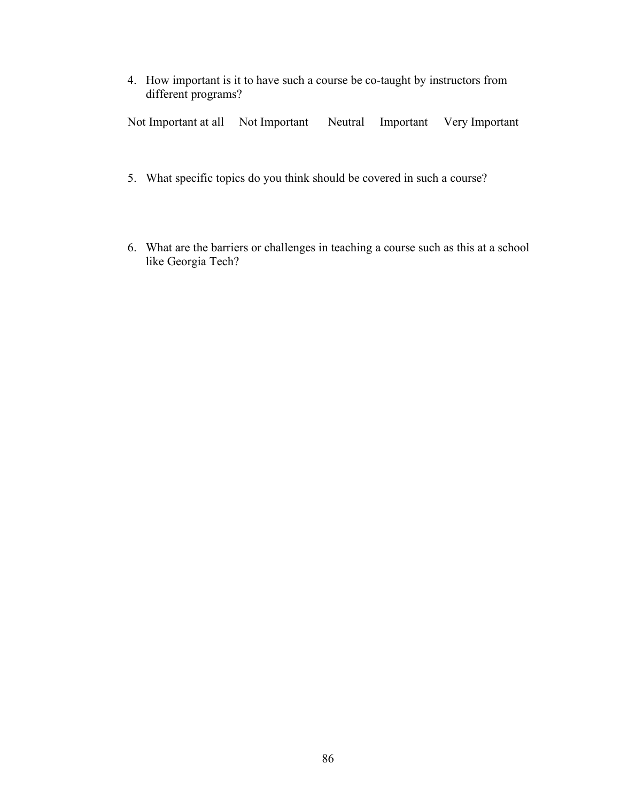4. How important is it to have such a course be co-taught by instructors from different programs?

Not Important at all Not Important Neutral Important Very Important

- 5. What specific topics do you think should be covered in such a course?
- 6. What are the barriers or challenges in teaching a course such as this at a school like Georgia Tech?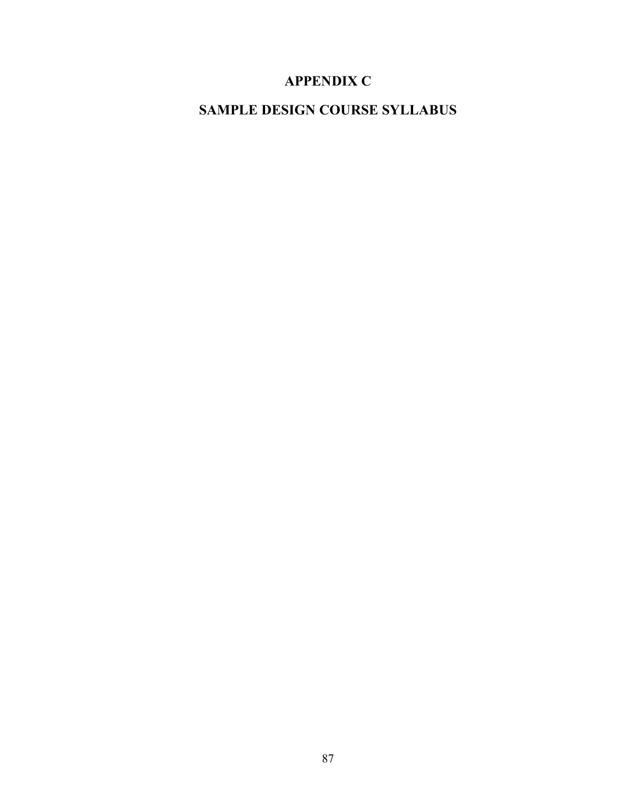# **APPENDIX C**

# **SAMPLE DESIGN COURSE SYLLABUS**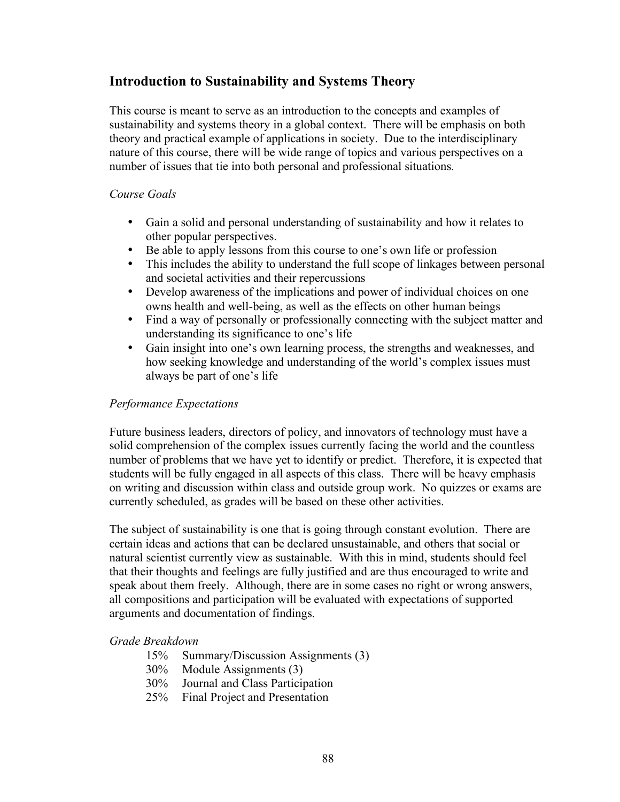# **Introduction to Sustainability and Systems Theory**

This course is meant to serve as an introduction to the concepts and examples of sustainability and systems theory in a global context. There will be emphasis on both theory and practical example of applications in society. Due to the interdisciplinary nature of this course, there will be wide range of topics and various perspectives on a number of issues that tie into both personal and professional situations.

## *Course Goals*

- Gain a solid and personal understanding of sustainability and how it relates to other popular perspectives.
- Be able to apply lessons from this course to one's own life or profession<br>• This includes the ability to understand the full scope of linkages between
- This includes the ability to understand the full scope of linkages between personal and societal activities and their repercussions
- Develop awareness of the implications and power of individual choices on one owns health and well-being, as well as the effects on other human beings
- Find a way of personally or professionally connecting with the subject matter and understanding its significance to one's life
- Gain insight into one's own learning process, the strengths and weaknesses, and how seeking knowledge and understanding of the world's complex issues must always be part of one's life

## *Performance Expectations*

Future business leaders, directors of policy, and innovators of technology must have a solid comprehension of the complex issues currently facing the world and the countless number of problems that we have yet to identify or predict. Therefore, it is expected that students will be fully engaged in all aspects of this class. There will be heavy emphasis on writing and discussion within class and outside group work. No quizzes or exams are currently scheduled, as grades will be based on these other activities.

The subject of sustainability is one that is going through constant evolution. There are certain ideas and actions that can be declared unsustainable, and others that social or natural scientist currently view as sustainable. With this in mind, students should feel that their thoughts and feelings are fully justified and are thus encouraged to write and speak about them freely. Although, there are in some cases no right or wrong answers, all compositions and participation will be evaluated with expectations of supported arguments and documentation of findings.

## *Grade Breakdown*

- 15% Summary/Discussion Assignments (3)
- 30% Module Assignments (3)
- 30% Journal and Class Participation
- 25% Final Project and Presentation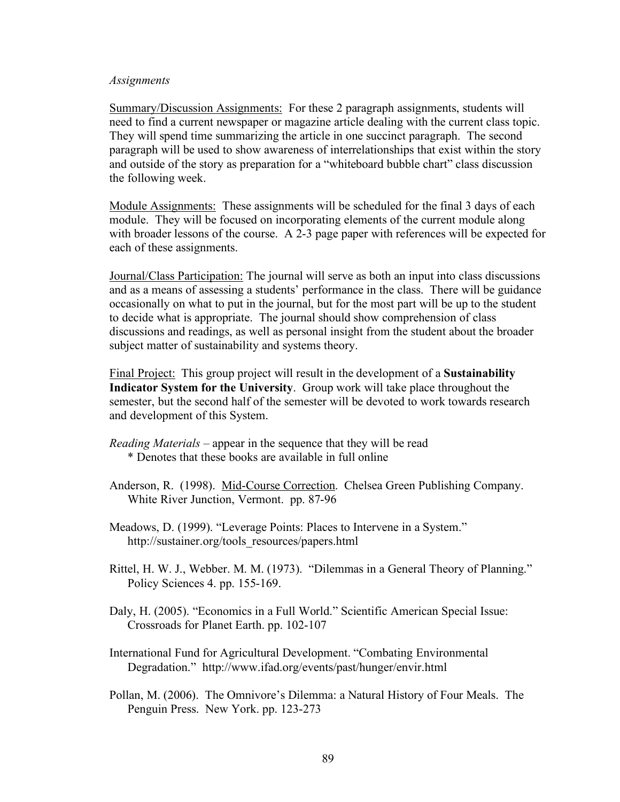#### *Assignments*

Summary/Discussion Assignments: For these 2 paragraph assignments, students will need to find a current newspaper or magazine article dealing with the current class topic. They will spend time summarizing the article in one succinct paragraph. The second paragraph will be used to show awareness of interrelationships that exist within the story and outside of the story as preparation for a "whiteboard bubble chart" class discussion the following week.

Module Assignments: These assignments will be scheduled for the final 3 days of each module. They will be focused on incorporating elements of the current module along with broader lessons of the course. A 2-3 page paper with references will be expected for each of these assignments.

Journal/Class Participation: The journal will serve as both an input into class discussions and as a means of assessing a students' performance in the class. There will be guidance occasionally on what to put in the journal, but for the most part will be up to the student to decide what is appropriate. The journal should show comprehension of class discussions and readings, as well as personal insight from the student about the broader subject matter of sustainability and systems theory.

Final Project: This group project will result in the development of a **Sustainability Indicator System for the University**. Group work will take place throughout the semester, but the second half of the semester will be devoted to work towards research and development of this System.

- *Reading Materials –* appear in the sequence that they will be read \* Denotes that these books are available in full online
- Anderson, R. (1998). Mid-Course Correction. Chelsea Green Publishing Company. White River Junction, Vermont. pp. 87-96
- Meadows, D. (1999). "Leverage Points: Places to Intervene in a System." http://sustainer.org/tools\_resources/papers.html
- Rittel, H. W. J., Webber. M. M. (1973). "Dilemmas in a General Theory of Planning." Policy Sciences 4. pp. 155-169.
- Daly, H. (2005). "Economics in a Full World." Scientific American Special Issue: Crossroads for Planet Earth. pp. 102-107
- International Fund for Agricultural Development. "Combating Environmental Degradation." http://www.ifad.org/events/past/hunger/envir.html
- Pollan, M. (2006). The Omnivore's Dilemma: a Natural History of Four Meals. The Penguin Press. New York. pp. 123-273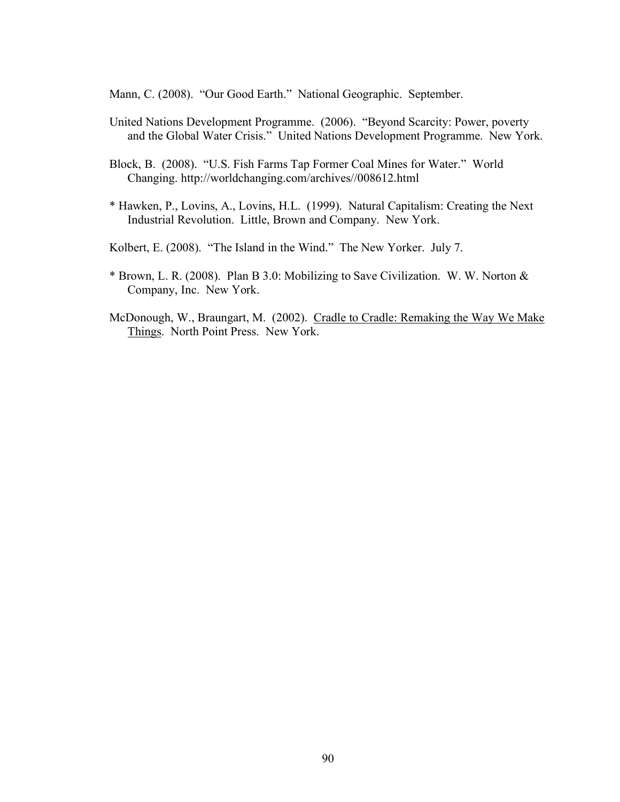Mann, C. (2008). "Our Good Earth." National Geographic. September.

- United Nations Development Programme. (2006). "Beyond Scarcity: Power, poverty and the Global Water Crisis." United Nations Development Programme. New York.
- Block, B. (2008). "U.S. Fish Farms Tap Former Coal Mines for Water." World Changing. http://worldchanging.com/archives//008612.html
- \* Hawken, P., Lovins, A., Lovins, H.L. (1999). Natural Capitalism: Creating the Next Industrial Revolution. Little, Brown and Company. New York.

Kolbert, E. (2008). "The Island in the Wind." The New Yorker. July 7.

- \* Brown, L. R. (2008). Plan B 3.0: Mobilizing to Save Civilization. W. W. Norton & Company, Inc. New York.
- McDonough, W., Braungart, M. (2002). Cradle to Cradle: Remaking the Way We Make Things. North Point Press. New York.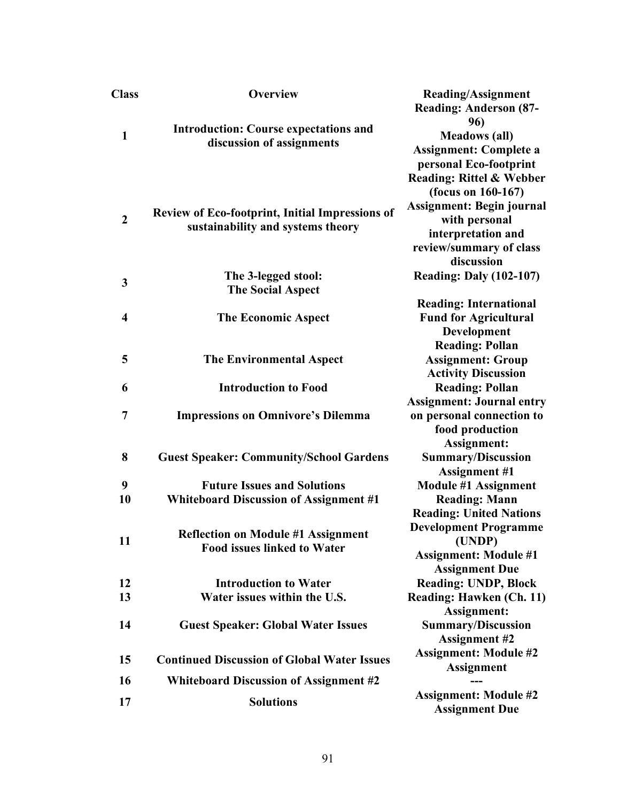| <b>Class</b>            | <b>Overview</b>                                                                             | <b>Reading/Assignment</b>                         |
|-------------------------|---------------------------------------------------------------------------------------------|---------------------------------------------------|
|                         |                                                                                             | <b>Reading: Anderson (87-</b>                     |
| $\mathbf{1}$            |                                                                                             | 96)                                               |
|                         | <b>Introduction: Course expectations and</b><br>discussion of assignments                   | <b>Meadows</b> (all)                              |
|                         |                                                                                             | <b>Assignment: Complete a</b>                     |
|                         |                                                                                             | personal Eco-footprint                            |
|                         |                                                                                             | <b>Reading: Rittel &amp; Webber</b>               |
| $\boldsymbol{2}$        | <b>Review of Eco-footprint, Initial Impressions of</b><br>sustainability and systems theory | (focus on $160-167$ )                             |
|                         |                                                                                             | <b>Assignment: Begin journal</b>                  |
|                         |                                                                                             | with personal                                     |
|                         |                                                                                             | interpretation and                                |
|                         |                                                                                             | review/summary of class                           |
|                         |                                                                                             | discussion                                        |
| 3                       | The 3-legged stool:                                                                         | <b>Reading: Daly (102-107)</b>                    |
|                         | <b>The Social Aspect</b>                                                                    |                                                   |
|                         |                                                                                             | <b>Reading: International</b>                     |
| $\overline{\mathbf{4}}$ | <b>The Economic Aspect</b>                                                                  | <b>Fund for Agricultural</b>                      |
|                         |                                                                                             | Development                                       |
|                         |                                                                                             | <b>Reading: Pollan</b>                            |
| 5                       | <b>The Environmental Aspect</b>                                                             | <b>Assignment: Group</b>                          |
|                         |                                                                                             | <b>Activity Discussion</b>                        |
| 6                       | <b>Introduction to Food</b>                                                                 | <b>Reading: Pollan</b>                            |
|                         | <b>Impressions on Omnivore's Dilemma</b>                                                    | <b>Assignment: Journal entry</b>                  |
| 7                       |                                                                                             | on personal connection to                         |
|                         |                                                                                             | food production                                   |
| 8                       | <b>Guest Speaker: Community/School Gardens</b>                                              | Assignment:                                       |
|                         |                                                                                             | <b>Summary/Discussion</b><br><b>Assignment #1</b> |
| 9                       | <b>Future Issues and Solutions</b>                                                          | <b>Module #1 Assignment</b>                       |
| 10                      | <b>Whiteboard Discussion of Assignment #1</b>                                               | <b>Reading: Mann</b>                              |
|                         |                                                                                             | <b>Reading: United Nations</b>                    |
|                         |                                                                                             | <b>Development Programme</b>                      |
| 11                      | <b>Reflection on Module #1 Assignment</b>                                                   | (UNDP)                                            |
|                         | <b>Food issues linked to Water</b>                                                          | <b>Assignment: Module #1</b>                      |
|                         |                                                                                             | <b>Assignment Due</b>                             |
| 12                      | <b>Introduction to Water</b>                                                                | Reading: UNDP, Block                              |
| 13                      | Water issues within the U.S.                                                                | <b>Reading: Hawken (Ch. 11)</b>                   |
|                         |                                                                                             | Assignment:                                       |
| 14                      | <b>Guest Speaker: Global Water Issues</b>                                                   | <b>Summary/Discussion</b>                         |
|                         |                                                                                             | <b>Assignment #2</b>                              |
| 15                      | <b>Continued Discussion of Global Water Issues</b>                                          | <b>Assignment: Module #2</b>                      |
|                         |                                                                                             | <b>Assignment</b>                                 |
| 16                      | <b>Whiteboard Discussion of Assignment #2</b>                                               |                                                   |
| 17                      | <b>Solutions</b>                                                                            | <b>Assignment: Module #2</b>                      |
|                         |                                                                                             | <b>Assignment Due</b>                             |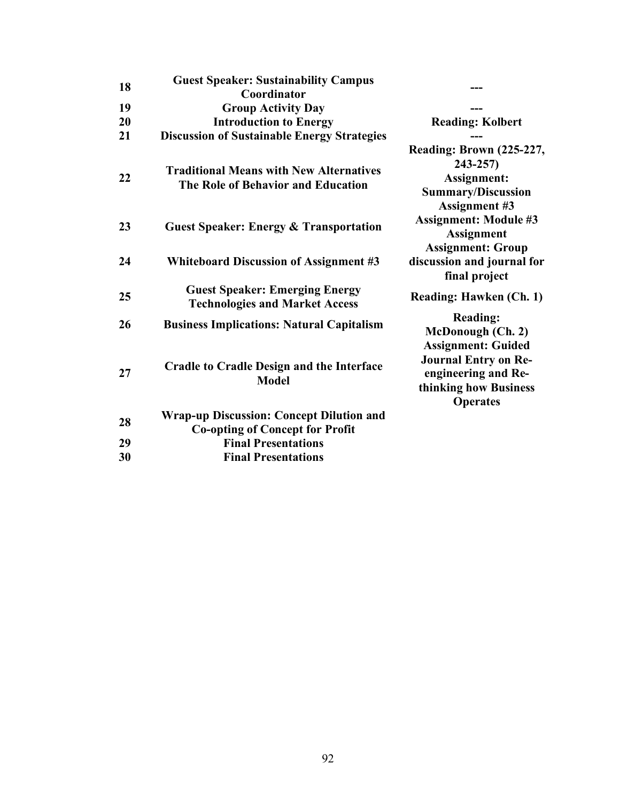| 18 | <b>Guest Speaker: Sustainability Campus</b><br>Coordinator                                |                                                                                                                             |
|----|-------------------------------------------------------------------------------------------|-----------------------------------------------------------------------------------------------------------------------------|
| 19 | <b>Group Activity Day</b>                                                                 |                                                                                                                             |
| 20 | <b>Introduction to Energy</b>                                                             | <b>Reading: Kolbert</b>                                                                                                     |
| 21 | <b>Discussion of Sustainable Energy Strategies</b>                                        |                                                                                                                             |
| 22 | <b>Traditional Means with New Alternatives</b><br>The Role of Behavior and Education      | <b>Reading: Brown (225-227,</b><br>$243 - 257$<br>Assignment:<br><b>Summary/Discussion</b><br><b>Assignment #3</b>          |
| 23 | <b>Guest Speaker: Energy &amp; Transportation</b>                                         | <b>Assignment: Module #3</b><br><b>Assignment</b>                                                                           |
| 24 | <b>Whiteboard Discussion of Assignment #3</b>                                             | <b>Assignment: Group</b><br>discussion and journal for<br>final project                                                     |
| 25 | <b>Guest Speaker: Emerging Energy</b><br><b>Technologies and Market Access</b>            | <b>Reading: Hawken (Ch. 1)</b>                                                                                              |
| 26 | <b>Business Implications: Natural Capitalism</b>                                          | <b>Reading:</b><br>McDonough (Ch. 2)                                                                                        |
| 27 | <b>Cradle to Cradle Design and the Interface</b><br><b>Model</b>                          | <b>Assignment: Guided</b><br><b>Journal Entry on Re-</b><br>engineering and Re-<br>thinking how Business<br><b>Operates</b> |
| 28 | <b>Wrap-up Discussion: Concept Dilution and</b><br><b>Co-opting of Concept for Profit</b> |                                                                                                                             |
| 29 | <b>Final Presentations</b>                                                                |                                                                                                                             |
| 30 | <b>Final Presentations</b>                                                                |                                                                                                                             |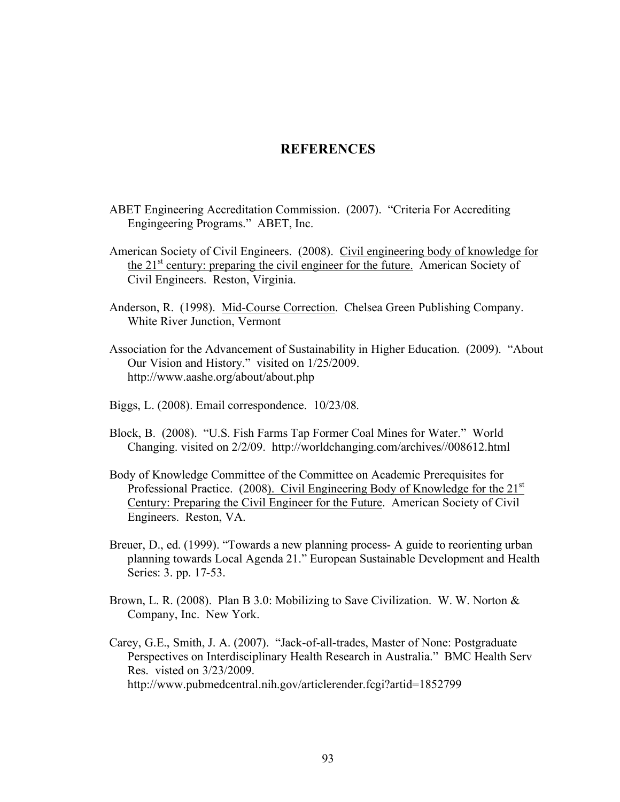## **REFERENCES**

- ABET Engineering Accreditation Commission. (2007). "Criteria For Accrediting Engingeering Programs." ABET, Inc.
- American Society of Civil Engineers. (2008). Civil engineering body of knowledge for the 21<sup>st</sup> century: preparing the civil engineer for the future. American Society of Civil Engineers. Reston, Virginia.
- Anderson, R. (1998). Mid-Course Correction. Chelsea Green Publishing Company. White River Junction, Vermont
- Association for the Advancement of Sustainability in Higher Education. (2009). "About Our Vision and History." visited on 1/25/2009. http://www.aashe.org/about/about.php
- Biggs, L. (2008). Email correspondence. 10/23/08.
- Block, B. (2008). "U.S. Fish Farms Tap Former Coal Mines for Water." World Changing. visited on 2/2/09. http://worldchanging.com/archives//008612.html
- Body of Knowledge Committee of the Committee on Academic Prerequisites for Professional Practice. (2008). Civil Engineering Body of Knowledge for the 21<sup>st</sup> Century: Preparing the Civil Engineer for the Future. American Society of Civil Engineers. Reston, VA.
- Breuer, D., ed. (1999). "Towards a new planning process- A guide to reorienting urban planning towards Local Agenda 21." European Sustainable Development and Health Series: 3. pp. 17-53.
- Brown, L. R. (2008). Plan B 3.0: Mobilizing to Save Civilization. W. W. Norton & Company, Inc. New York.
- Carey, G.E., Smith, J. A. (2007). "Jack-of-all-trades, Master of None: Postgraduate Perspectives on Interdisciplinary Health Research in Australia." BMC Health Serv Res. visted on 3/23/2009. http://www.pubmedcentral.nih.gov/articlerender.fcgi?artid=1852799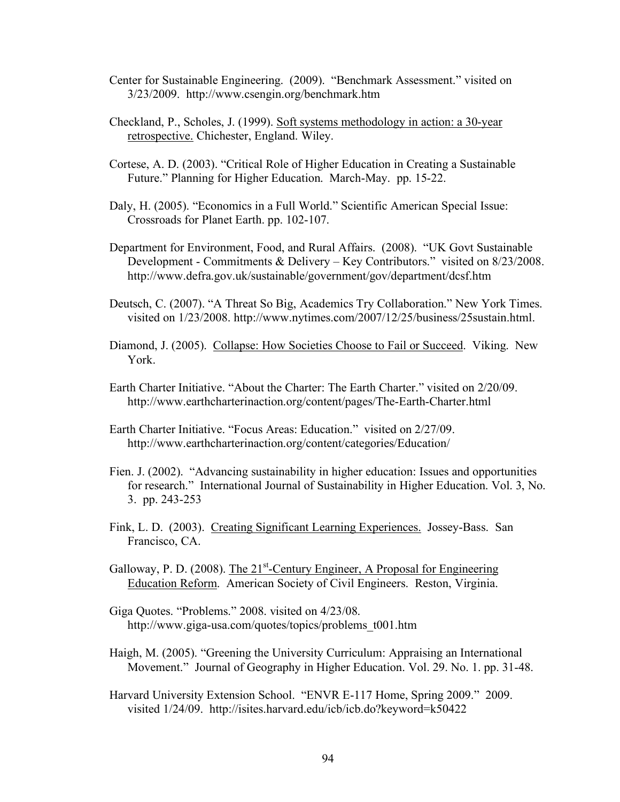- Center for Sustainable Engineering. (2009). "Benchmark Assessment." visited on 3/23/2009. http://www.csengin.org/benchmark.htm
- Checkland, P., Scholes, J. (1999). Soft systems methodology in action: a 30-year retrospective. Chichester, England. Wiley.
- Cortese, A. D. (2003). "Critical Role of Higher Education in Creating a Sustainable Future." Planning for Higher Education. March-May. pp. 15-22.
- Daly, H. (2005). "Economics in a Full World." Scientific American Special Issue: Crossroads for Planet Earth. pp. 102-107.
- Department for Environment, Food, and Rural Affairs. (2008). "UK Govt Sustainable Development - Commitments & Delivery – Key Contributors." visited on 8/23/2008. http://www.defra.gov.uk/sustainable/government/gov/department/dcsf.htm
- Deutsch, C. (2007). "A Threat So Big, Academics Try Collaboration." New York Times. visited on 1/23/2008. http://www.nytimes.com/2007/12/25/business/25sustain.html.
- Diamond, J. (2005). Collapse: How Societies Choose to Fail or Succeed. Viking. New York.
- Earth Charter Initiative. "About the Charter: The Earth Charter." visited on 2/20/09. http://www.earthcharterinaction.org/content/pages/The-Earth-Charter.html
- Earth Charter Initiative. "Focus Areas: Education." visited on 2/27/09. http://www.earthcharterinaction.org/content/categories/Education/
- Fien. J. (2002). "Advancing sustainability in higher education: Issues and opportunities for research." International Journal of Sustainability in Higher Education. Vol. 3, No. 3. pp. 243-253
- Fink, L. D. (2003). Creating Significant Learning Experiences. Jossey-Bass. San Francisco, CA.
- Galloway, P. D. (2008). The 21<sup>st</sup>-Century Engineer, A Proposal for Engineering Education Reform. American Society of Civil Engineers. Reston, Virginia.
- Giga Quotes. "Problems." 2008. visited on 4/23/08. http://www.giga-usa.com/quotes/topics/problems\_t001.htm
- Haigh, M. (2005). "Greening the University Curriculum: Appraising an International Movement." Journal of Geography in Higher Education. Vol. 29. No. 1. pp. 31-48.
- Harvard University Extension School. "ENVR E-117 Home, Spring 2009." 2009. visited 1/24/09. http://isites.harvard.edu/icb/icb.do?keyword=k50422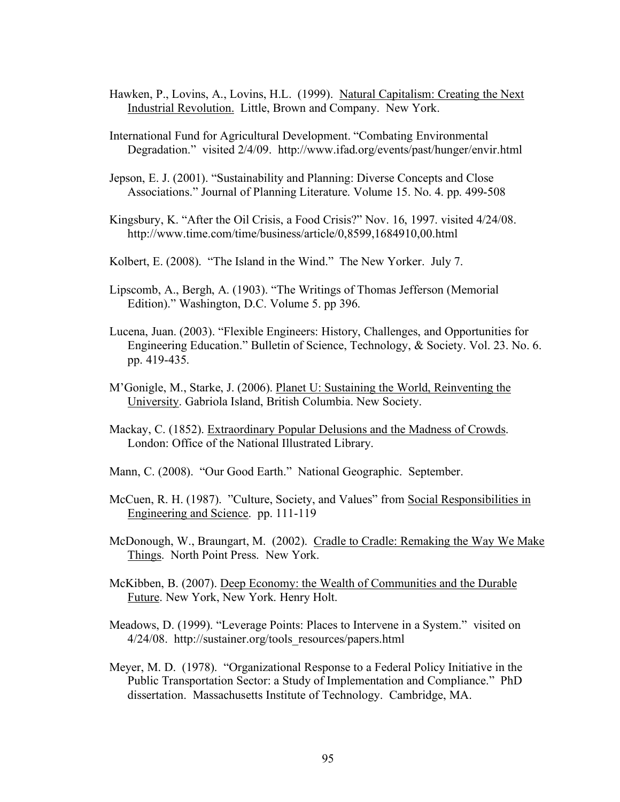- Hawken, P., Lovins, A., Lovins, H.L. (1999). Natural Capitalism: Creating the Next Industrial Revolution. Little, Brown and Company. New York.
- International Fund for Agricultural Development. "Combating Environmental Degradation." visited 2/4/09. http://www.ifad.org/events/past/hunger/envir.html
- Jepson, E. J. (2001). "Sustainability and Planning: Diverse Concepts and Close Associations." Journal of Planning Literature. Volume 15. No. 4. pp. 499-508
- Kingsbury, K. "After the Oil Crisis, a Food Crisis?" Nov. 16, 1997. visited 4/24/08. http://www.time.com/time/business/article/0,8599,1684910,00.html
- Kolbert, E. (2008). "The Island in the Wind." The New Yorker. July 7.
- Lipscomb, A., Bergh, A. (1903). "The Writings of Thomas Jefferson (Memorial Edition)." Washington, D.C. Volume 5. pp 396.
- Lucena, Juan. (2003). "Flexible Engineers: History, Challenges, and Opportunities for Engineering Education." Bulletin of Science, Technology, & Society. Vol. 23. No. 6. pp. 419-435.
- M'Gonigle, M., Starke, J. (2006). Planet U: Sustaining the World, Reinventing the University. Gabriola Island, British Columbia. New Society.
- Mackay, C. (1852). Extraordinary Popular Delusions and the Madness of Crowds. London: Office of the National Illustrated Library.
- Mann, C. (2008). "Our Good Earth." National Geographic. September.
- McCuen, R. H. (1987). "Culture, Society, and Values" from Social Responsibilities in Engineering and Science. pp. 111-119
- McDonough, W., Braungart, M. (2002). Cradle to Cradle: Remaking the Way We Make Things. North Point Press. New York.
- McKibben, B. (2007). Deep Economy: the Wealth of Communities and the Durable Future. New York, New York. Henry Holt.
- Meadows, D. (1999). "Leverage Points: Places to Intervene in a System." visited on 4/24/08. http://sustainer.org/tools\_resources/papers.html
- Meyer, M. D. (1978). "Organizational Response to a Federal Policy Initiative in the Public Transportation Sector: a Study of Implementation and Compliance." PhD dissertation. Massachusetts Institute of Technology. Cambridge, MA.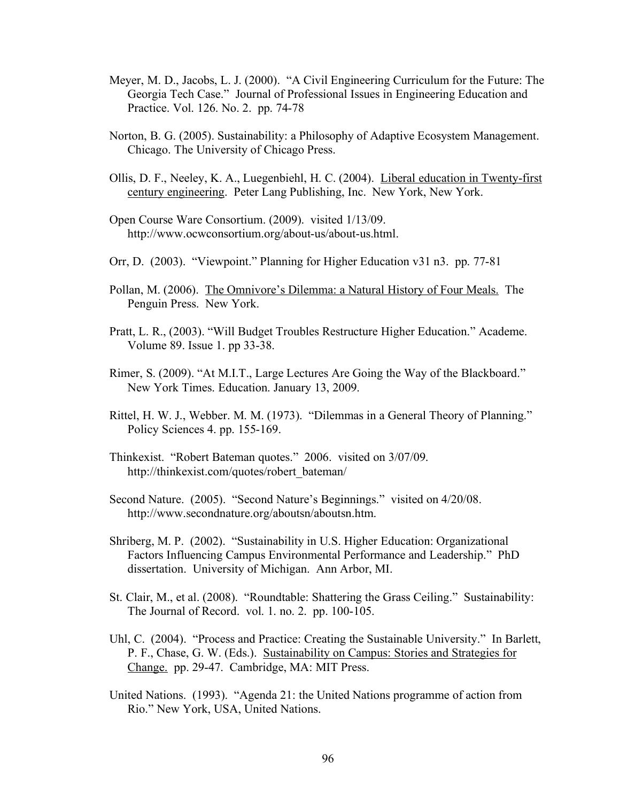- Meyer, M. D., Jacobs, L. J. (2000). "A Civil Engineering Curriculum for the Future: The Georgia Tech Case." Journal of Professional Issues in Engineering Education and Practice. Vol. 126. No. 2. pp. 74-78
- Norton, B. G. (2005). Sustainability: a Philosophy of Adaptive Ecosystem Management. Chicago. The University of Chicago Press.
- Ollis, D. F., Neeley, K. A., Luegenbiehl, H. C. (2004). Liberal education in Twenty-first century engineering. Peter Lang Publishing, Inc. New York, New York.
- Open Course Ware Consortium. (2009). visited 1/13/09. http://www.ocwconsortium.org/about-us/about-us.html.
- Orr, D. (2003). "Viewpoint." Planning for Higher Education v31 n3. pp. 77-81
- Pollan, M. (2006). The Omnivore's Dilemma: a Natural History of Four Meals. The Penguin Press. New York.
- Pratt, L. R., (2003). "Will Budget Troubles Restructure Higher Education." Academe. Volume 89. Issue 1. pp 33-38.
- Rimer, S. (2009). "At M.I.T., Large Lectures Are Going the Way of the Blackboard." New York Times. Education. January 13, 2009.
- Rittel, H. W. J., Webber. M. M. (1973). "Dilemmas in a General Theory of Planning." Policy Sciences 4. pp. 155-169.
- Thinkexist. "Robert Bateman quotes." 2006. visited on 3/07/09. http://thinkexist.com/quotes/robert\_bateman/
- Second Nature. (2005). "Second Nature's Beginnings." visited on 4/20/08. http://www.secondnature.org/aboutsn/aboutsn.htm.
- Shriberg, M. P. (2002). "Sustainability in U.S. Higher Education: Organizational Factors Influencing Campus Environmental Performance and Leadership." PhD dissertation. University of Michigan. Ann Arbor, MI.
- St. Clair, M., et al. (2008). "Roundtable: Shattering the Grass Ceiling." Sustainability: The Journal of Record. vol. 1. no. 2. pp. 100-105.
- Uhl, C. (2004). "Process and Practice: Creating the Sustainable University." In Barlett, P. F., Chase, G. W. (Eds.). Sustainability on Campus: Stories and Strategies for Change. pp. 29-47. Cambridge, MA: MIT Press.
- United Nations. (1993). "Agenda 21: the United Nations programme of action from Rio." New York, USA, United Nations.